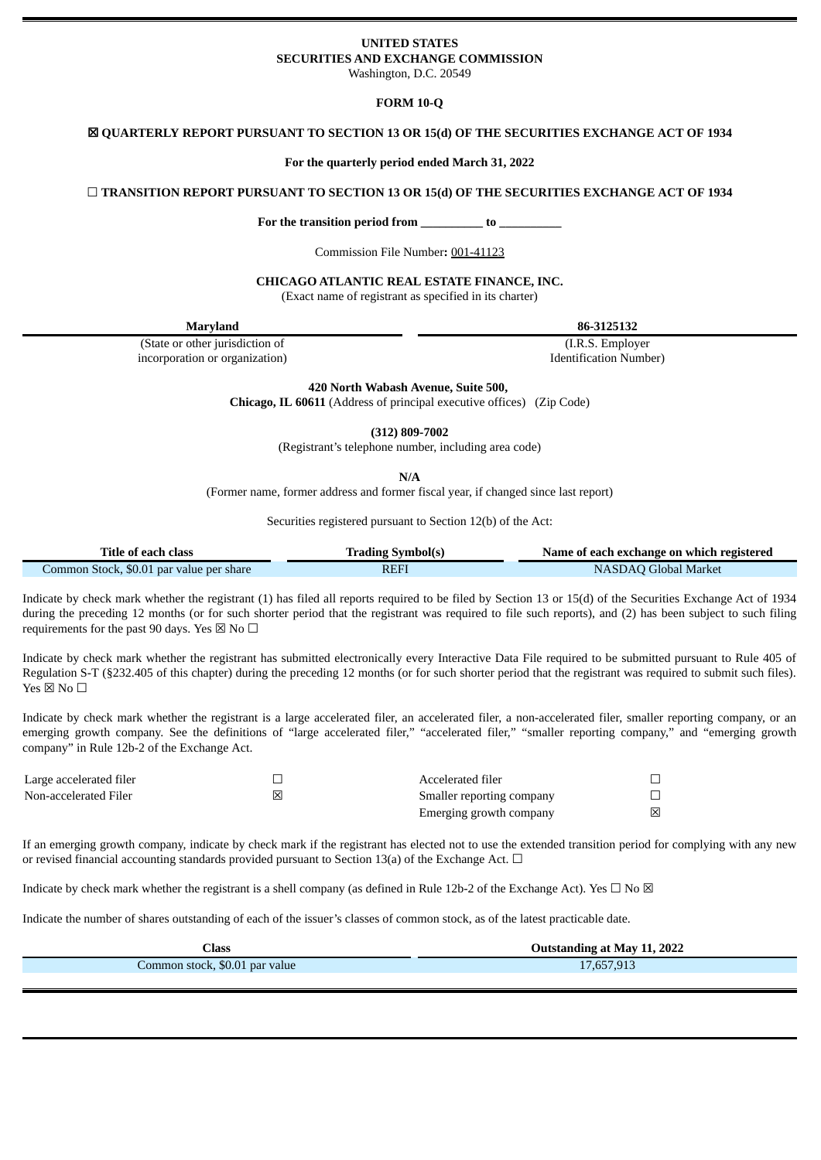### **UNITED STATES SECURITIES AND EXCHANGE COMMISSION**

Washington, D.C. 20549

## **FORM 10-Q**

## ☒ **QUARTERLY REPORT PURSUANT TO SECTION 13 OR 15(d) OF THE SECURITIES EXCHANGE ACT OF 1934**

**For the quarterly period ended March 31, 2022**

## ☐ **TRANSITION REPORT PURSUANT TO SECTION 13 OR 15(d) OF THE SECURITIES EXCHANGE ACT OF 1934**

**For the transition period from \_\_\_\_\_\_\_\_\_\_ to \_\_\_\_\_\_\_\_\_\_**

Commission File Number**:** 001-41123

**CHICAGO ATLANTIC REAL ESTATE FINANCE, INC.**

(Exact name of registrant as specified in its charter)

**Maryland 86-3125132**

(State or other jurisdiction of incorporation or organization)

(I.R.S. Employer Identification Number)

**420 North Wabash Avenue, Suite 500,**

**Chicago, IL 60611** (Address of principal executive offices) (Zip Code)

**(312) 809-7002**

(Registrant's telephone number, including area code)

**N/A**

(Former name, former address and former fiscal year, if changed since last report)

Securities registered pursuant to Section 12(b) of the Act:

| Title of each class                      | <b>Frading Symbol(s)</b> | Name of each exchange on which registered |  |  |  |  |  |
|------------------------------------------|--------------------------|-------------------------------------------|--|--|--|--|--|
| Common Stock, \$0.01 par value per share | <b>REFI</b>              | NASDAO Global Market                      |  |  |  |  |  |

Indicate by check mark whether the registrant (1) has filed all reports required to be filed by Section 13 or 15(d) of the Securities Exchange Act of 1934 during the preceding 12 months (or for such shorter period that the registrant was required to file such reports), and (2) has been subject to such filing requirements for the past 90 days. Yes  $\boxtimes$  No  $\Box$ 

Indicate by check mark whether the registrant has submitted electronically every Interactive Data File required to be submitted pursuant to Rule 405 of Regulation S-T (§232.405 of this chapter) during the preceding 12 months (or for such shorter period that the registrant was required to submit such files). Yes  $\boxtimes$  No  $\square$ 

Indicate by check mark whether the registrant is a large accelerated filer, an accelerated filer, a non-accelerated filer, smaller reporting company, or an emerging growth company. See the definitions of "large accelerated filer," "accelerated filer," "smaller reporting company," and "emerging growth company" in Rule 12b-2 of the Exchange Act.

| Large accelerated filer |   | Accelerated filer         |   |
|-------------------------|---|---------------------------|---|
| Non-accelerated Filer   | ⊠ | Smaller reporting company |   |
|                         |   | Emerging growth company   | 区 |

If an emerging growth company, indicate by check mark if the registrant has elected not to use the extended transition period for complying with any new or revised financial accounting standards provided pursuant to Section 13(a) of the Exchange Act.  $\Box$ 

Indicate by check mark whether the registrant is a shell company (as defined in Rule 12b-2 of the Exchange Act). Yes  $\Box$  No  $\boxtimes$ 

Indicate the number of shares outstanding of each of the issuer's classes of common stock, as of the latest practicable date.

| Class                          | Outstanding at May 11, 2022 |
|--------------------------------|-----------------------------|
| Common stock, \$0.01 par value | 17,657,913                  |
|                                |                             |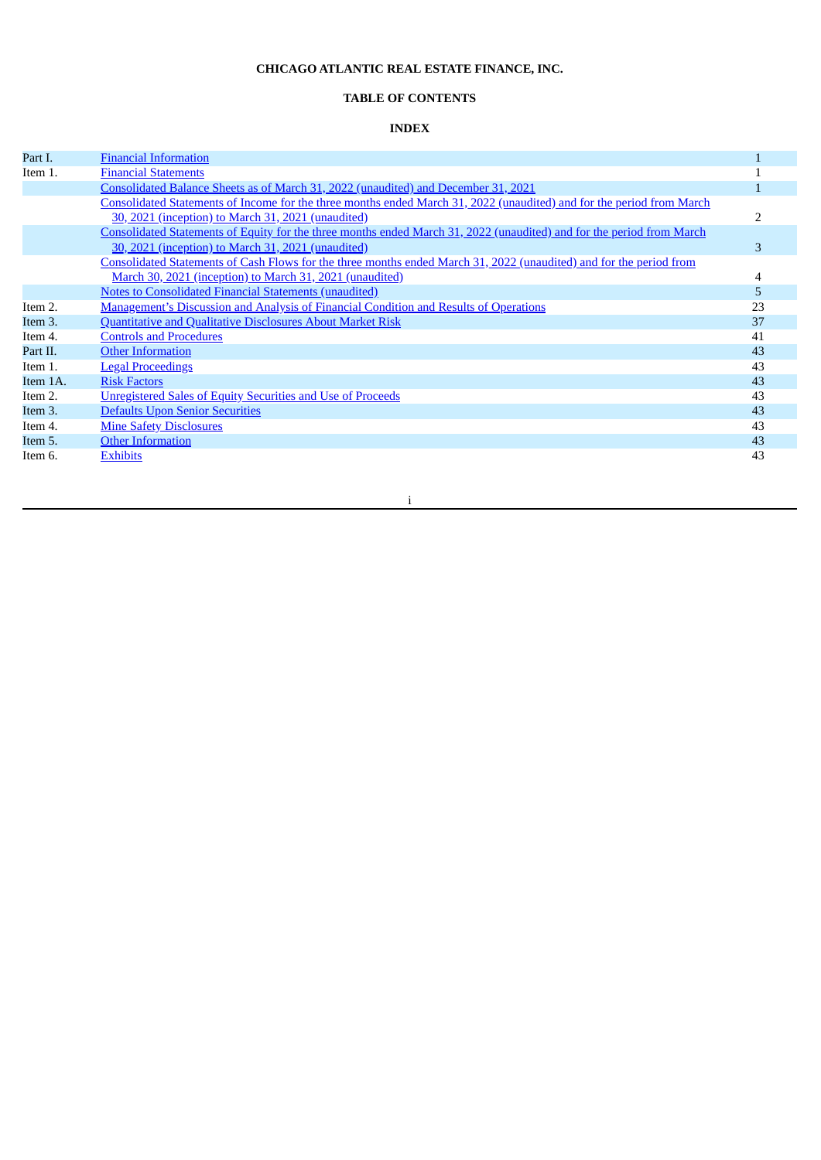# **CHICAGO ATLANTIC REAL ESTATE FINANCE, INC.**

# **TABLE OF CONTENTS**

# **INDEX**

| Part I.  | <b>Financial Information</b>                                                                                          |    |
|----------|-----------------------------------------------------------------------------------------------------------------------|----|
| Item 1.  | <b>Financial Statements</b>                                                                                           |    |
|          | Consolidated Balance Sheets as of March 31, 2022 (unaudited) and December 31, 2021                                    |    |
|          | Consolidated Statements of Income for the three months ended March 31, 2022 (unaudited) and for the period from March |    |
|          | 30, 2021 (inception) to March 31, 2021 (unaudited)                                                                    | 2  |
|          | Consolidated Statements of Equity for the three months ended March 31, 2022 (unaudited) and for the period from March |    |
|          | 30, 2021 (inception) to March 31, 2021 (unaudited)                                                                    | 3  |
|          | Consolidated Statements of Cash Flows for the three months ended March 31, 2022 (unaudited) and for the period from   |    |
|          | March 30, 2021 (inception) to March 31, 2021 (unaudited)                                                              | 4  |
|          | <b>Notes to Consolidated Financial Statements (unaudited)</b>                                                         | 5  |
| Item 2.  | <b>Management's Discussion and Analysis of Financial Condition and Results of Operations</b>                          | 23 |
| Item 3.  | Quantitative and Qualitative Disclosures About Market Risk                                                            | 37 |
| Item 4.  | <b>Controls and Procedures</b>                                                                                        | 41 |
| Part II. | <b>Other Information</b>                                                                                              | 43 |
| Item 1.  | <b>Legal Proceedings</b>                                                                                              | 43 |
| Item 1A. | <b>Risk Factors</b>                                                                                                   | 43 |
| Item 2.  | <b>Unregistered Sales of Equity Securities and Use of Proceeds</b>                                                    | 43 |
| Item 3.  | <b>Defaults Upon Senior Securities</b>                                                                                | 43 |
| Item 4.  | <b>Mine Safety Disclosures</b>                                                                                        | 43 |
| Item 5.  | <b>Other Information</b>                                                                                              | 43 |
| Item 6.  | <b>Exhibits</b>                                                                                                       | 43 |
|          |                                                                                                                       |    |

## i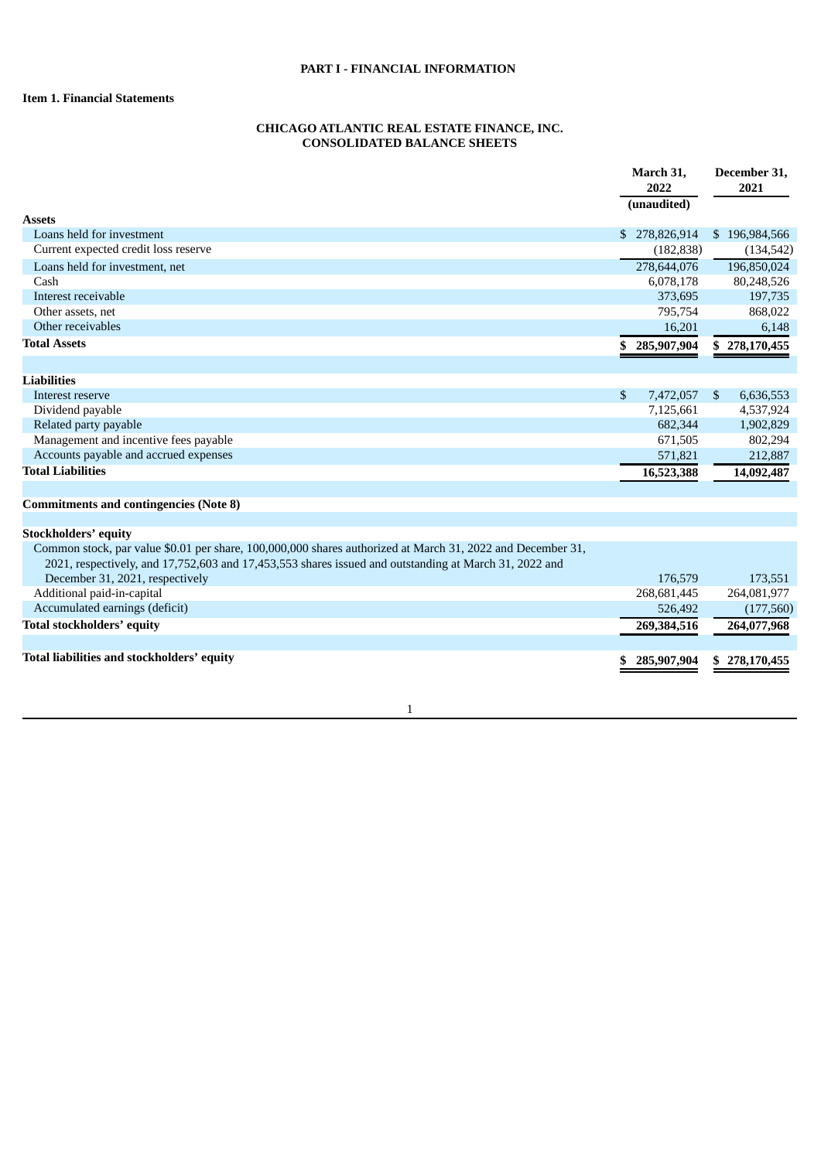# **PART I - FINANCIAL INFORMATION**

# <span id="page-2-2"></span><span id="page-2-1"></span><span id="page-2-0"></span>**Item 1. Financial Statements**

# **CHICAGO ATLANTIC REAL ESTATE FINANCE, INC. CONSOLIDATED BALANCE SHEETS**

|                                                                                                                                                                                                                     | March 31,<br>2022 | December 31,<br>2021 |
|---------------------------------------------------------------------------------------------------------------------------------------------------------------------------------------------------------------------|-------------------|----------------------|
|                                                                                                                                                                                                                     | (unaudited)       |                      |
| <b>Assets</b>                                                                                                                                                                                                       |                   |                      |
| Loans held for investment                                                                                                                                                                                           | \$278,826,914     | \$196,984,566        |
| Current expected credit loss reserve                                                                                                                                                                                | (182, 838)        | (134, 542)           |
| Loans held for investment, net                                                                                                                                                                                      | 278,644,076       | 196,850,024          |
| Cash                                                                                                                                                                                                                | 6,078,178         | 80,248,526           |
| Interest receivable                                                                                                                                                                                                 | 373,695           | 197,735              |
| Other assets, net                                                                                                                                                                                                   | 795,754           | 868,022              |
| Other receivables                                                                                                                                                                                                   | 16,201            | 6,148                |
| <b>Total Assets</b>                                                                                                                                                                                                 | 285,907,904       | \$278,170,455        |
|                                                                                                                                                                                                                     |                   |                      |
| <b>Liabilities</b>                                                                                                                                                                                                  |                   |                      |
| Interest reserve                                                                                                                                                                                                    | \$<br>7,472,057   | \$<br>6,636,553      |
| Dividend payable                                                                                                                                                                                                    | 7,125,661         | 4,537,924            |
| Related party payable<br>Management and incentive fees payable                                                                                                                                                      | 682,344           | 1,902,829            |
| Accounts payable and accrued expenses                                                                                                                                                                               | 671,505           | 802,294              |
|                                                                                                                                                                                                                     | 571,821           | 212,887              |
| <b>Total Liabilities</b>                                                                                                                                                                                            | 16,523,388        | 14,092,487           |
| <b>Commitments and contingencies (Note 8)</b>                                                                                                                                                                       |                   |                      |
| <b>Stockholders' equity</b>                                                                                                                                                                                         |                   |                      |
| Common stock, par value \$0.01 per share, 100,000,000 shares authorized at March 31, 2022 and December 31,<br>2021, respectively, and 17,752,603 and 17,453,553 shares issued and outstanding at March 31, 2022 and |                   |                      |
| December 31, 2021, respectively                                                                                                                                                                                     | 176,579           | 173,551              |
| Additional paid-in-capital                                                                                                                                                                                          | 268,681,445       | 264,081,977          |
| Accumulated earnings (deficit)                                                                                                                                                                                      | 526,492           | (177, 560)           |
| <b>Total stockholders' equity</b>                                                                                                                                                                                   | 269,384,516       | 264,077,968          |
| Total liabilities and stockholders' equity                                                                                                                                                                          | 285,907,904       | \$278,170,455        |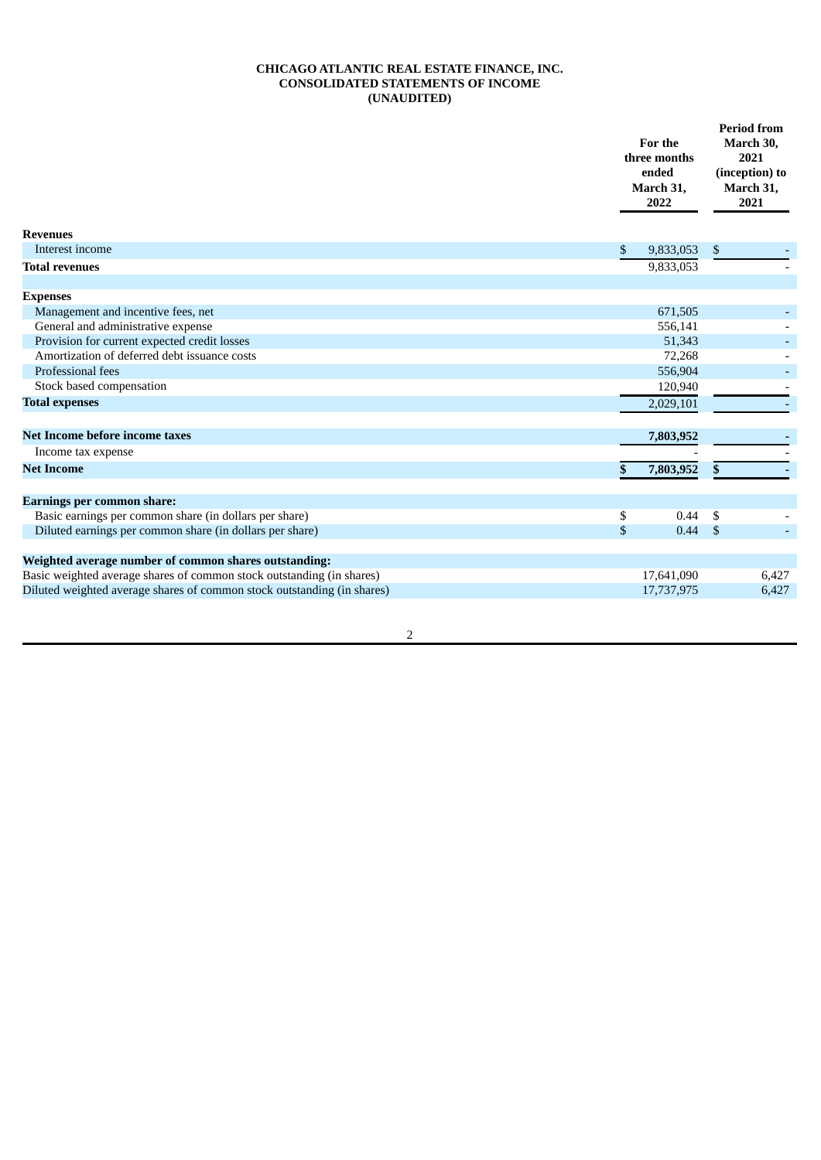## **CHICAGO ATLANTIC REAL ESTATE FINANCE, INC. CONSOLIDATED STATEMENTS OF INCOME (UNAUDITED)**

<span id="page-3-0"></span>

|                                                                         | For the<br>three months<br>ended<br>March 31,<br>2022 | <b>Period from</b><br>March 30.<br>2021<br>(inception) to<br>March 31,<br>2021 |  |
|-------------------------------------------------------------------------|-------------------------------------------------------|--------------------------------------------------------------------------------|--|
| <b>Revenues</b>                                                         |                                                       |                                                                                |  |
| Interest income                                                         | 9,833,053<br>\$                                       | \$                                                                             |  |
| <b>Total revenues</b>                                                   | 9,833,053                                             |                                                                                |  |
|                                                                         |                                                       |                                                                                |  |
| <b>Expenses</b>                                                         |                                                       |                                                                                |  |
| Management and incentive fees, net                                      | 671,505                                               |                                                                                |  |
| General and administrative expense                                      | 556,141                                               |                                                                                |  |
| Provision for current expected credit losses                            | 51,343                                                |                                                                                |  |
| Amortization of deferred debt issuance costs                            | 72,268                                                |                                                                                |  |
| Professional fees                                                       | 556,904                                               |                                                                                |  |
| Stock based compensation                                                | 120,940                                               |                                                                                |  |
| <b>Total expenses</b>                                                   | 2,029,101                                             |                                                                                |  |
| <b>Net Income before income taxes</b>                                   | 7,803,952                                             |                                                                                |  |
| Income tax expense                                                      |                                                       |                                                                                |  |
| <b>Net Income</b>                                                       | 7,803,952<br>\$                                       | \$                                                                             |  |
| <b>Earnings per common share:</b>                                       |                                                       |                                                                                |  |
| Basic earnings per common share (in dollars per share)                  | \$<br>0.44                                            | \$                                                                             |  |
| Diluted earnings per common share (in dollars per share)                | \$<br>0.44                                            | $\mathfrak{L}$                                                                 |  |
| Weighted average number of common shares outstanding:                   |                                                       |                                                                                |  |
| Basic weighted average shares of common stock outstanding (in shares)   | 17,641,090                                            | 6,427                                                                          |  |
| Diluted weighted average shares of common stock outstanding (in shares) | 17,737,975                                            | 6,427                                                                          |  |
|                                                                         |                                                       |                                                                                |  |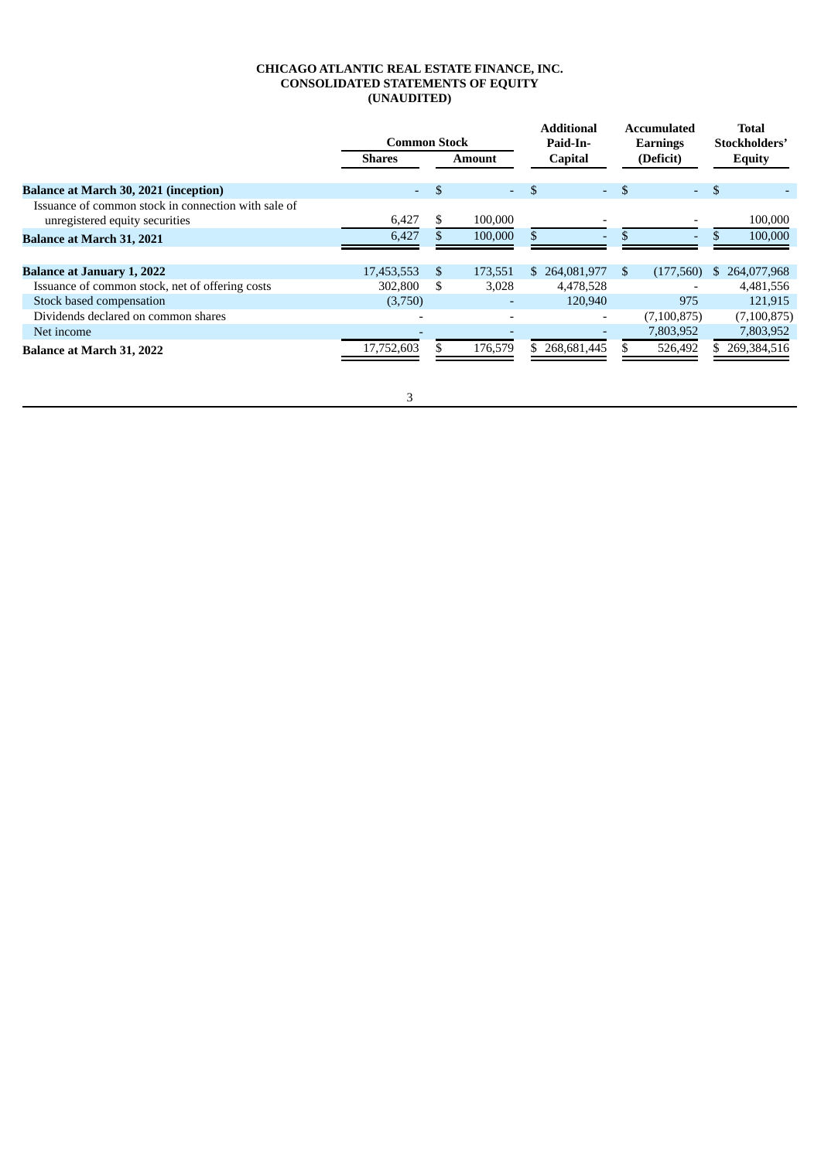## **CHICAGO ATLANTIC REAL ESTATE FINANCE, INC. CONSOLIDATED STATEMENTS OF EQUITY (UNAUDITED)**

<span id="page-4-0"></span>

|                                                                                       | <b>Common Stock</b> |      |                          | <b>Additional</b><br>Paid-In- |               | <b>Accumulated</b><br><b>Earnings</b> |     | Total<br>Stockholders' |
|---------------------------------------------------------------------------------------|---------------------|------|--------------------------|-------------------------------|---------------|---------------------------------------|-----|------------------------|
|                                                                                       | <b>Shares</b>       |      | Amount                   | <b>Capital</b>                |               | (Deficit)                             |     | <b>Equity</b>          |
| <b>Balance at March 30, 2021 (inception)</b>                                          | $\sim$              | - \$ | $\blacksquare$           | - \$                          | $-5$          | $-5$                                  |     |                        |
| Issuance of common stock in connection with sale of<br>unregistered equity securities | 6,427               | \$   | 100,000                  |                               |               |                                       |     | 100,000                |
| <b>Balance at March 31, 2021</b>                                                      | 6,427               |      | 100,000                  |                               |               |                                       |     | 100,000                |
| <b>Balance at January 1, 2022</b>                                                     | 17,453,553          | \$   | 173,551                  | \$.<br>264,081,977            | <sup>\$</sup> | (177,560)                             | \$. | 264,077,968            |
| Issuance of common stock, net of offering costs                                       | 302,800             | \$   | 3,028                    | 4,478,528                     |               |                                       |     | 4,481,556              |
| Stock based compensation                                                              | (3,750)             |      |                          | 120,940                       |               | 975                                   |     | 121,915                |
| Dividends declared on common shares                                                   |                     |      | $\overline{\phantom{0}}$ | ٠                             |               | (7,100,875)                           |     | (7,100,875)            |
| Net income                                                                            |                     |      |                          | ۰                             |               | 7,803,952                             |     | 7,803,952              |
| <b>Balance at March 31, 2022</b>                                                      | 17.752.603          |      | 176.579                  | 268,681,445<br>\$             |               | 526,492                               |     | 269,384,516            |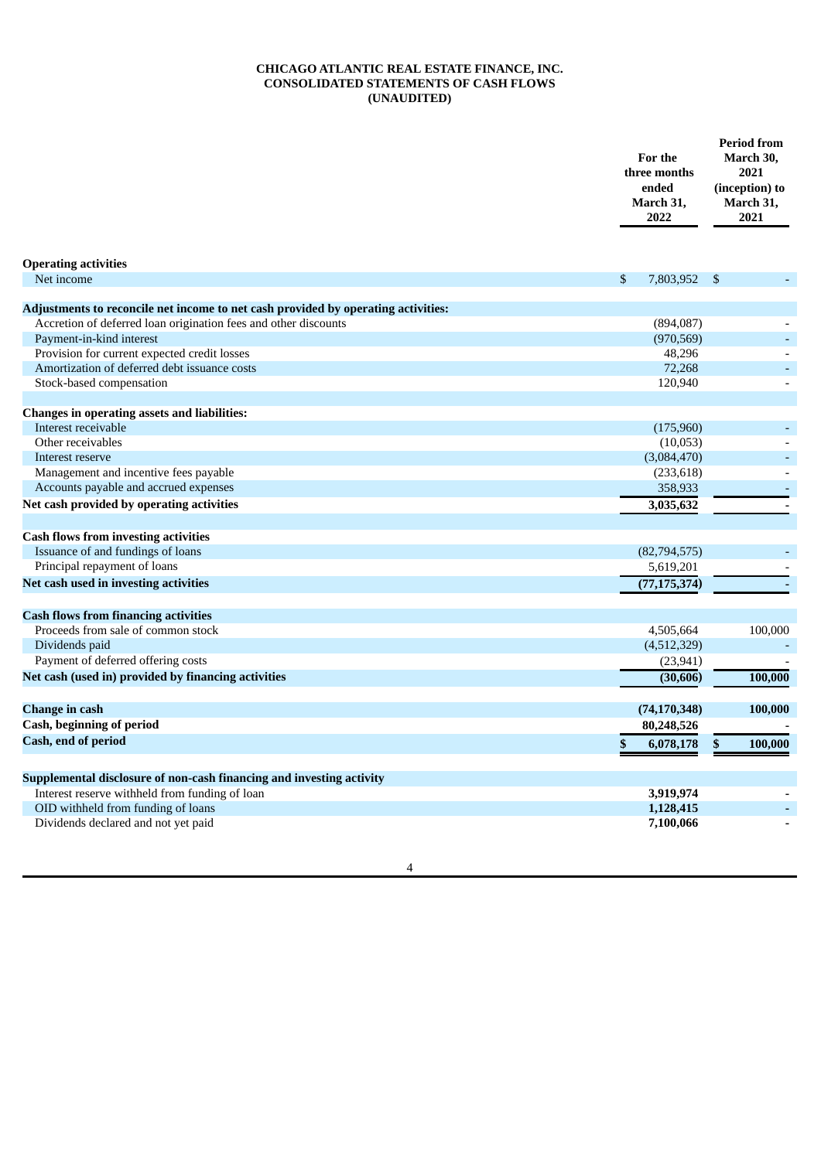## **CHICAGO ATLANTIC REAL ESTATE FINANCE, INC. CONSOLIDATED STATEMENTS OF CASH FLOWS (UNAUDITED)**

|                                                                                   | For the<br>three months<br>ended<br>March 31,<br>2022 | <b>Period from</b><br>March 30,<br>2021<br>(inception) to<br>March 31,<br>2021 |
|-----------------------------------------------------------------------------------|-------------------------------------------------------|--------------------------------------------------------------------------------|
| <b>Operating activities</b><br>Net income                                         | \$<br>7,803,952                                       | $\mathfrak{s}$                                                                 |
|                                                                                   |                                                       |                                                                                |
| Adjustments to reconcile net income to net cash provided by operating activities: |                                                       |                                                                                |
| Accretion of deferred loan origination fees and other discounts                   | (894,087)                                             |                                                                                |
| Payment-in-kind interest                                                          | (970, 569)                                            |                                                                                |
| Provision for current expected credit losses                                      | 48,296                                                |                                                                                |
| Amortization of deferred debt issuance costs                                      | 72,268                                                |                                                                                |
| Stock-based compensation                                                          | 120,940                                               |                                                                                |
| <b>Changes in operating assets and liabilities:</b>                               |                                                       |                                                                                |
| Interest receivable                                                               | (175,960)                                             |                                                                                |
| Other receivables                                                                 | (10,053)                                              |                                                                                |
| Interest reserve                                                                  | (3,084,470)                                           |                                                                                |
| Management and incentive fees payable                                             | (233, 618)                                            |                                                                                |
| Accounts payable and accrued expenses                                             | 358,933                                               |                                                                                |
| Net cash provided by operating activities                                         | 3,035,632                                             |                                                                                |
| <b>Cash flows from investing activities</b>                                       |                                                       |                                                                                |
| Issuance of and fundings of loans                                                 |                                                       |                                                                                |
| Principal repayment of loans                                                      | (82,794,575)<br>5,619,201                             |                                                                                |
| Net cash used in investing activities                                             |                                                       |                                                                                |
|                                                                                   | (77, 175, 374)                                        |                                                                                |
| <b>Cash flows from financing activities</b>                                       |                                                       |                                                                                |
| Proceeds from sale of common stock                                                | 4,505,664                                             | 100,000                                                                        |
| Dividends paid                                                                    | (4,512,329)                                           |                                                                                |
| Payment of deferred offering costs                                                | (23, 941)                                             |                                                                                |
| Net cash (used in) provided by financing activities                               | (30,606)                                              | 100,000                                                                        |
| Change in cash                                                                    | (74, 170, 348)                                        | 100,000                                                                        |
| Cash, beginning of period                                                         | 80,248,526                                            |                                                                                |
| Cash, end of period                                                               | \$<br>6,078,178                                       | 100,000<br>\$                                                                  |
|                                                                                   |                                                       |                                                                                |
| Supplemental disclosure of non-cash financing and investing activity              |                                                       |                                                                                |
| Interest reserve withheld from funding of loan                                    | 3,919,974                                             |                                                                                |
| OID withheld from funding of loans                                                | 1,128,415                                             |                                                                                |
| Dividends declared and not yet paid                                               | 7,100,066                                             | ٠                                                                              |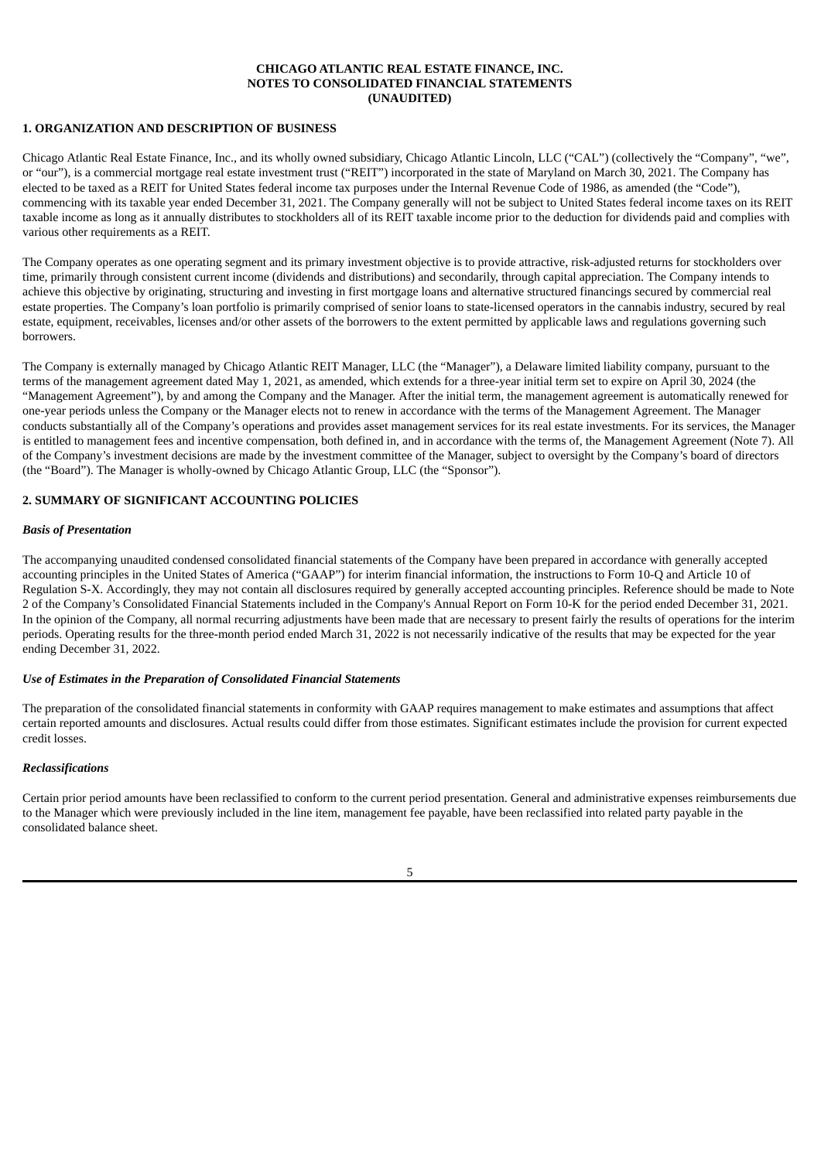## **CHICAGO ATLANTIC REAL ESTATE FINANCE, INC. NOTES TO CONSOLIDATED FINANCIAL STATEMENTS (UNAUDITED)**

## <span id="page-6-0"></span>**1. ORGANIZATION AND DESCRIPTION OF BUSINESS**

Chicago Atlantic Real Estate Finance, Inc., and its wholly owned subsidiary, Chicago Atlantic Lincoln, LLC ("CAL") (collectively the "Company", "we", or "our"), is a commercial mortgage real estate investment trust ("REIT") incorporated in the state of Maryland on March 30, 2021. The Company has elected to be taxed as a REIT for United States federal income tax purposes under the Internal Revenue Code of 1986, as amended (the "Code"), commencing with its taxable year ended December 31, 2021. The Company generally will not be subject to United States federal income taxes on its REIT taxable income as long as it annually distributes to stockholders all of its REIT taxable income prior to the deduction for dividends paid and complies with various other requirements as a REIT.

The Company operates as one operating segment and its primary investment objective is to provide attractive, risk-adjusted returns for stockholders over time, primarily through consistent current income (dividends and distributions) and secondarily, through capital appreciation. The Company intends to achieve this objective by originating, structuring and investing in first mortgage loans and alternative structured financings secured by commercial real estate properties. The Company's loan portfolio is primarily comprised of senior loans to state-licensed operators in the cannabis industry, secured by real estate, equipment, receivables, licenses and/or other assets of the borrowers to the extent permitted by applicable laws and regulations governing such borrowers.

The Company is externally managed by Chicago Atlantic REIT Manager, LLC (the "Manager"), a Delaware limited liability company, pursuant to the terms of the management agreement dated May 1, 2021, as amended, which extends for a three-year initial term set to expire on April 30, 2024 (the "Management Agreement"), by and among the Company and the Manager. After the initial term, the management agreement is automatically renewed for one-year periods unless the Company or the Manager elects not to renew in accordance with the terms of the Management Agreement. The Manager conducts substantially all of the Company's operations and provides asset management services for its real estate investments. For its services, the Manager is entitled to management fees and incentive compensation, both defined in, and in accordance with the terms of, the Management Agreement (Note 7). All of the Company's investment decisions are made by the investment committee of the Manager, subject to oversight by the Company's board of directors (the "Board"). The Manager is wholly-owned by Chicago Atlantic Group, LLC (the "Sponsor").

## **2. SUMMARY OF SIGNIFICANT ACCOUNTING POLICIES**

#### *Basis of Presentation*

The accompanying unaudited condensed consolidated financial statements of the Company have been prepared in accordance with generally accepted accounting principles in the United States of America ("GAAP") for interim financial information, the instructions to Form 10-Q and Article 10 of Regulation S-X. Accordingly, they may not contain all disclosures required by generally accepted accounting principles. Reference should be made to Note 2 of the Company's Consolidated Financial Statements included in the Company's Annual Report on Form 10-K for the period ended December 31, 2021. In the opinion of the Company, all normal recurring adjustments have been made that are necessary to present fairly the results of operations for the interim periods. Operating results for the three-month period ended March 31, 2022 is not necessarily indicative of the results that may be expected for the year ending December 31, 2022.

## *Use of Estimates in the Preparation of Consolidated Financial Statements*

The preparation of the consolidated financial statements in conformity with GAAP requires management to make estimates and assumptions that affect certain reported amounts and disclosures. Actual results could differ from those estimates. Significant estimates include the provision for current expected credit losses.

#### *Reclassifications*

Certain prior period amounts have been reclassified to conform to the current period presentation. General and administrative expenses reimbursements due to the Manager which were previously included in the line item, management fee payable, have been reclassified into related party payable in the consolidated balance sheet.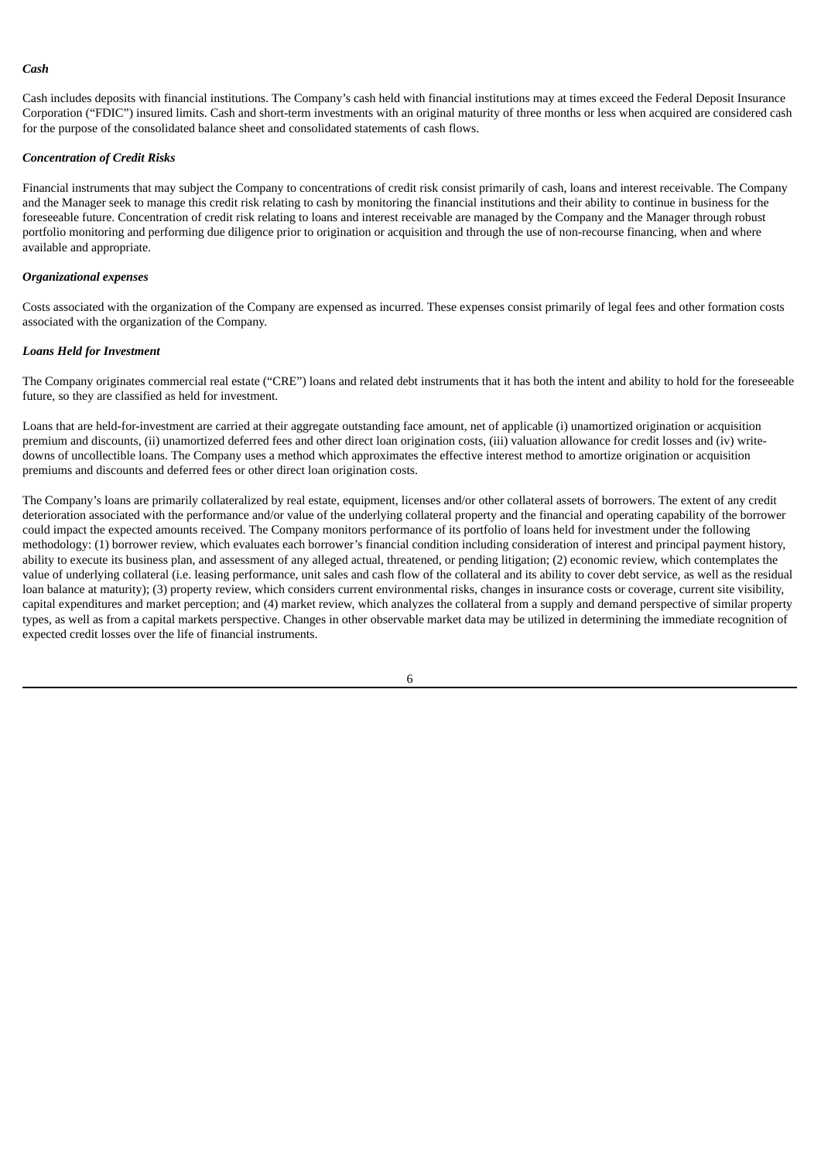## *Cash*

Cash includes deposits with financial institutions. The Company's cash held with financial institutions may at times exceed the Federal Deposit Insurance Corporation ("FDIC") insured limits. Cash and short-term investments with an original maturity of three months or less when acquired are considered cash for the purpose of the consolidated balance sheet and consolidated statements of cash flows.

### *Concentration of Credit Risks*

Financial instruments that may subject the Company to concentrations of credit risk consist primarily of cash, loans and interest receivable. The Company and the Manager seek to manage this credit risk relating to cash by monitoring the financial institutions and their ability to continue in business for the foreseeable future. Concentration of credit risk relating to loans and interest receivable are managed by the Company and the Manager through robust portfolio monitoring and performing due diligence prior to origination or acquisition and through the use of non-recourse financing, when and where available and appropriate.

#### *Organizational expenses*

Costs associated with the organization of the Company are expensed as incurred. These expenses consist primarily of legal fees and other formation costs associated with the organization of the Company.

#### *Loans Held for Investment*

The Company originates commercial real estate ("CRE") loans and related debt instruments that it has both the intent and ability to hold for the foreseeable future, so they are classified as held for investment.

Loans that are held-for-investment are carried at their aggregate outstanding face amount, net of applicable (i) unamortized origination or acquisition premium and discounts, (ii) unamortized deferred fees and other direct loan origination costs, (iii) valuation allowance for credit losses and (iv) writedowns of uncollectible loans. The Company uses a method which approximates the effective interest method to amortize origination or acquisition premiums and discounts and deferred fees or other direct loan origination costs.

The Company's loans are primarily collateralized by real estate, equipment, licenses and/or other collateral assets of borrowers. The extent of any credit deterioration associated with the performance and/or value of the underlying collateral property and the financial and operating capability of the borrower could impact the expected amounts received. The Company monitors performance of its portfolio of loans held for investment under the following methodology: (1) borrower review, which evaluates each borrower's financial condition including consideration of interest and principal payment history, ability to execute its business plan, and assessment of any alleged actual, threatened, or pending litigation; (2) economic review, which contemplates the value of underlying collateral (i.e. leasing performance, unit sales and cash flow of the collateral and its ability to cover debt service, as well as the residual loan balance at maturity); (3) property review, which considers current environmental risks, changes in insurance costs or coverage, current site visibility, capital expenditures and market perception; and (4) market review, which analyzes the collateral from a supply and demand perspective of similar property types, as well as from a capital markets perspective. Changes in other observable market data may be utilized in determining the immediate recognition of expected credit losses over the life of financial instruments.

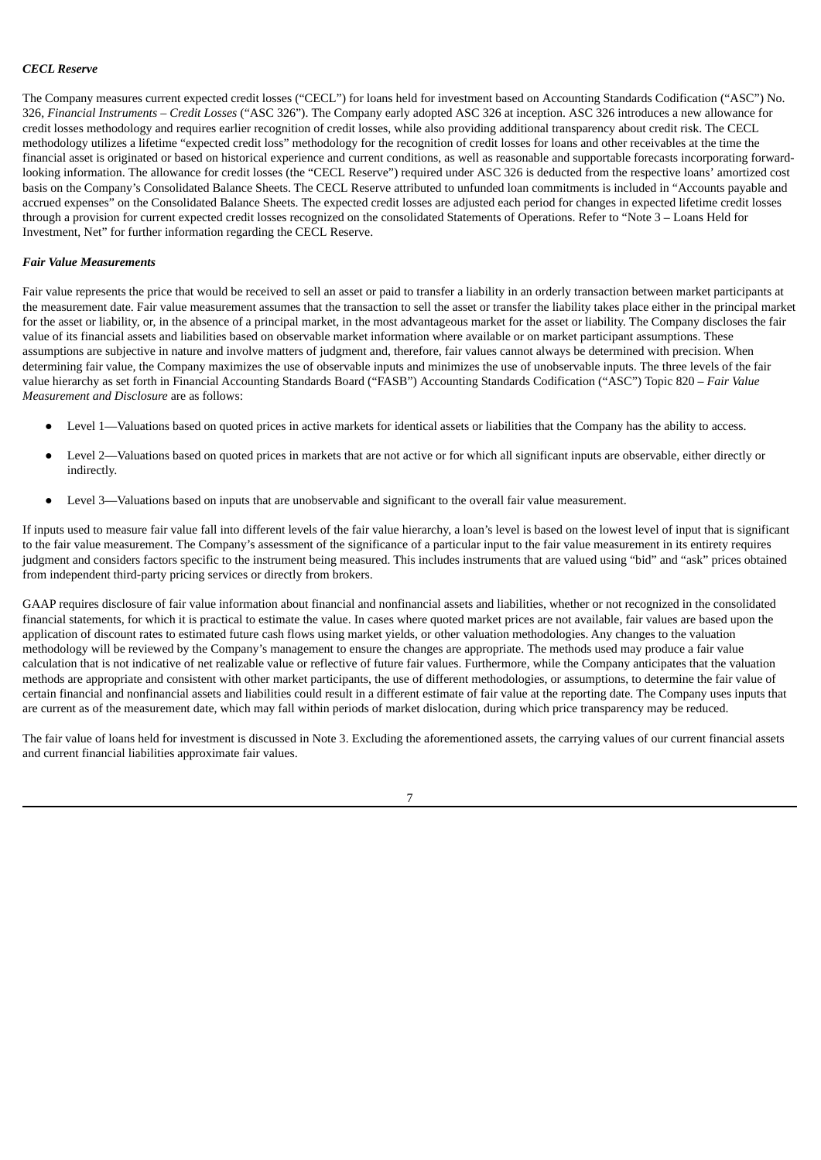## *CECL Reserve*

The Company measures current expected credit losses ("CECL") for loans held for investment based on Accounting Standards Codification ("ASC") No. 326, *Financial Instruments – Credit Losses* ("ASC 326"). The Company early adopted ASC 326 at inception. ASC 326 introduces a new allowance for credit losses methodology and requires earlier recognition of credit losses, while also providing additional transparency about credit risk. The CECL methodology utilizes a lifetime "expected credit loss" methodology for the recognition of credit losses for loans and other receivables at the time the financial asset is originated or based on historical experience and current conditions, as well as reasonable and supportable forecasts incorporating forwardlooking information. The allowance for credit losses (the "CECL Reserve") required under ASC 326 is deducted from the respective loans' amortized cost basis on the Company's Consolidated Balance Sheets. The CECL Reserve attributed to unfunded loan commitments is included in "Accounts payable and accrued expenses" on the Consolidated Balance Sheets. The expected credit losses are adjusted each period for changes in expected lifetime credit losses through a provision for current expected credit losses recognized on the consolidated Statements of Operations. Refer to "Note 3 – Loans Held for Investment, Net" for further information regarding the CECL Reserve.

## *Fair Value Measurements*

Fair value represents the price that would be received to sell an asset or paid to transfer a liability in an orderly transaction between market participants at the measurement date. Fair value measurement assumes that the transaction to sell the asset or transfer the liability takes place either in the principal market for the asset or liability, or, in the absence of a principal market, in the most advantageous market for the asset or liability. The Company discloses the fair value of its financial assets and liabilities based on observable market information where available or on market participant assumptions. These assumptions are subjective in nature and involve matters of judgment and, therefore, fair values cannot always be determined with precision. When determining fair value, the Company maximizes the use of observable inputs and minimizes the use of unobservable inputs. The three levels of the fair value hierarchy as set forth in Financial Accounting Standards Board ("FASB") Accounting Standards Codification ("ASC") Topic 820 – *Fair Value Measurement and Disclosure* are as follows:

- Level 1—Valuations based on quoted prices in active markets for identical assets or liabilities that the Company has the ability to access.
- Level 2—Valuations based on quoted prices in markets that are not active or for which all significant inputs are observable, either directly or indirectly.
- Level 3—Valuations based on inputs that are unobservable and significant to the overall fair value measurement.

If inputs used to measure fair value fall into different levels of the fair value hierarchy, a loan's level is based on the lowest level of input that is significant to the fair value measurement. The Company's assessment of the significance of a particular input to the fair value measurement in its entirety requires judgment and considers factors specific to the instrument being measured. This includes instruments that are valued using "bid" and "ask" prices obtained from independent third-party pricing services or directly from brokers.

GAAP requires disclosure of fair value information about financial and nonfinancial assets and liabilities, whether or not recognized in the consolidated financial statements, for which it is practical to estimate the value. In cases where quoted market prices are not available, fair values are based upon the application of discount rates to estimated future cash flows using market yields, or other valuation methodologies. Any changes to the valuation methodology will be reviewed by the Company's management to ensure the changes are appropriate. The methods used may produce a fair value calculation that is not indicative of net realizable value or reflective of future fair values. Furthermore, while the Company anticipates that the valuation methods are appropriate and consistent with other market participants, the use of different methodologies, or assumptions, to determine the fair value of certain financial and nonfinancial assets and liabilities could result in a different estimate of fair value at the reporting date. The Company uses inputs that are current as of the measurement date, which may fall within periods of market dislocation, during which price transparency may be reduced.

The fair value of loans held for investment is discussed in Note 3. Excluding the aforementioned assets, the carrying values of our current financial assets and current financial liabilities approximate fair values.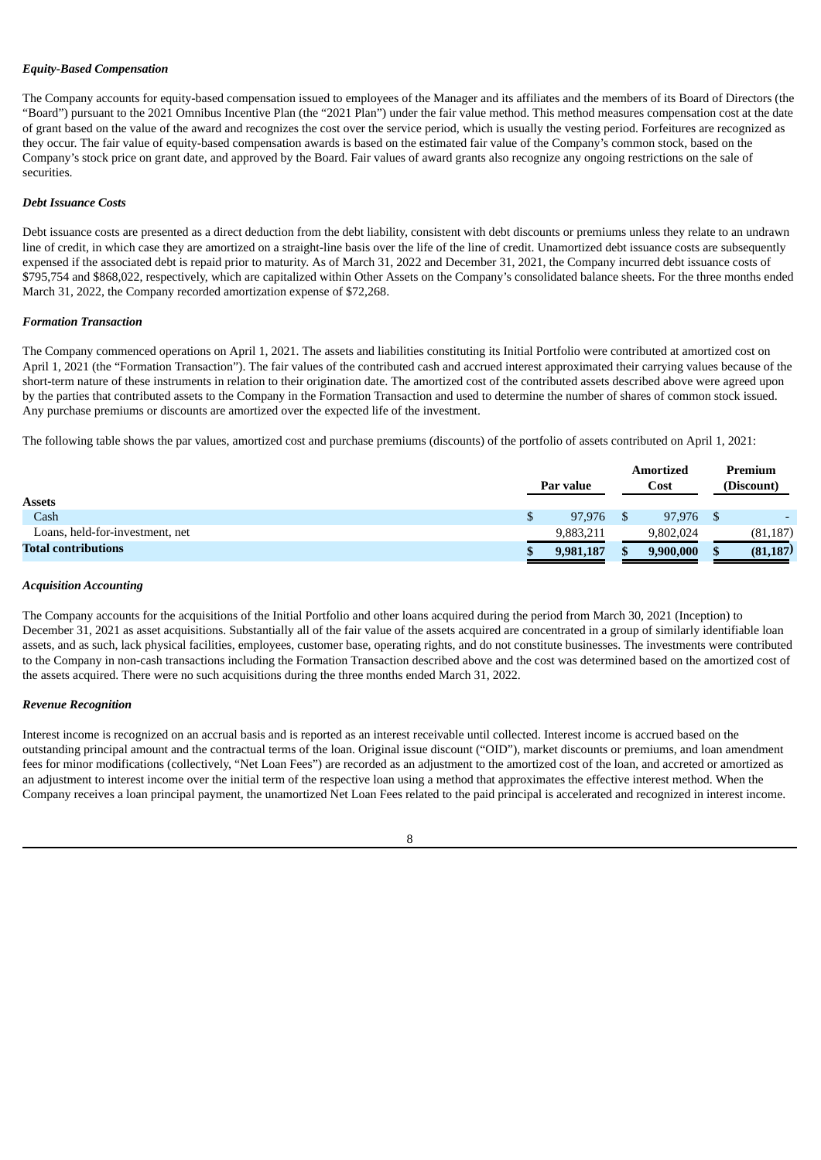## *Equity-Based Compensation*

The Company accounts for equity-based compensation issued to employees of the Manager and its affiliates and the members of its Board of Directors (the "Board") pursuant to the 2021 Omnibus Incentive Plan (the "2021 Plan") under the fair value method. This method measures compensation cost at the date of grant based on the value of the award and recognizes the cost over the service period, which is usually the vesting period. Forfeitures are recognized as they occur. The fair value of equity-based compensation awards is based on the estimated fair value of the Company's common stock, based on the Company's stock price on grant date, and approved by the Board. Fair values of award grants also recognize any ongoing restrictions on the sale of securities.

## *Debt Issuance Costs*

Debt issuance costs are presented as a direct deduction from the debt liability, consistent with debt discounts or premiums unless they relate to an undrawn line of credit, in which case they are amortized on a straight-line basis over the life of the line of credit. Unamortized debt issuance costs are subsequently expensed if the associated debt is repaid prior to maturity. As of March 31, 2022 and December 31, 2021, the Company incurred debt issuance costs of \$795,754 and \$868,022, respectively, which are capitalized within Other Assets on the Company's consolidated balance sheets. For the three months ended March 31, 2022, the Company recorded amortization expense of \$72,268.

#### *Formation Transaction*

The Company commenced operations on April 1, 2021. The assets and liabilities constituting its Initial Portfolio were contributed at amortized cost on April 1, 2021 (the "Formation Transaction"). The fair values of the contributed cash and accrued interest approximated their carrying values because of the short-term nature of these instruments in relation to their origination date. The amortized cost of the contributed assets described above were agreed upon by the parties that contributed assets to the Company in the Formation Transaction and used to determine the number of shares of common stock issued. Any purchase premiums or discounts are amortized over the expected life of the investment.

The following table shows the par values, amortized cost and purchase premiums (discounts) of the portfolio of assets contributed on April 1, 2021:

|                                 | Par value |  | Amortized<br>Cost |  | Premium<br>(Discount) |
|---------------------------------|-----------|--|-------------------|--|-----------------------|
| <b>Assets</b>                   |           |  |                   |  |                       |
| Cash                            | 97,976    |  | 97,976            |  |                       |
| Loans, held-for-investment, net | 9,883,211 |  | 9,802,024         |  | (81, 187)             |
| <b>Total contributions</b>      | 9,981,187 |  | 9,900,000         |  | (81, 187)             |

#### *Acquisition Accounting*

The Company accounts for the acquisitions of the Initial Portfolio and other loans acquired during the period from March 30, 2021 (Inception) to December 31, 2021 as asset acquisitions. Substantially all of the fair value of the assets acquired are concentrated in a group of similarly identifiable loan assets, and as such, lack physical facilities, employees, customer base, operating rights, and do not constitute businesses. The investments were contributed to the Company in non-cash transactions including the Formation Transaction described above and the cost was determined based on the amortized cost of the assets acquired. There were no such acquisitions during the three months ended March 31, 2022.

## *Revenue Recognition*

Interest income is recognized on an accrual basis and is reported as an interest receivable until collected. Interest income is accrued based on the outstanding principal amount and the contractual terms of the loan. Original issue discount ("OID"), market discounts or premiums, and loan amendment fees for minor modifications (collectively, "Net Loan Fees") are recorded as an adjustment to the amortized cost of the loan, and accreted or amortized as an adjustment to interest income over the initial term of the respective loan using a method that approximates the effective interest method. When the Company receives a loan principal payment, the unamortized Net Loan Fees related to the paid principal is accelerated and recognized in interest income.

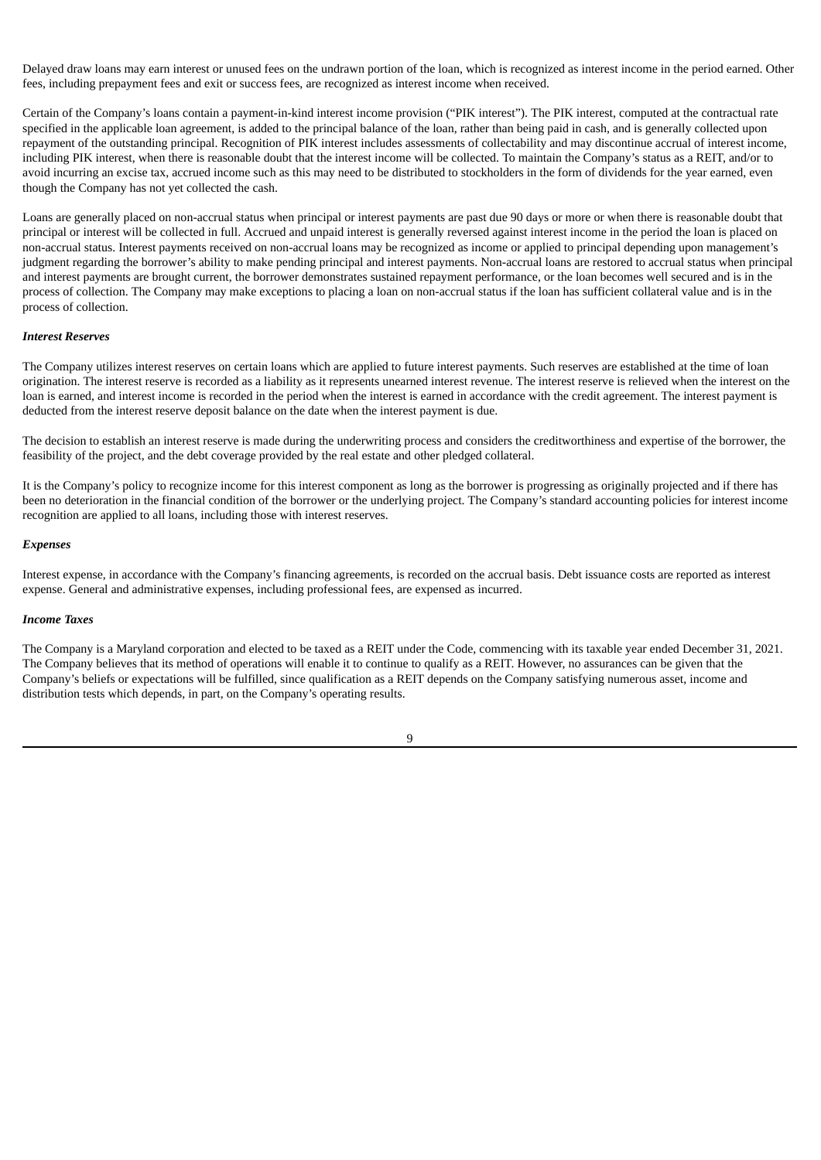Delayed draw loans may earn interest or unused fees on the undrawn portion of the loan, which is recognized as interest income in the period earned. Other fees, including prepayment fees and exit or success fees, are recognized as interest income when received.

Certain of the Company's loans contain a payment-in-kind interest income provision ("PIK interest"). The PIK interest, computed at the contractual rate specified in the applicable loan agreement, is added to the principal balance of the loan, rather than being paid in cash, and is generally collected upon repayment of the outstanding principal. Recognition of PIK interest includes assessments of collectability and may discontinue accrual of interest income, including PIK interest, when there is reasonable doubt that the interest income will be collected. To maintain the Company's status as a REIT, and/or to avoid incurring an excise tax, accrued income such as this may need to be distributed to stockholders in the form of dividends for the year earned, even though the Company has not yet collected the cash.

Loans are generally placed on non-accrual status when principal or interest payments are past due 90 days or more or when there is reasonable doubt that principal or interest will be collected in full. Accrued and unpaid interest is generally reversed against interest income in the period the loan is placed on non-accrual status. Interest payments received on non-accrual loans may be recognized as income or applied to principal depending upon management's judgment regarding the borrower's ability to make pending principal and interest payments. Non-accrual loans are restored to accrual status when principal and interest payments are brought current, the borrower demonstrates sustained repayment performance, or the loan becomes well secured and is in the process of collection. The Company may make exceptions to placing a loan on non-accrual status if the loan has sufficient collateral value and is in the process of collection.

## *Interest Reserves*

The Company utilizes interest reserves on certain loans which are applied to future interest payments. Such reserves are established at the time of loan origination. The interest reserve is recorded as a liability as it represents unearned interest revenue. The interest reserve is relieved when the interest on the loan is earned, and interest income is recorded in the period when the interest is earned in accordance with the credit agreement. The interest payment is deducted from the interest reserve deposit balance on the date when the interest payment is due.

The decision to establish an interest reserve is made during the underwriting process and considers the creditworthiness and expertise of the borrower, the feasibility of the project, and the debt coverage provided by the real estate and other pledged collateral.

It is the Company's policy to recognize income for this interest component as long as the borrower is progressing as originally projected and if there has been no deterioration in the financial condition of the borrower or the underlying project. The Company's standard accounting policies for interest income recognition are applied to all loans, including those with interest reserves.

#### *Expenses*

Interest expense, in accordance with the Company's financing agreements, is recorded on the accrual basis. Debt issuance costs are reported as interest expense. General and administrative expenses, including professional fees, are expensed as incurred.

### *Income Taxes*

The Company is a Maryland corporation and elected to be taxed as a REIT under the Code, commencing with its taxable year ended December 31, 2021. The Company believes that its method of operations will enable it to continue to qualify as a REIT. However, no assurances can be given that the Company's beliefs or expectations will be fulfilled, since qualification as a REIT depends on the Company satisfying numerous asset, income and distribution tests which depends, in part, on the Company's operating results.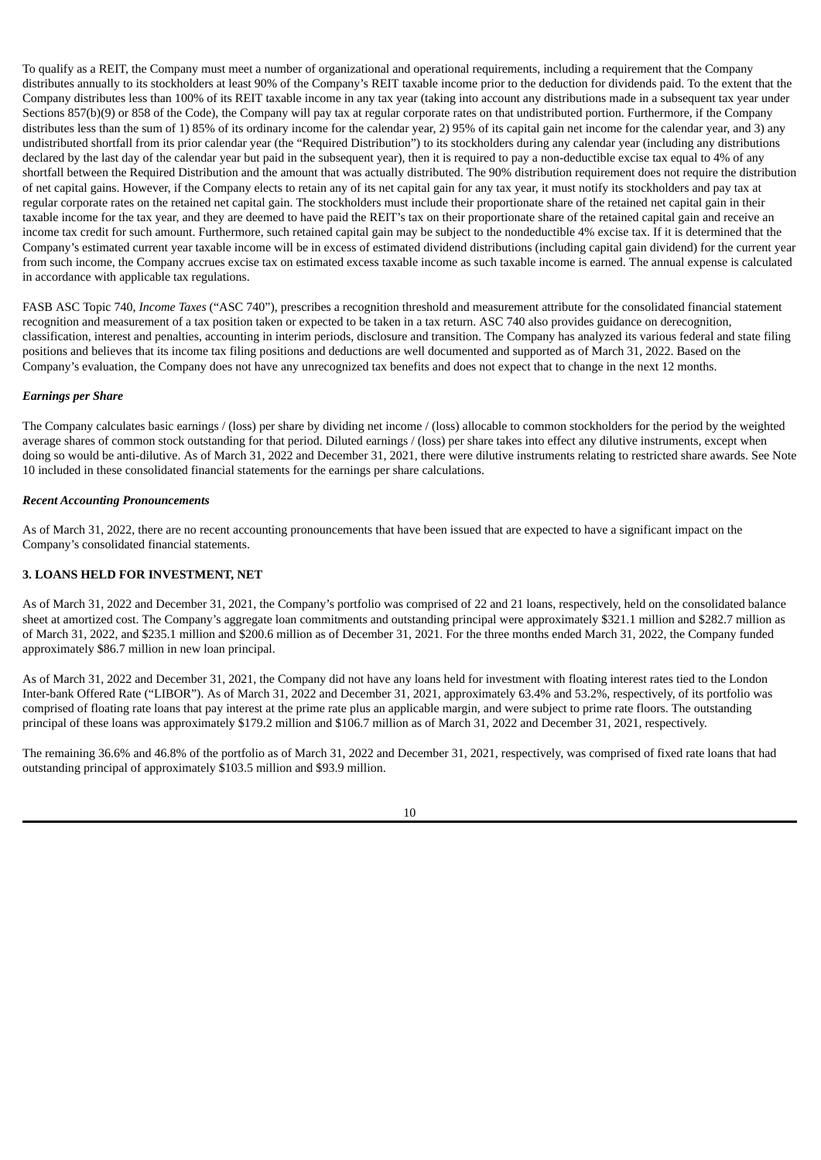To qualify as a REIT, the Company must meet a number of organizational and operational requirements, including a requirement that the Company distributes annually to its stockholders at least 90% of the Company's REIT taxable income prior to the deduction for dividends paid. To the extent that the Company distributes less than 100% of its REIT taxable income in any tax year (taking into account any distributions made in a subsequent tax year under Sections 857(b)(9) or 858 of the Code), the Company will pay tax at regular corporate rates on that undistributed portion. Furthermore, if the Company distributes less than the sum of 1) 85% of its ordinary income for the calendar year, 2) 95% of its capital gain net income for the calendar year, and 3) any undistributed shortfall from its prior calendar year (the "Required Distribution") to its stockholders during any calendar year (including any distributions declared by the last day of the calendar year but paid in the subsequent year), then it is required to pay a non-deductible excise tax equal to 4% of any shortfall between the Required Distribution and the amount that was actually distributed. The 90% distribution requirement does not require the distribution of net capital gains. However, if the Company elects to retain any of its net capital gain for any tax year, it must notify its stockholders and pay tax at regular corporate rates on the retained net capital gain. The stockholders must include their proportionate share of the retained net capital gain in their taxable income for the tax year, and they are deemed to have paid the REIT's tax on their proportionate share of the retained capital gain and receive an income tax credit for such amount. Furthermore, such retained capital gain may be subject to the nondeductible 4% excise tax. If it is determined that the Company's estimated current year taxable income will be in excess of estimated dividend distributions (including capital gain dividend) for the current year from such income, the Company accrues excise tax on estimated excess taxable income as such taxable income is earned. The annual expense is calculated in accordance with applicable tax regulations.

FASB ASC Topic 740, *Income Taxes* ("ASC 740"), prescribes a recognition threshold and measurement attribute for the consolidated financial statement recognition and measurement of a tax position taken or expected to be taken in a tax return. ASC 740 also provides guidance on derecognition, classification, interest and penalties, accounting in interim periods, disclosure and transition. The Company has analyzed its various federal and state filing positions and believes that its income tax filing positions and deductions are well documented and supported as of March 31, 2022. Based on the Company's evaluation, the Company does not have any unrecognized tax benefits and does not expect that to change in the next 12 months.

## *Earnings per Share*

The Company calculates basic earnings / (loss) per share by dividing net income / (loss) allocable to common stockholders for the period by the weighted average shares of common stock outstanding for that period. Diluted earnings / (loss) per share takes into effect any dilutive instruments, except when doing so would be anti-dilutive. As of March 31, 2022 and December 31, 2021, there were dilutive instruments relating to restricted share awards. See Note 10 included in these consolidated financial statements for the earnings per share calculations.

## *Recent Accounting Pronouncements*

As of March 31, 2022, there are no recent accounting pronouncements that have been issued that are expected to have a significant impact on the Company's consolidated financial statements.

## **3. LOANS HELD FOR INVESTMENT, NET**

As of March 31, 2022 and December 31, 2021, the Company's portfolio was comprised of 22 and 21 loans, respectively, held on the consolidated balance sheet at amortized cost. The Company's aggregate loan commitments and outstanding principal were approximately \$321.1 million and \$282.7 million as of March 31, 2022, and \$235.1 million and \$200.6 million as of December 31, 2021. For the three months ended March 31, 2022, the Company funded approximately \$86.7 million in new loan principal.

As of March 31, 2022 and December 31, 2021, the Company did not have any loans held for investment with floating interest rates tied to the London Inter-bank Offered Rate ("LIBOR"). As of March 31, 2022 and December 31, 2021, approximately 63.4% and 53.2%, respectively, of its portfolio was comprised of floating rate loans that pay interest at the prime rate plus an applicable margin, and were subject to prime rate floors. The outstanding principal of these loans was approximately \$179.2 million and \$106.7 million as of March 31, 2022 and December 31, 2021, respectively.

The remaining 36.6% and 46.8% of the portfolio as of March 31, 2022 and December 31, 2021, respectively, was comprised of fixed rate loans that had outstanding principal of approximately \$103.5 million and \$93.9 million.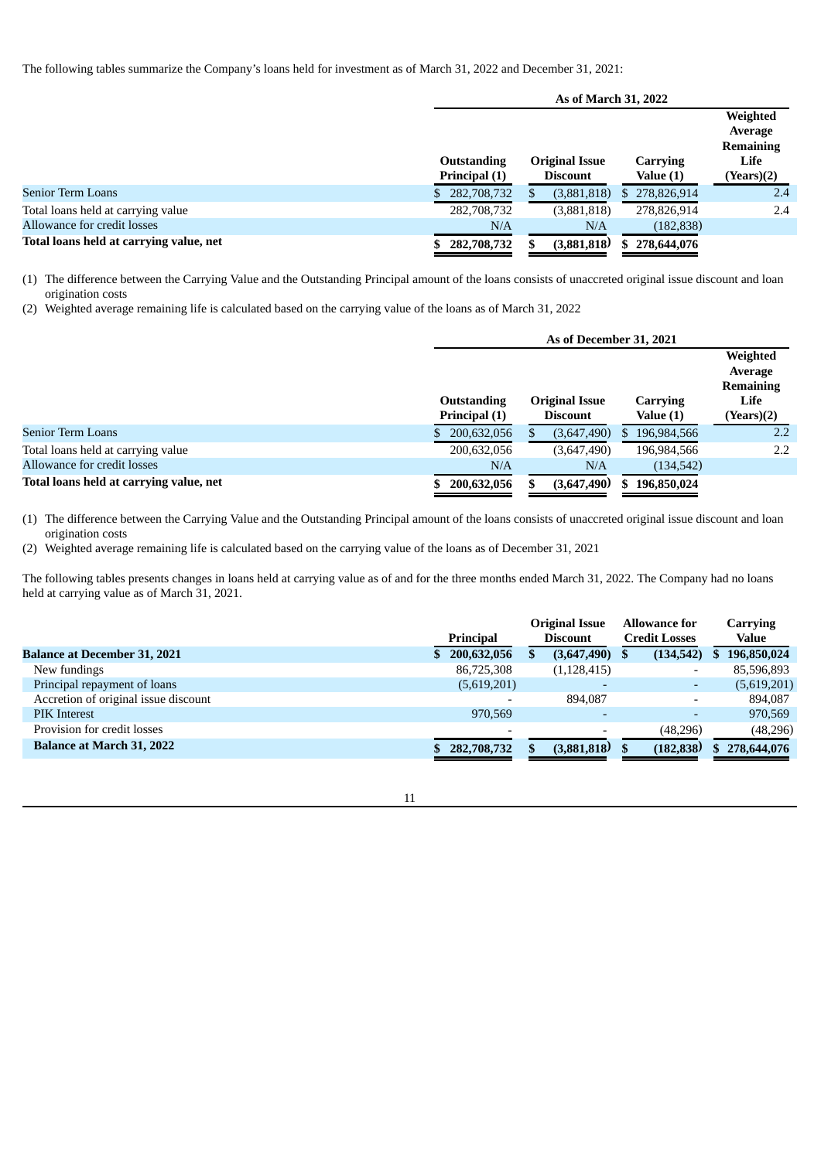The following tables summarize the Company's loans held for investment as of March 31, 2022 and December 31, 2021:

|                                         | As of March 31, 2022                |                                          |                       |                                                               |  |
|-----------------------------------------|-------------------------------------|------------------------------------------|-----------------------|---------------------------------------------------------------|--|
|                                         | <b>Outstanding</b><br>Principal (1) | <b>Original Issue</b><br><b>Discount</b> | Carrying<br>Value (1) | Weighted<br>Average<br><b>Remaining</b><br>Life<br>(Years)(2) |  |
| <b>Senior Term Loans</b>                | 282,708,732                         | (3,881,818)                              | 278,826,914<br>S.     | 2.4                                                           |  |
| Total loans held at carrying value      | 282,708,732                         | (3,881,818)                              | 278,826,914           | 2.4                                                           |  |
| Allowance for credit losses             | N/A                                 | N/A                                      | (182, 838)            |                                                               |  |
| Total loans held at carrying value, net | 282,708,732                         | (3,881,818)                              | 278,644,076           |                                                               |  |

(1) The difference between the Carrying Value and the Outstanding Principal amount of the loans consists of unaccreted original issue discount and loan origination costs

(2) Weighted average remaining life is calculated based on the carrying value of the loans as of March 31, 2022

|                                         | As of December 31, 2021             |                                          |                       |                                                               |  |
|-----------------------------------------|-------------------------------------|------------------------------------------|-----------------------|---------------------------------------------------------------|--|
|                                         | <b>Outstanding</b><br>Principal (1) | <b>Original Issue</b><br><b>Discount</b> | Carrying<br>Value (1) | Weighted<br>Average<br><b>Remaining</b><br>Life<br>(Years)(2) |  |
| Senior Term Loans                       | 200,632,056                         | (3,647,490)                              | 196,984,566           | 2.2                                                           |  |
| Total loans held at carrying value      | 200,632,056                         | (3,647,490)                              | 196,984,566           | 2.2                                                           |  |
| Allowance for credit losses             | N/A                                 | N/A                                      | (134, 542)            |                                                               |  |
| Total loans held at carrying value, net | 200,632,056                         | (3,647,490)                              | 196,850,024           |                                                               |  |

(1) The difference between the Carrying Value and the Outstanding Principal amount of the loans consists of unaccreted original issue discount and loan origination costs

(2) Weighted average remaining life is calculated based on the carrying value of the loans as of December 31, 2021

The following tables presents changes in loans held at carrying value as of and for the three months ended March 31, 2022. The Company had no loans held at carrying value as of March 31, 2021.

|                          | <b>Original Issue</b>    | <b>Allowance for</b>     | Carrying          |
|--------------------------|--------------------------|--------------------------|-------------------|
| <b>Principal</b>         | <b>Discount</b>          | <b>Credit Losses</b>     | Value             |
| 200,632,056              | (3,647,490)              | (134, 542)               | 196,850,024<br>S. |
| 86,725,308               | (1,128,415)              | -                        | 85,596,893        |
| (5,619,201)              | $\overline{\phantom{0}}$ | $\overline{\phantom{0}}$ | (5,619,201)       |
|                          | 894.087                  | $\overline{\phantom{0}}$ | 894,087           |
| 970.569                  | $\overline{\phantom{0}}$ | $\overline{\phantom{0}}$ | 970,569           |
| $\overline{\phantom{0}}$ | $\overline{\phantom{0}}$ | (48,296)                 | (48,296)          |
| 282,708,732              | (3,881,818)              | (182, 838)               | 278,644,076<br>S. |
|                          |                          |                          |                   |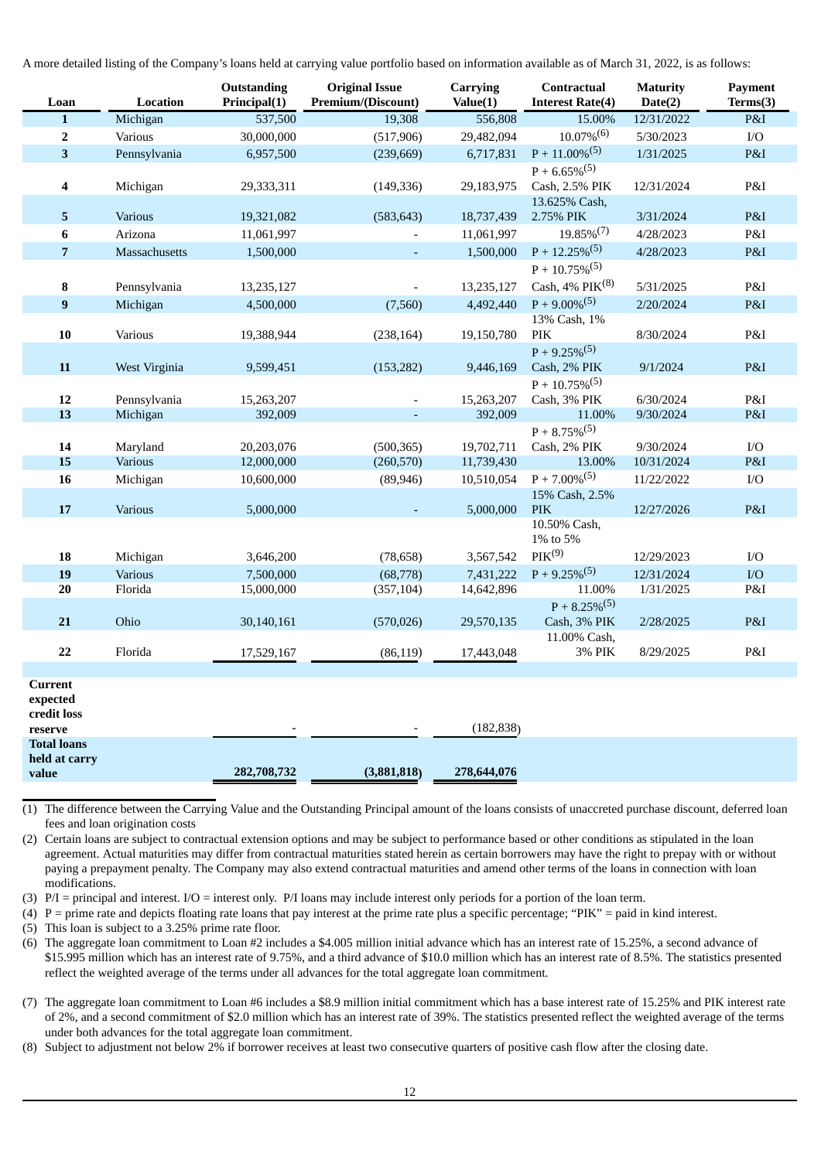A more detailed listing of the Company's loans held at carrying value portfolio based on information available as of March 31, 2022, is as follows:

| Loan                                                 | <b>Location</b>          | <b>Outstanding</b><br>Principal(1) | <b>Original Issue</b><br><b>Premium/(Discount)</b> | <b>Carrying</b><br>Value(1) | Contractual<br><b>Interest Rate(4)</b>                 | <b>Maturity</b><br>Date(2) | Payment<br>Terms(3) |
|------------------------------------------------------|--------------------------|------------------------------------|----------------------------------------------------|-----------------------------|--------------------------------------------------------|----------------------------|---------------------|
| $\mathbf{1}$                                         | Michigan                 | 537,500                            | 19,308                                             | 556,808                     | 15.00%                                                 | 12/31/2022                 | P&I                 |
| $\mathbf{2}$                                         | Various                  | 30,000,000                         | (517,906)                                          | 29,482,094                  | $10.07\%$ <sup>(6)</sup>                               | 5/30/2023                  | $\rm I/O$           |
| $\overline{\mathbf{3}}$                              | Pennsylvania             | 6,957,500                          | (239, 669)                                         | 6,717,831                   | $P + 11.00\%^{(5)}$                                    | 1/31/2025                  | P&I                 |
| $\boldsymbol{4}$                                     | Michigan                 | 29,333,311                         | (149, 336)                                         | 29,183,975                  | $P + 6.65\%^{(5)}$<br>Cash, 2.5% PIK                   | 12/31/2024                 | P&I                 |
| $\overline{\mathbf{5}}$                              | <b>Various</b>           | 19,321,082                         | (583, 643)                                         | 18,737,439                  | 13.625% Cash,<br>2.75% PIK                             | 3/31/2024                  | P&I                 |
| $6\phantom{1}$                                       | Arizona                  | 11,061,997                         |                                                    | 11,061,997                  | $19.85\%^{(7)}$                                        | 4/28/2023                  | P&I                 |
| $\overline{7}$                                       | Massachusetts            | 1,500,000                          |                                                    | 1,500,000                   | $P + 12.25\%^{(5)}$                                    | 4/28/2023                  | P&I                 |
|                                                      |                          |                                    |                                                    |                             | $P + 10.75\%$ <sup>(5)</sup>                           |                            |                     |
| $\pmb{8}$                                            | Pennsylvania             | 13,235,127                         |                                                    | 13,235,127                  | Cash, $4\%$ PIK $^{(8)}$                               | 5/31/2025                  | P&I                 |
| 9                                                    | Michigan                 | 4,500,000                          | (7,560)                                            | 4,492,440                   | $P + 9.00\%^{(5)}$                                     | 2/20/2024                  | P&I                 |
| ${\bf 10}$                                           | Various                  | 19,388,944                         | (238, 164)                                         | 19,150,780                  | 13% Cash, 1%<br>PIK                                    | 8/30/2024                  | P&I                 |
| 11                                                   | West Virginia            | 9,599,451                          | (153, 282)                                         | 9,446,169                   | $P + 9.25\%^{(5)}$<br>Cash, 2% PIK                     | 9/1/2024                   | P&I                 |
| 12<br>13                                             | Pennsylvania<br>Michigan | 15,263,207<br>392,009              |                                                    | 15,263,207<br>392,009       | $P + 10.75\%$ <sup>(5)</sup><br>Cash, 3% PIK<br>11.00% | 6/30/2024<br>9/30/2024     | P&I<br>P&I          |
|                                                      |                          |                                    |                                                    |                             | $P + 8.75\%^{(5)}$                                     |                            |                     |
| 14                                                   | Maryland                 | 20,203,076                         | (500, 365)                                         | 19,702,711                  | Cash, 2% PIK                                           | 9/30/2024                  | ${\rm I/O}$         |
| 15                                                   | <b>Various</b>           | 12,000,000                         | (260, 570)                                         | 11,739,430                  | 13.00%                                                 | 10/31/2024                 | P&I                 |
| ${\bf 16}$                                           | Michigan                 | 10,600,000                         | (89, 946)                                          | 10,510,054                  | $P + 7.00\%^{(5)}$                                     | 11/22/2022                 | $\rm I/O$           |
| 17                                                   | Various                  | 5,000,000                          |                                                    | 5,000,000                   | 15% Cash, 2.5%<br>PIK                                  | 12/27/2026                 | P&I                 |
|                                                      |                          |                                    |                                                    |                             | 10.50% Cash,<br>1% to 5%                               |                            |                     |
| 18                                                   | Michigan                 | 3,646,200                          | (78, 658)                                          | 3,567,542                   | PIK <sup>(9)</sup>                                     | 12/29/2023                 | I/O                 |
| 19                                                   | <b>Various</b>           | 7,500,000                          | (68,778)                                           | 7,431,222                   | $P + 9.25\%^{(5)}$                                     | 12/31/2024                 | $\rm I/O$           |
| $20\,$                                               | Florida                  | 15,000,000                         | (357, 104)                                         | 14,642,896                  | 11.00%<br>$P + 8.25\%^{(5)}$                           | 1/31/2025                  | P&I                 |
| 21                                                   | Ohio                     | 30,140,161                         | (570, 026)                                         | 29,570,135                  | Cash, 3% PIK                                           | 2/28/2025                  | P&I                 |
|                                                      |                          |                                    |                                                    |                             | 11.00% Cash,                                           |                            |                     |
| $22\,$                                               | Florida                  | 17,529,167                         | (86, 119)                                          | 17,443,048                  | 3% PIK                                                 | 8/29/2025                  | P&I                 |
| <b>Current</b><br>expected<br>credit loss<br>reserve |                          |                                    |                                                    | (182, 838)                  |                                                        |                            |                     |
| <b>Total loans</b><br>held at carry<br>value         |                          | 282,708,732                        | (3,881,818)                                        | 278,644,076                 |                                                        |                            |                     |

 $(1)$  The difference between the Carrying Value and the Outstanding Principal amount of the loans consists of unaccreted purchase discount, deferred loan fees and loan origination costs

(2) Certain loans are subject to contractual extension options and may be subject to performance based or other conditions as stipulated in the loan agreement. Actual maturities may differ from contractual maturities stated herein as certain borrowers may have the right to prepay with or without paying a prepayment penalty. The Company may also extend contractual maturities and amend other terms of the loans in connection with loan modifications.

(3)  $P/I =$  principal and interest.  $I/O =$  interest only.  $P/I$  loans may include interest only periods for a portion of the loan term.

(4) P = prime rate and depicts floating rate loans that pay interest at the prime rate plus a specific percentage; "PIK" = paid in kind interest.

(5) This loan is subject to a 3.25% prime rate floor.

(6) The aggregate loan commitment to Loan #2 includes a \$4.005 million initial advance which has an interest rate of 15.25%, a second advance of \$15.995 million which has an interest rate of 9.75%, and a third advance of \$10.0 million which has an interest rate of 8.5%. The statistics presented reflect the weighted average of the terms under all advances for the total aggregate loan commitment.

(7) The aggregate loan commitment to Loan #6 includes a \$8.9 million initial commitment which has a base interest rate of 15.25% and PIK interest rate of 2%, and a second commitment of \$2.0 million which has an interest rate of 39%. The statistics presented reflect the weighted average of the terms under both advances for the total aggregate loan commitment.

(8) Subject to adjustment not below 2% if borrower receives at least two consecutive quarters of positive cash flow after the closing date.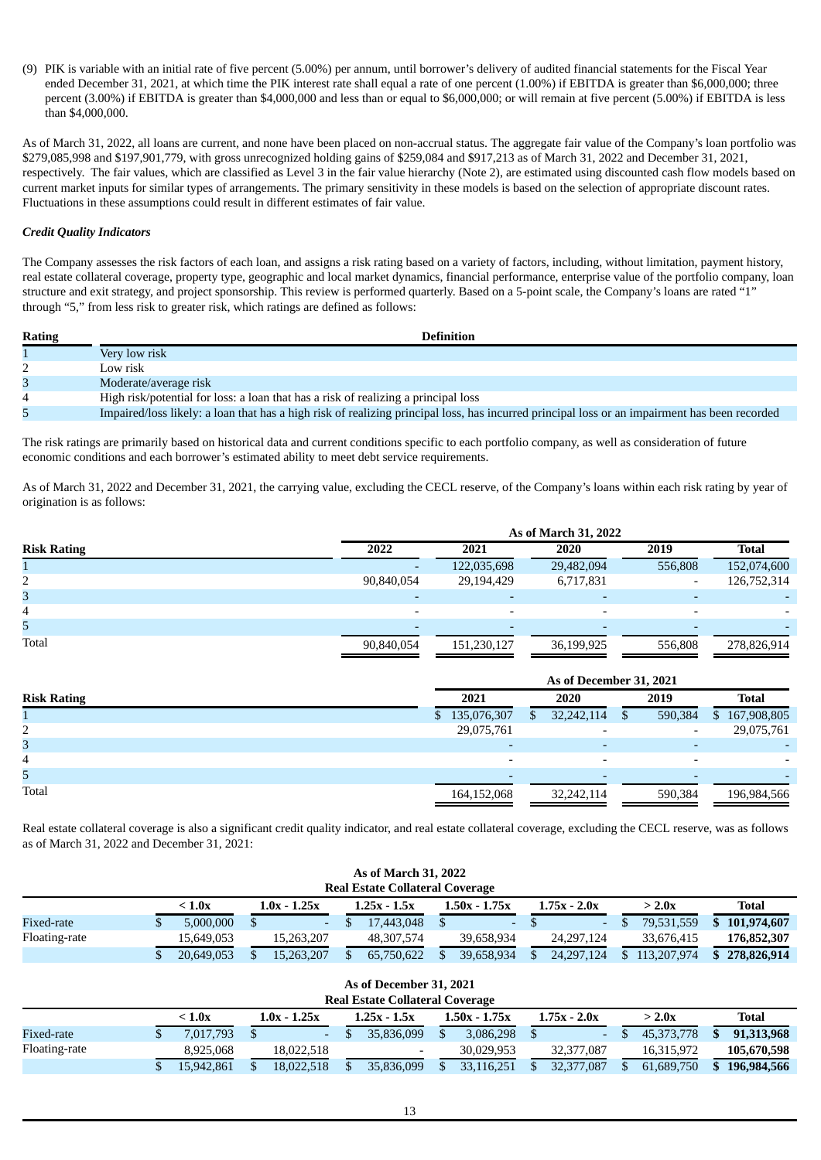(9) PIK is variable with an initial rate of five percent (5.00%) per annum, until borrower's delivery of audited financial statements for the Fiscal Year ended December 31, 2021, at which time the PIK interest rate shall equal a rate of one percent (1.00%) if EBITDA is greater than \$6,000,000; three percent (3.00%) if EBITDA is greater than \$4,000,000 and less than or equal to \$6,000,000; or will remain at five percent (5.00%) if EBITDA is less than \$4,000,000.

As of March 31, 2022, all loans are current, and none have been placed on non-accrual status. The aggregate fair value of the Company's loan portfolio was \$279,085,998 and \$197,901,779, with gross unrecognized holding gains of \$259,084 and \$917,213 as of March 31, 2022 and December 31, 2021, respectively. The fair values, which are classified as Level 3 in the fair value hierarchy (Note 2), are estimated using discounted cash flow models based on current market inputs for similar types of arrangements. The primary sensitivity in these models is based on the selection of appropriate discount rates. Fluctuations in these assumptions could result in different estimates of fair value.

## *Credit Quality Indicators*

The Company assesses the risk factors of each loan, and assigns a risk rating based on a variety of factors, including, without limitation, payment history, real estate collateral coverage, property type, geographic and local market dynamics, financial performance, enterprise value of the portfolio company, loan structure and exit strategy, and project sponsorship. This review is performed quarterly. Based on a 5-point scale, the Company's loans are rated "1" through "5," from less risk to greater risk, which ratings are defined as follows:

| <b>Rating</b>  | <b>Definition</b>                                                                                                                             |
|----------------|-----------------------------------------------------------------------------------------------------------------------------------------------|
|                | Very low risk                                                                                                                                 |
|                | Low risk                                                                                                                                      |
|                | Moderate/average risk                                                                                                                         |
| $\overline{4}$ | High risk/potential for loss: a loan that has a risk of realizing a principal loss                                                            |
|                | Impaired/loss likely: a loan that has a high risk of realizing principal loss, has incurred principal loss or an impairment has been recorded |

The risk ratings are primarily based on historical data and current conditions specific to each portfolio company, as well as consideration of future economic conditions and each borrower's estimated ability to meet debt service requirements.

As of March 31, 2022 and December 31, 2021, the carrying value, excluding the CECL reserve, of the Company's loans within each risk rating by year of origination is as follows:

|                    | As of March 31, 2022 |                          |                          |                          |             |  |  |  |  |  |  |
|--------------------|----------------------|--------------------------|--------------------------|--------------------------|-------------|--|--|--|--|--|--|
| <b>Risk Rating</b> | 2022                 | 2021                     | 2020                     | 2019                     | Total       |  |  |  |  |  |  |
|                    | ٠                    | 122,035,698              | 29,482,094               | 556,808                  | 152,074,600 |  |  |  |  |  |  |
| 2                  | 90,840,054           | 29,194,429               | 6,717,831                | $\overline{\phantom{0}}$ | 126,752,314 |  |  |  |  |  |  |
| 3                  | $\sim$               | -                        | $\overline{\phantom{0}}$ | -                        |             |  |  |  |  |  |  |
| 4                  |                      | $\overline{\phantom{0}}$ | $\overline{\phantom{0}}$ |                          |             |  |  |  |  |  |  |
| 5                  | $\sim$               | -                        | -                        | $\sim$                   |             |  |  |  |  |  |  |
| Total              | 90,840,054           | 151,230,127              | 36,199,925               | 556,808                  | 278,826,914 |  |  |  |  |  |  |

|                    | As of December 31, 2021  |                          |  |                          |                   |  |  |  |  |
|--------------------|--------------------------|--------------------------|--|--------------------------|-------------------|--|--|--|--|
| <b>Risk Rating</b> | 2021                     | 2020                     |  | 2019                     | <b>Total</b>      |  |  |  |  |
|                    | 135,076,307<br>S.        | 32,242,114               |  | 590,384                  | 167,908,805<br>S. |  |  |  |  |
| 2                  | 29,075,761               |                          |  | $\overline{\phantom{0}}$ | 29,075,761        |  |  |  |  |
| 3                  | -                        | $\overline{\phantom{a}}$ |  | $\overline{\phantom{0}}$ |                   |  |  |  |  |
| 4                  | $\overline{\phantom{0}}$ | $\overline{\phantom{0}}$ |  | $\overline{\phantom{0}}$ |                   |  |  |  |  |
| 5                  | -                        | -                        |  | $\overline{\phantom{a}}$ |                   |  |  |  |  |
| Total              | 164,152,068              | 32,242,114               |  | 590,384                  | 196,984,566       |  |  |  |  |

Real estate collateral coverage is also a significant credit quality indicator, and real estate collateral coverage, excluding the CECL reserve, was as follows as of March 31, 2022 and December 31, 2021:

| As of March 31, 2022<br><b>Real Estate Collateral Coverage</b> |  |             |  |                |  |              |  |                 |                |             |  |              |
|----------------------------------------------------------------|--|-------------|--|----------------|--|--------------|--|-----------------|----------------|-------------|--|--------------|
|                                                                |  | $\leq 1.0x$ |  | $1.0x - 1.25x$ |  | 1.25x - 1.5x |  | $1.50x - 1.75x$ | $1.75x - 2.0x$ | > 2.0x      |  | <b>Total</b> |
| Fixed-rate                                                     |  | 5,000,000   |  | ۰.             |  | 17,443,048   |  | ٠               | ۰.             | 79,531,559  |  | 101,974,607  |
| Floating-rate                                                  |  | 15,649,053  |  | 15.263.207     |  | 48,307,574   |  | 39,658,934      | 24,297,124     | 33.676.415  |  | 176,852,307  |
|                                                                |  | 20,649,053  |  | 15.263.207     |  | 65,750,622   |  | 39,658,934      | 24.297.124     | 113,207,974 |  | 278,826,914  |

| As of December 31, 2021<br><b>Real Estate Collateral Coverage</b> |  |             |  |                |  |                          |  |                 |  |                |            |  |             |
|-------------------------------------------------------------------|--|-------------|--|----------------|--|--------------------------|--|-----------------|--|----------------|------------|--|-------------|
|                                                                   |  | $\leq 1.0x$ |  | $1.0x - 1.25x$ |  | $1.25x - 1.5x$           |  | $1.50x - 1.75x$ |  | $1.75x - 2.0x$ | > 2.0x     |  | Total       |
| Fixed-rate                                                        |  | 7,017,793   |  | ۰.             |  | 35,836,099               |  | 3,086,298       |  |                | 45,373,778 |  | 91,313,968  |
| Floating-rate                                                     |  | 8.925.068   |  | 18.022.518     |  | $\overline{\phantom{0}}$ |  | 30.029.953      |  | 32, 377, 087   | 16.315.972 |  | 105,670,598 |
|                                                                   |  | 15.942.861  |  | 18.022.518     |  | 35,836,099               |  | 33.116.251      |  | 32, 377, 087   | 61,689,750 |  | 196,984,566 |
|                                                                   |  |             |  |                |  |                          |  |                 |  |                |            |  |             |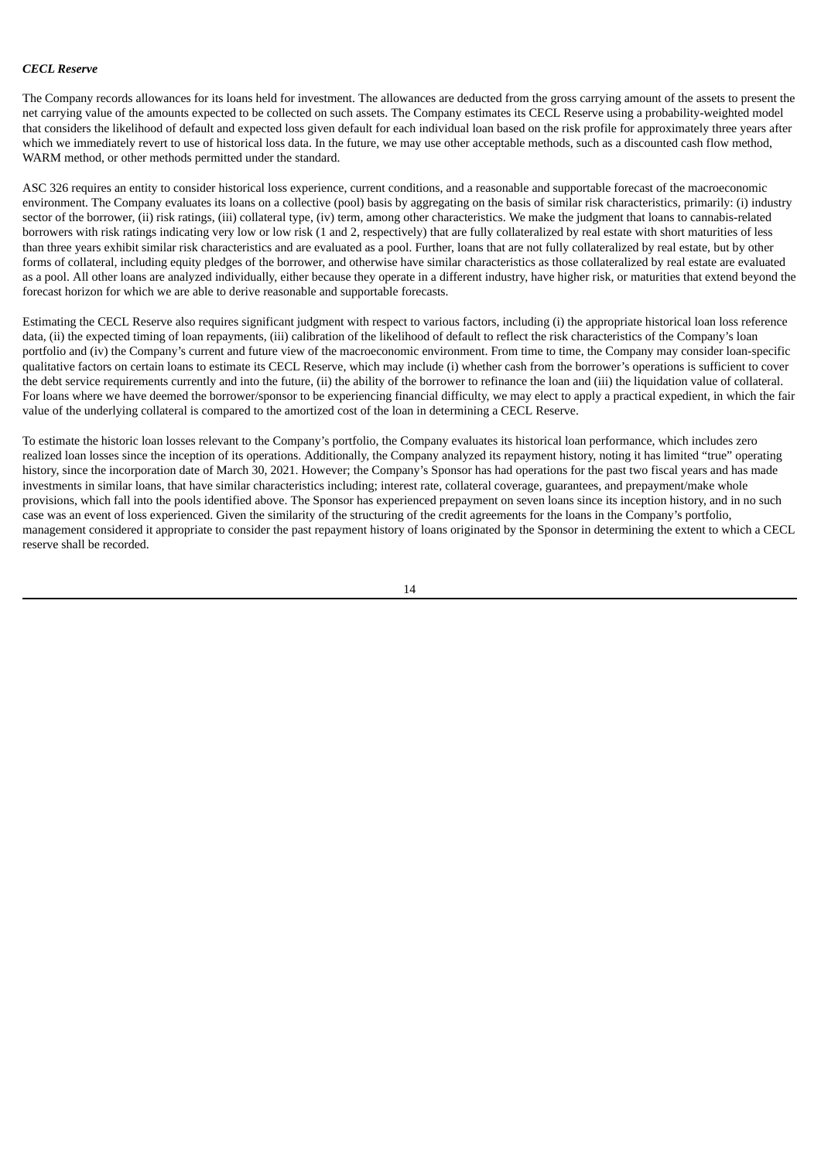## *CECL Reserve*

The Company records allowances for its loans held for investment. The allowances are deducted from the gross carrying amount of the assets to present the net carrying value of the amounts expected to be collected on such assets. The Company estimates its CECL Reserve using a probability-weighted model that considers the likelihood of default and expected loss given default for each individual loan based on the risk profile for approximately three years after which we immediately revert to use of historical loss data. In the future, we may use other acceptable methods, such as a discounted cash flow method, WARM method, or other methods permitted under the standard.

ASC 326 requires an entity to consider historical loss experience, current conditions, and a reasonable and supportable forecast of the macroeconomic environment. The Company evaluates its loans on a collective (pool) basis by aggregating on the basis of similar risk characteristics, primarily: (i) industry sector of the borrower, (ii) risk ratings, (iii) collateral type, (iv) term, among other characteristics. We make the judgment that loans to cannabis-related borrowers with risk ratings indicating very low or low risk (1 and 2, respectively) that are fully collateralized by real estate with short maturities of less than three years exhibit similar risk characteristics and are evaluated as a pool. Further, loans that are not fully collateralized by real estate, but by other forms of collateral, including equity pledges of the borrower, and otherwise have similar characteristics as those collateralized by real estate are evaluated as a pool. All other loans are analyzed individually, either because they operate in a different industry, have higher risk, or maturities that extend beyond the forecast horizon for which we are able to derive reasonable and supportable forecasts.

Estimating the CECL Reserve also requires significant judgment with respect to various factors, including (i) the appropriate historical loan loss reference data, (ii) the expected timing of loan repayments, (iii) calibration of the likelihood of default to reflect the risk characteristics of the Company's loan portfolio and (iv) the Company's current and future view of the macroeconomic environment. From time to time, the Company may consider loan-specific qualitative factors on certain loans to estimate its CECL Reserve, which may include (i) whether cash from the borrower's operations is sufficient to cover the debt service requirements currently and into the future, (ii) the ability of the borrower to refinance the loan and (iii) the liquidation value of collateral. For loans where we have deemed the borrower/sponsor to be experiencing financial difficulty, we may elect to apply a practical expedient, in which the fair value of the underlying collateral is compared to the amortized cost of the loan in determining a CECL Reserve.

To estimate the historic loan losses relevant to the Company's portfolio, the Company evaluates its historical loan performance, which includes zero realized loan losses since the inception of its operations. Additionally, the Company analyzed its repayment history, noting it has limited "true" operating history, since the incorporation date of March 30, 2021. However; the Company's Sponsor has had operations for the past two fiscal years and has made investments in similar loans, that have similar characteristics including; interest rate, collateral coverage, guarantees, and prepayment/make whole provisions, which fall into the pools identified above. The Sponsor has experienced prepayment on seven loans since its inception history, and in no such case was an event of loss experienced. Given the similarity of the structuring of the credit agreements for the loans in the Company's portfolio, management considered it appropriate to consider the past repayment history of loans originated by the Sponsor in determining the extent to which a CECL reserve shall be recorded.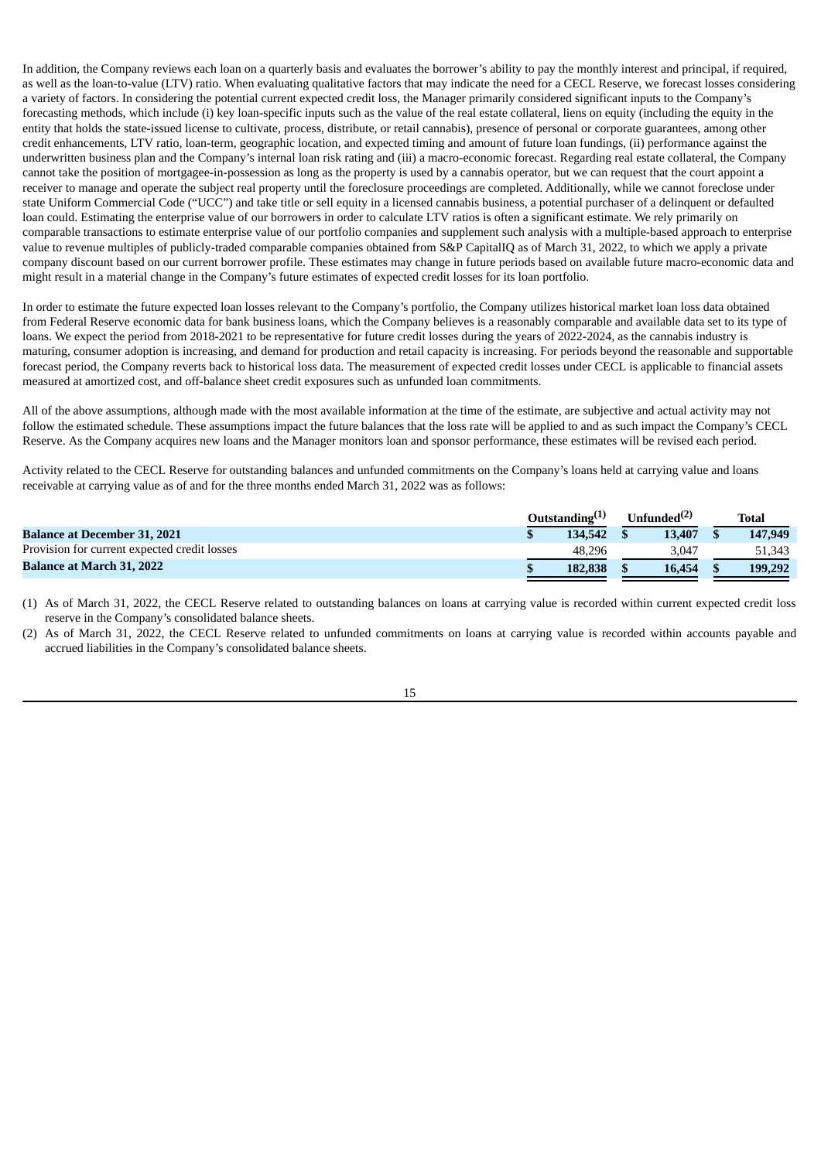In addition, the Company reviews each loan on a quarterly basis and evaluates the borrower's ability to pay the monthly interest and principal, if required, as well as the loan-to-value (LTV) ratio. When evaluating qualitative factors that may indicate the need for a CECL Reserve, we forecast losses considering a variety of factors. In considering the potential current expected credit loss, the Manager primarily considered significant inputs to the Company's forecasting methods, which include (i) key loan-specific inputs such as the value of the real estate collateral, liens on equity (including the equity in the entity that holds the state-issued license to cultivate, process, distribute, or retail cannabis), presence of personal or corporate guarantees, among other credit enhancements, LTV ratio, loan-term, geographic location, and expected timing and amount of future loan fundings, (ii) performance against the underwritten business plan and the Company's internal loan risk rating and (iii) a macro-economic forecast. Regarding real estate collateral, the Company cannot take the position of mortgagee-in-possession as long as the property is used by a cannabis operator, but we can request that the court appoint a receiver to manage and operate the subject real property until the foreclosure proceedings are completed. Additionally, while we cannot foreclose under state Uniform Commercial Code ("UCC") and take title or sell equity in a licensed cannabis business, a potential purchaser of a delinquent or defaulted loan could. Estimating the enterprise value of our borrowers in order to calculate LTV ratios is often a significant estimate. We rely primarily on comparable transactions to estimate enterprise value of our portfolio companies and supplement such analysis with a multiple-based approach to enterprise value to revenue multiples of publicly-traded comparable companies obtained from S&P CapitalIQ as of March 31, 2022, to which we apply a private company discount based on our current borrower profile. These estimates may change in future periods based on available future macro-economic data and might result in a material change in the Company's future estimates of expected credit losses for its loan portfolio.

In order to estimate the future expected loan losses relevant to the Company's portfolio, the Company utilizes historical market loan loss data obtained from Federal Reserve economic data for bank business loans, which the Company believes is a reasonably comparable and available data set to its type of loans. We expect the period from 2018-2021 to be representative for future credit losses during the years of 2022-2024, as the cannabis industry is maturing, consumer adoption is increasing, and demand for production and retail capacity is increasing. For periods beyond the reasonable and supportable forecast period, the Company reverts back to historical loss data. The measurement of expected credit losses under CECL is applicable to financial assets measured at amortized cost, and off-balance sheet credit exposures such as unfunded loan commitments.

All of the above assumptions, although made with the most available information at the time of the estimate, are subjective and actual activity may not follow the estimated schedule. These assumptions impact the future balances that the loss rate will be applied to and as such impact the Company's CECL Reserve. As the Company acquires new loans and the Manager monitors loan and sponsor performance, these estimates will be revised each period.

Activity related to the CECL Reserve for outstanding balances and unfunded commitments on the Company's loans held at carrying value and loans receivable at carrying value as of and for the three months ended March 31, 2022 was as follows:

|                                              | Outstanding $(1)$ | Unfunded $^{(2)}$ | <b>Total</b> |
|----------------------------------------------|-------------------|-------------------|--------------|
| <b>Balance at December 31, 2021</b>          | 134,542           | 13,407            | 147,949      |
| Provision for current expected credit losses | 48.296            | 3.047             | 51,343       |
| <b>Balance at March 31, 2022</b>             | 182,838           | 16,454            | 199,292      |

(1) As of March 31, 2022, the CECL Reserve related to outstanding balances on loans at carrying value is recorded within current expected credit loss reserve in the Company's consolidated balance sheets.

(2) As of March 31, 2022, the CECL Reserve related to unfunded commitments on loans at carrying value is recorded within accounts payable and accrued liabilities in the Company's consolidated balance sheets.

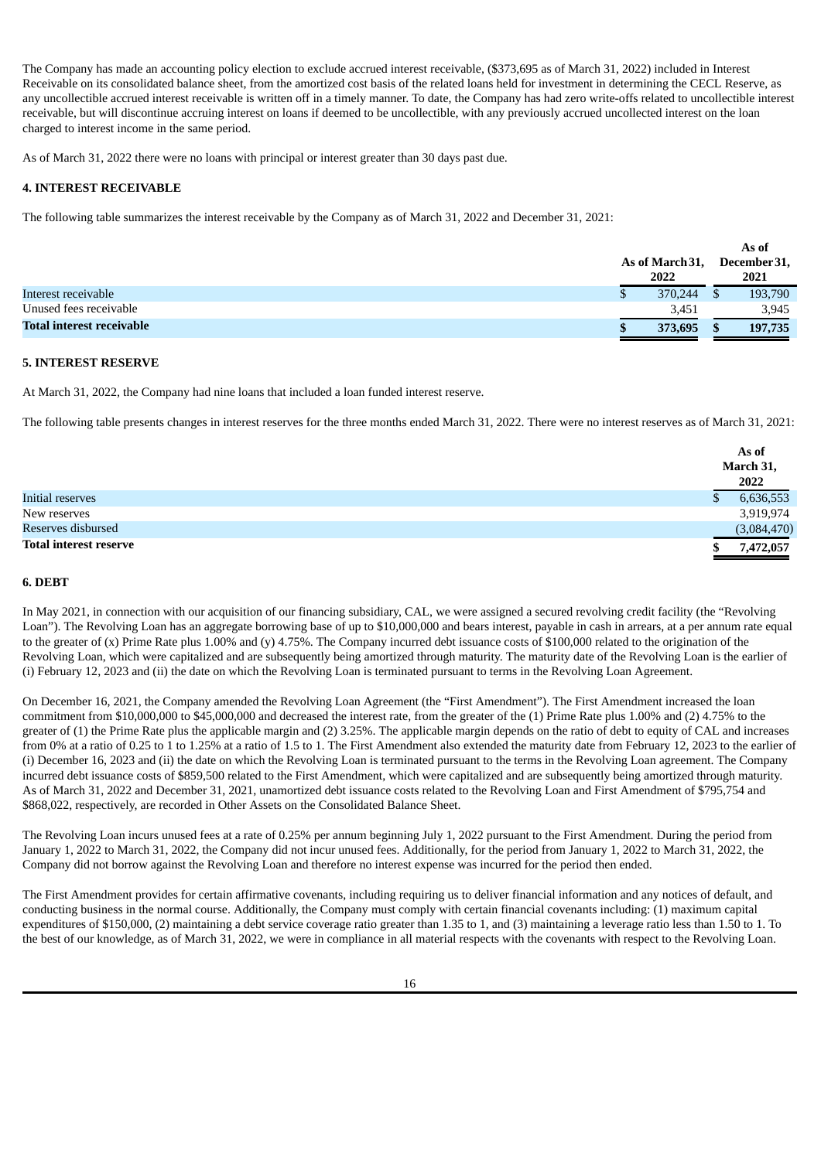The Company has made an accounting policy election to exclude accrued interest receivable, (\$373,695 as of March 31, 2022) included in Interest Receivable on its consolidated balance sheet, from the amortized cost basis of the related loans held for investment in determining the CECL Reserve, as any uncollectible accrued interest receivable is written off in a timely manner. To date, the Company has had zero write-offs related to uncollectible interest receivable, but will discontinue accruing interest on loans if deemed to be uncollectible, with any previously accrued uncollected interest on the loan charged to interest income in the same period.

As of March 31, 2022 there were no loans with principal or interest greater than 30 days past due.

## **4. INTEREST RECEIVABLE**

The following table summarizes the interest receivable by the Company as of March 31, 2022 and December 31, 2021:

|                           |                         | As of                |
|---------------------------|-------------------------|----------------------|
|                           | As of March 31,<br>2022 | December 31,<br>2021 |
| Interest receivable       | 370,244                 | 193,790              |
| Unused fees receivable    | 3.451                   | 3,945                |
| Total interest receivable | 373,695                 | 197,735              |

## **5. INTEREST RESERVE**

At March 31, 2022, the Company had nine loans that included a loan funded interest reserve.

The following table presents changes in interest reserves for the three months ended March 31, 2022. There were no interest reserves as of March 31, 2021:

|                               | As of<br>March 31,<br>2022 |             |
|-------------------------------|----------------------------|-------------|
| Initial reserves              |                            | 6,636,553   |
| New reserves                  |                            | 3,919,974   |
| Reserves disbursed            |                            | (3,084,470) |
| <b>Total interest reserve</b> |                            | 7,472,057   |

## **6. DEBT**

In May 2021, in connection with our acquisition of our financing subsidiary, CAL, we were assigned a secured revolving credit facility (the "Revolving Loan"). The Revolving Loan has an aggregate borrowing base of up to \$10,000,000 and bears interest, payable in cash in arrears, at a per annum rate equal to the greater of (x) Prime Rate plus 1.00% and (y) 4.75%. The Company incurred debt issuance costs of \$100,000 related to the origination of the Revolving Loan, which were capitalized and are subsequently being amortized through maturity. The maturity date of the Revolving Loan is the earlier of (i) February 12, 2023 and (ii) the date on which the Revolving Loan is terminated pursuant to terms in the Revolving Loan Agreement.

On December 16, 2021, the Company amended the Revolving Loan Agreement (the "First Amendment"). The First Amendment increased the loan commitment from \$10,000,000 to \$45,000,000 and decreased the interest rate, from the greater of the (1) Prime Rate plus 1.00% and (2) 4.75% to the greater of (1) the Prime Rate plus the applicable margin and (2) 3.25%. The applicable margin depends on the ratio of debt to equity of CAL and increases from 0% at a ratio of 0.25 to 1 to 1.25% at a ratio of 1.5 to 1. The First Amendment also extended the maturity date from February 12, 2023 to the earlier of (i) December 16, 2023 and (ii) the date on which the Revolving Loan is terminated pursuant to the terms in the Revolving Loan agreement. The Company incurred debt issuance costs of \$859,500 related to the First Amendment, which were capitalized and are subsequently being amortized through maturity. As of March 31, 2022 and December 31, 2021, unamortized debt issuance costs related to the Revolving Loan and First Amendment of \$795,754 and \$868,022, respectively, are recorded in Other Assets on the Consolidated Balance Sheet.

The Revolving Loan incurs unused fees at a rate of 0.25% per annum beginning July 1, 2022 pursuant to the First Amendment. During the period from January 1, 2022 to March 31, 2022, the Company did not incur unused fees. Additionally, for the period from January 1, 2022 to March 31, 2022, the Company did not borrow against the Revolving Loan and therefore no interest expense was incurred for the period then ended.

The First Amendment provides for certain affirmative covenants, including requiring us to deliver financial information and any notices of default, and conducting business in the normal course. Additionally, the Company must comply with certain financial covenants including: (1) maximum capital expenditures of \$150,000, (2) maintaining a debt service coverage ratio greater than 1.35 to 1, and (3) maintaining a leverage ratio less than 1.50 to 1. To the best of our knowledge, as of March 31, 2022, we were in compliance in all material respects with the covenants with respect to the Revolving Loan.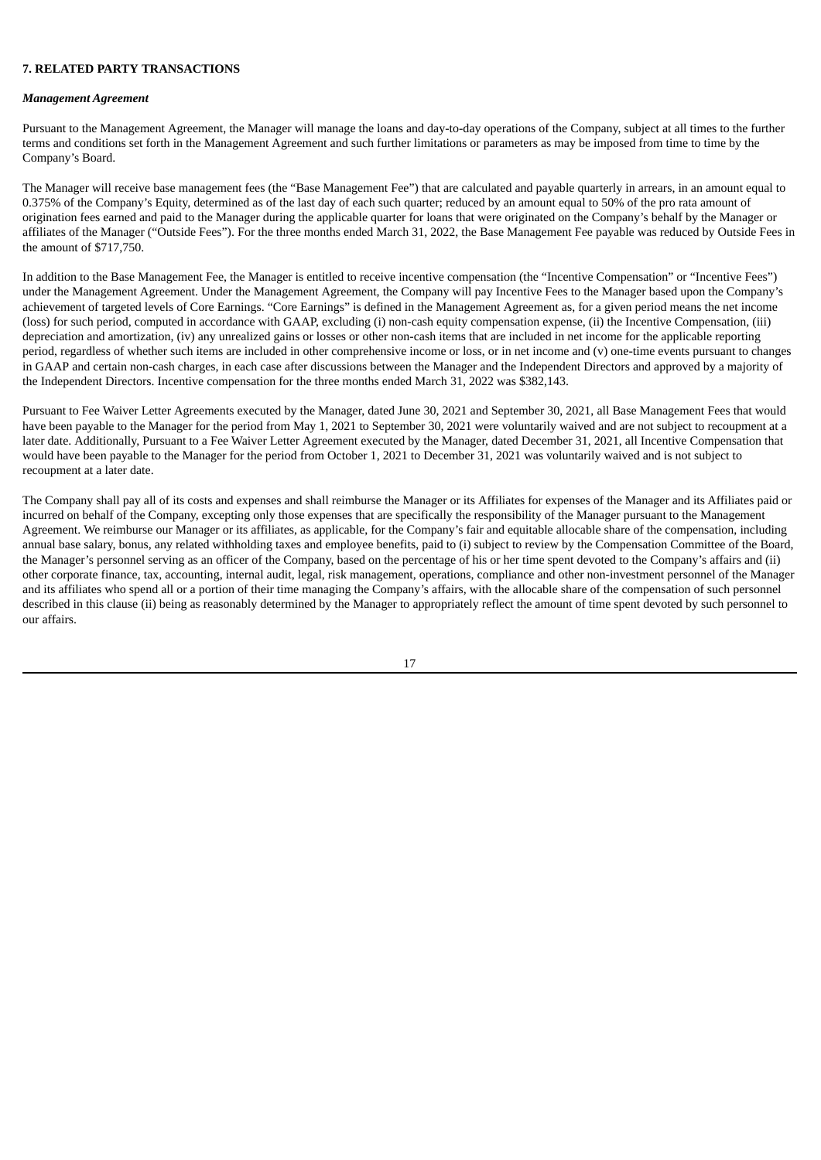## **7. RELATED PARTY TRANSACTIONS**

#### *Management Agreement*

Pursuant to the Management Agreement, the Manager will manage the loans and day-to-day operations of the Company, subject at all times to the further terms and conditions set forth in the Management Agreement and such further limitations or parameters as may be imposed from time to time by the Company's Board.

The Manager will receive base management fees (the "Base Management Fee") that are calculated and payable quarterly in arrears, in an amount equal to 0.375% of the Company's Equity, determined as of the last day of each such quarter; reduced by an amount equal to 50% of the pro rata amount of origination fees earned and paid to the Manager during the applicable quarter for loans that were originated on the Company's behalf by the Manager or affiliates of the Manager ("Outside Fees"). For the three months ended March 31, 2022, the Base Management Fee payable was reduced by Outside Fees in the amount of \$717,750.

In addition to the Base Management Fee, the Manager is entitled to receive incentive compensation (the "Incentive Compensation" or "Incentive Fees") under the Management Agreement. Under the Management Agreement, the Company will pay Incentive Fees to the Manager based upon the Company's achievement of targeted levels of Core Earnings. "Core Earnings" is defined in the Management Agreement as, for a given period means the net income (loss) for such period, computed in accordance with GAAP, excluding (i) non-cash equity compensation expense, (ii) the Incentive Compensation, (iii) depreciation and amortization, (iv) any unrealized gains or losses or other non-cash items that are included in net income for the applicable reporting period, regardless of whether such items are included in other comprehensive income or loss, or in net income and (v) one-time events pursuant to changes in GAAP and certain non-cash charges, in each case after discussions between the Manager and the Independent Directors and approved by a majority of the Independent Directors. Incentive compensation for the three months ended March 31, 2022 was \$382,143.

Pursuant to Fee Waiver Letter Agreements executed by the Manager, dated June 30, 2021 and September 30, 2021, all Base Management Fees that would have been payable to the Manager for the period from May 1, 2021 to September 30, 2021 were voluntarily waived and are not subject to recoupment at a later date. Additionally, Pursuant to a Fee Waiver Letter Agreement executed by the Manager, dated December 31, 2021, all Incentive Compensation that would have been payable to the Manager for the period from October 1, 2021 to December 31, 2021 was voluntarily waived and is not subject to recoupment at a later date.

The Company shall pay all of its costs and expenses and shall reimburse the Manager or its Affiliates for expenses of the Manager and its Affiliates paid or incurred on behalf of the Company, excepting only those expenses that are specifically the responsibility of the Manager pursuant to the Management Agreement. We reimburse our Manager or its affiliates, as applicable, for the Company's fair and equitable allocable share of the compensation, including annual base salary, bonus, any related withholding taxes and employee benefits, paid to (i) subject to review by the Compensation Committee of the Board, the Manager's personnel serving as an officer of the Company, based on the percentage of his or her time spent devoted to the Company's affairs and (ii) other corporate finance, tax, accounting, internal audit, legal, risk management, operations, compliance and other non-investment personnel of the Manager and its affiliates who spend all or a portion of their time managing the Company's affairs, with the allocable share of the compensation of such personnel described in this clause (ii) being as reasonably determined by the Manager to appropriately reflect the amount of time spent devoted by such personnel to our affairs.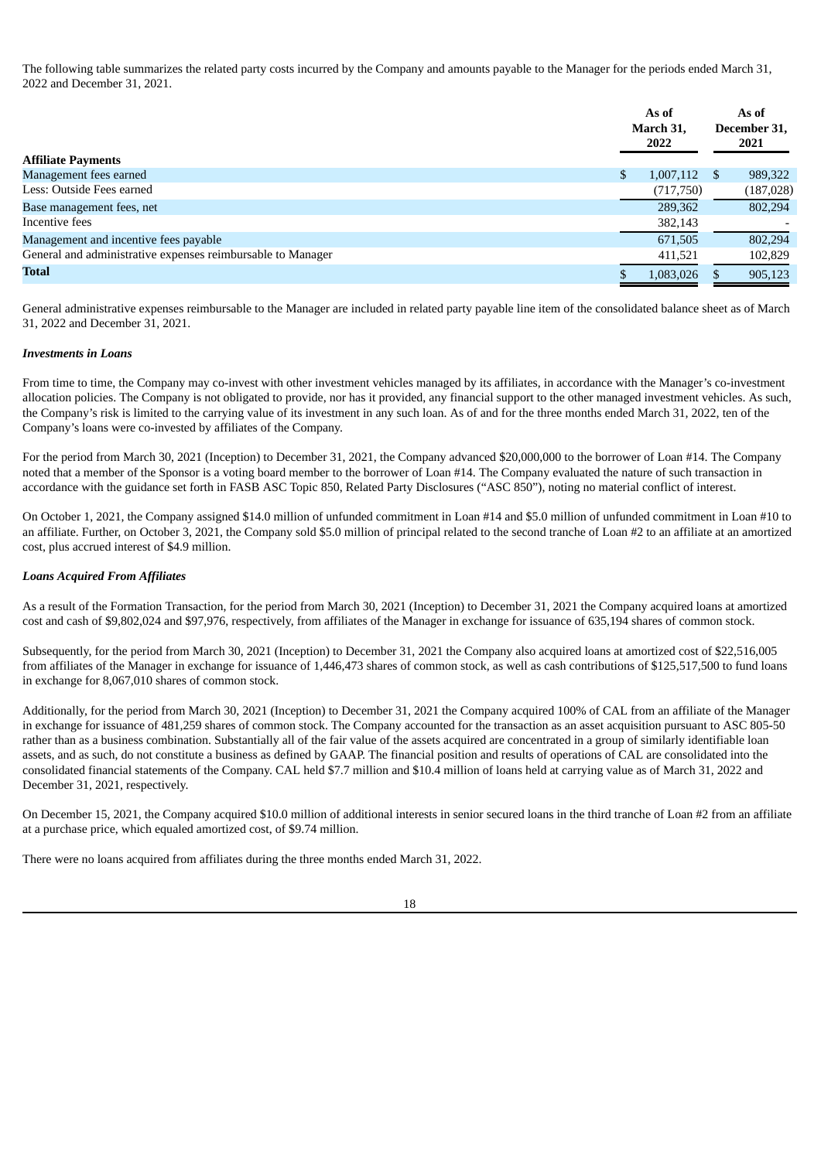The following table summarizes the related party costs incurred by the Company and amounts payable to the Manager for the periods ended March 31, 2022 and December 31, 2021.

|                                                             | As of<br>March 31,<br>2022 |            |     | As of<br>December 31,<br>2021 |
|-------------------------------------------------------------|----------------------------|------------|-----|-------------------------------|
| <b>Affiliate Payments</b>                                   |                            |            |     |                               |
| Management fees earned                                      | \$.                        | 1,007,112  | \$. | 989,322                       |
| Less: Outside Fees earned                                   |                            | (717, 750) |     | (187, 028)                    |
| Base management fees, net                                   |                            | 289,362    |     | 802,294                       |
| Incentive fees                                              |                            | 382,143    |     |                               |
| Management and incentive fees payable                       |                            | 671,505    |     | 802,294                       |
| General and administrative expenses reimbursable to Manager |                            | 411,521    |     | 102,829                       |
| <b>Total</b>                                                |                            | 1,083,026  |     | 905,123                       |

General administrative expenses reimbursable to the Manager are included in related party payable line item of the consolidated balance sheet as of March 31, 2022 and December 31, 2021.

## *Investments in Loans*

From time to time, the Company may co-invest with other investment vehicles managed by its affiliates, in accordance with the Manager's co-investment allocation policies. The Company is not obligated to provide, nor has it provided, any financial support to the other managed investment vehicles. As such, the Company's risk is limited to the carrying value of its investment in any such loan. As of and for the three months ended March 31, 2022, ten of the Company's loans were co-invested by affiliates of the Company.

For the period from March 30, 2021 (Inception) to December 31, 2021, the Company advanced \$20,000,000 to the borrower of Loan #14. The Company noted that a member of the Sponsor is a voting board member to the borrower of Loan #14. The Company evaluated the nature of such transaction in accordance with the guidance set forth in FASB ASC Topic 850, Related Party Disclosures ("ASC 850"), noting no material conflict of interest.

On October 1, 2021, the Company assigned \$14.0 million of unfunded commitment in Loan #14 and \$5.0 million of unfunded commitment in Loan #10 to an affiliate. Further, on October 3, 2021, the Company sold \$5.0 million of principal related to the second tranche of Loan #2 to an affiliate at an amortized cost, plus accrued interest of \$4.9 million.

## *Loans Acquired From Affiliates*

As a result of the Formation Transaction, for the period from March 30, 2021 (Inception) to December 31, 2021 the Company acquired loans at amortized cost and cash of \$9,802,024 and \$97,976, respectively, from affiliates of the Manager in exchange for issuance of 635,194 shares of common stock.

Subsequently, for the period from March 30, 2021 (Inception) to December 31, 2021 the Company also acquired loans at amortized cost of \$22,516,005 from affiliates of the Manager in exchange for issuance of 1,446,473 shares of common stock, as well as cash contributions of \$125,517,500 to fund loans in exchange for 8,067,010 shares of common stock.

Additionally, for the period from March 30, 2021 (Inception) to December 31, 2021 the Company acquired 100% of CAL from an affiliate of the Manager in exchange for issuance of 481,259 shares of common stock. The Company accounted for the transaction as an asset acquisition pursuant to ASC 805-50 rather than as a business combination. Substantially all of the fair value of the assets acquired are concentrated in a group of similarly identifiable loan assets, and as such, do not constitute a business as defined by GAAP. The financial position and results of operations of CAL are consolidated into the consolidated financial statements of the Company. CAL held \$7.7 million and \$10.4 million of loans held at carrying value as of March 31, 2022 and December 31, 2021, respectively.

On December 15, 2021, the Company acquired \$10.0 million of additional interests in senior secured loans in the third tranche of Loan #2 from an affiliate at a purchase price, which equaled amortized cost, of \$9.74 million.

There were no loans acquired from affiliates during the three months ended March 31, 2022.

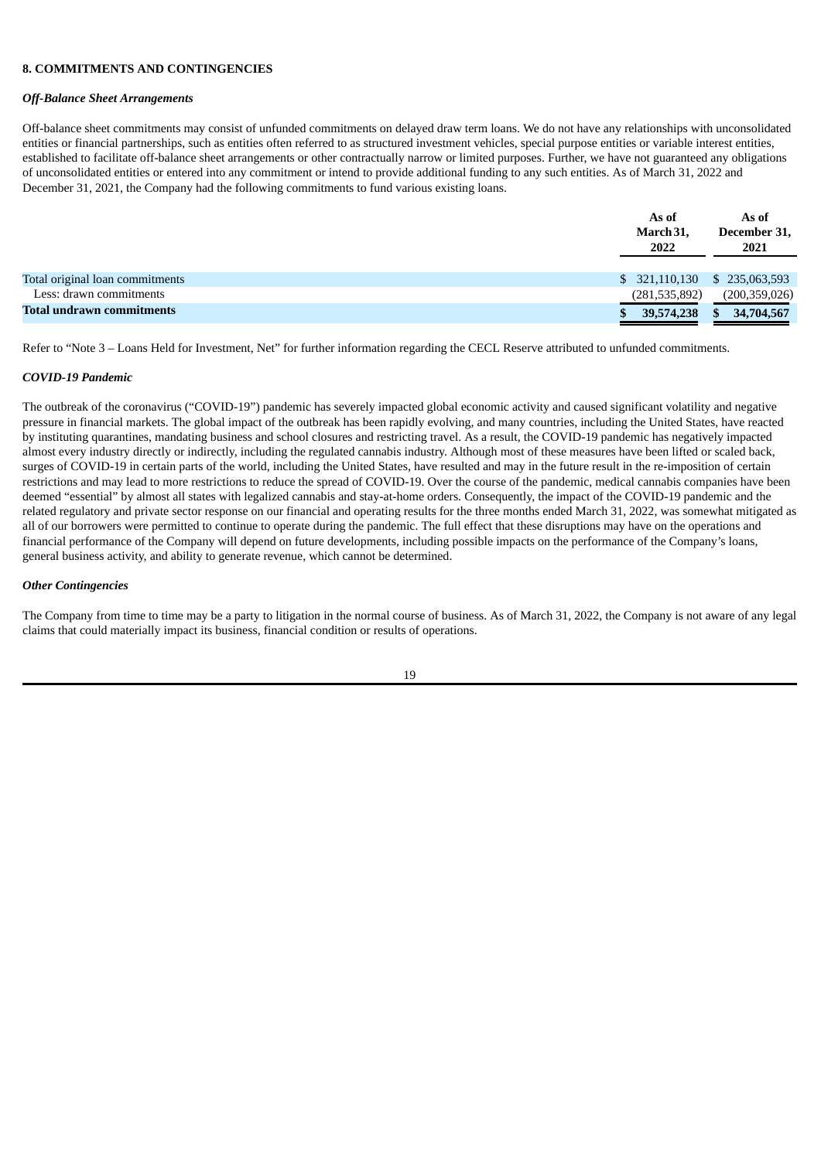## **8. COMMITMENTS AND CONTINGENCIES**

## *Off-Balance Sheet Arrangements*

Off-balance sheet commitments may consist of unfunded commitments on delayed draw term loans. We do not have any relationships with unconsolidated entities or financial partnerships, such as entities often referred to as structured investment vehicles, special purpose entities or variable interest entities, established to facilitate off-balance sheet arrangements or other contractually narrow or limited purposes. Further, we have not guaranteed any obligations of unconsolidated entities or entered into any commitment or intend to provide additional funding to any such entities. As of March 31, 2022 and December 31, 2021, the Company had the following commitments to fund various existing loans.

|                                  | As of<br>March 31,<br>2022 | As of<br>December 31,<br>2021 |
|----------------------------------|----------------------------|-------------------------------|
| Total original loan commitments  | \$321,110,130              | \$235,063,593                 |
| Less: drawn commitments          | (281, 535, 892)            | (200, 359, 026)               |
| <b>Total undrawn commitments</b> | 39,574,238                 | 34,704,567                    |

Refer to "Note 3 – Loans Held for Investment, Net" for further information regarding the CECL Reserve attributed to unfunded commitments.

#### *COVID-19 Pandemic*

The outbreak of the coronavirus ("COVID-19") pandemic has severely impacted global economic activity and caused significant volatility and negative pressure in financial markets. The global impact of the outbreak has been rapidly evolving, and many countries, including the United States, have reacted by instituting quarantines, mandating business and school closures and restricting travel. As a result, the COVID-19 pandemic has negatively impacted almost every industry directly or indirectly, including the regulated cannabis industry. Although most of these measures have been lifted or scaled back, surges of COVID-19 in certain parts of the world, including the United States, have resulted and may in the future result in the re-imposition of certain restrictions and may lead to more restrictions to reduce the spread of COVID-19. Over the course of the pandemic, medical cannabis companies have been deemed "essential" by almost all states with legalized cannabis and stay-at-home orders. Consequently, the impact of the COVID-19 pandemic and the related regulatory and private sector response on our financial and operating results for the three months ended March 31, 2022, was somewhat mitigated as all of our borrowers were permitted to continue to operate during the pandemic. The full effect that these disruptions may have on the operations and financial performance of the Company will depend on future developments, including possible impacts on the performance of the Company's loans, general business activity, and ability to generate revenue, which cannot be determined.

#### *Other Contingencies*

The Company from time to time may be a party to litigation in the normal course of business. As of March 31, 2022, the Company is not aware of any legal claims that could materially impact its business, financial condition or results of operations.

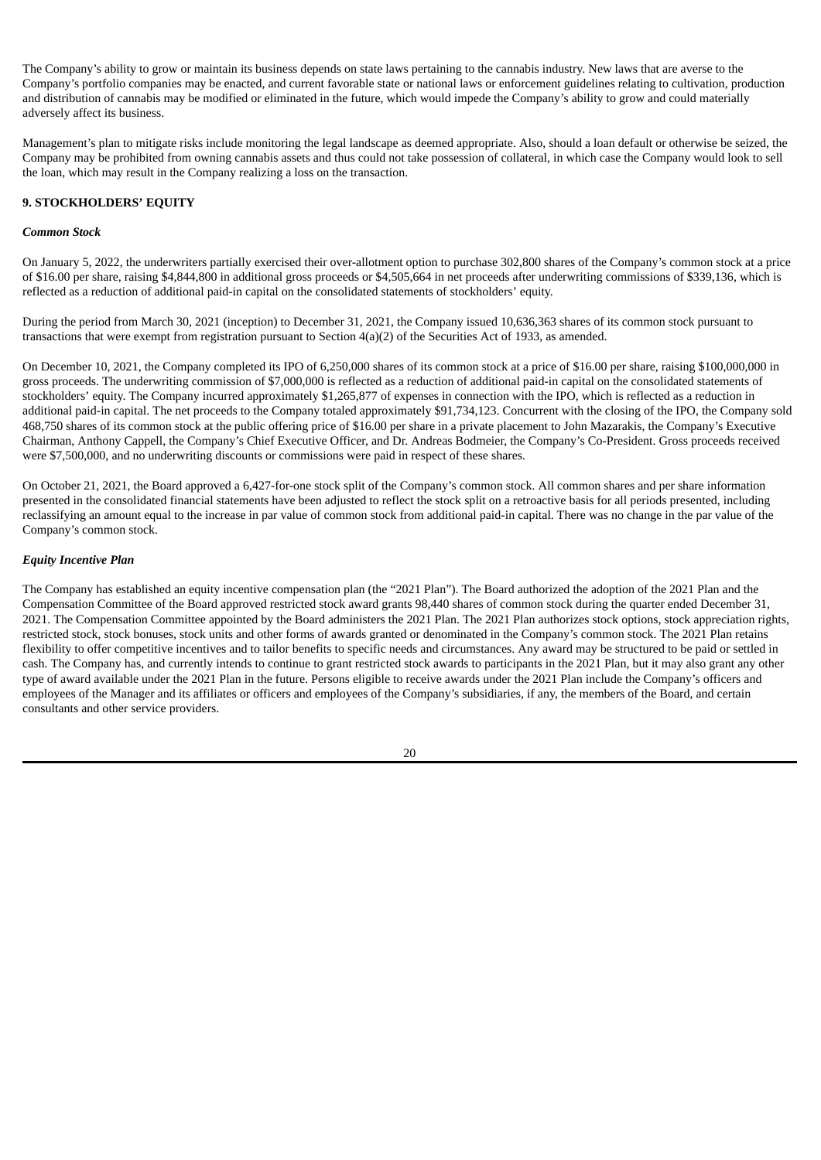The Company's ability to grow or maintain its business depends on state laws pertaining to the cannabis industry. New laws that are averse to the Company's portfolio companies may be enacted, and current favorable state or national laws or enforcement guidelines relating to cultivation, production and distribution of cannabis may be modified or eliminated in the future, which would impede the Company's ability to grow and could materially adversely affect its business.

Management's plan to mitigate risks include monitoring the legal landscape as deemed appropriate. Also, should a loan default or otherwise be seized, the Company may be prohibited from owning cannabis assets and thus could not take possession of collateral, in which case the Company would look to sell the loan, which may result in the Company realizing a loss on the transaction.

## **9. STOCKHOLDERS' EQUITY**

## *Common Stock*

On January 5, 2022, the underwriters partially exercised their over-allotment option to purchase 302,800 shares of the Company's common stock at a price of \$16.00 per share, raising \$4,844,800 in additional gross proceeds or \$4,505,664 in net proceeds after underwriting commissions of \$339,136, which is reflected as a reduction of additional paid-in capital on the consolidated statements of stockholders' equity.

During the period from March 30, 2021 (inception) to December 31, 2021, the Company issued 10,636,363 shares of its common stock pursuant to transactions that were exempt from registration pursuant to Section 4(a)(2) of the Securities Act of 1933, as amended.

On December 10, 2021, the Company completed its IPO of 6,250,000 shares of its common stock at a price of \$16.00 per share, raising \$100,000,000 in gross proceeds. The underwriting commission of \$7,000,000 is reflected as a reduction of additional paid-in capital on the consolidated statements of stockholders' equity. The Company incurred approximately \$1,265,877 of expenses in connection with the IPO, which is reflected as a reduction in additional paid-in capital. The net proceeds to the Company totaled approximately \$91,734,123. Concurrent with the closing of the IPO, the Company sold 468,750 shares of its common stock at the public offering price of \$16.00 per share in a private placement to John Mazarakis, the Company's Executive Chairman, Anthony Cappell, the Company's Chief Executive Officer, and Dr. Andreas Bodmeier, the Company's Co-President. Gross proceeds received were \$7,500,000, and no underwriting discounts or commissions were paid in respect of these shares.

On October 21, 2021, the Board approved a 6,427-for-one stock split of the Company's common stock. All common shares and per share information presented in the consolidated financial statements have been adjusted to reflect the stock split on a retroactive basis for all periods presented, including reclassifying an amount equal to the increase in par value of common stock from additional paid-in capital. There was no change in the par value of the Company's common stock.

## *Equity Incentive Plan*

The Company has established an equity incentive compensation plan (the "2021 Plan"). The Board authorized the adoption of the 2021 Plan and the Compensation Committee of the Board approved restricted stock award grants 98,440 shares of common stock during the quarter ended December 31, 2021. The Compensation Committee appointed by the Board administers the 2021 Plan. The 2021 Plan authorizes stock options, stock appreciation rights, restricted stock, stock bonuses, stock units and other forms of awards granted or denominated in the Company's common stock. The 2021 Plan retains flexibility to offer competitive incentives and to tailor benefits to specific needs and circumstances. Any award may be structured to be paid or settled in cash. The Company has, and currently intends to continue to grant restricted stock awards to participants in the 2021 Plan, but it may also grant any other type of award available under the 2021 Plan in the future. Persons eligible to receive awards under the 2021 Plan include the Company's officers and employees of the Manager and its affiliates or officers and employees of the Company's subsidiaries, if any, the members of the Board, and certain consultants and other service providers.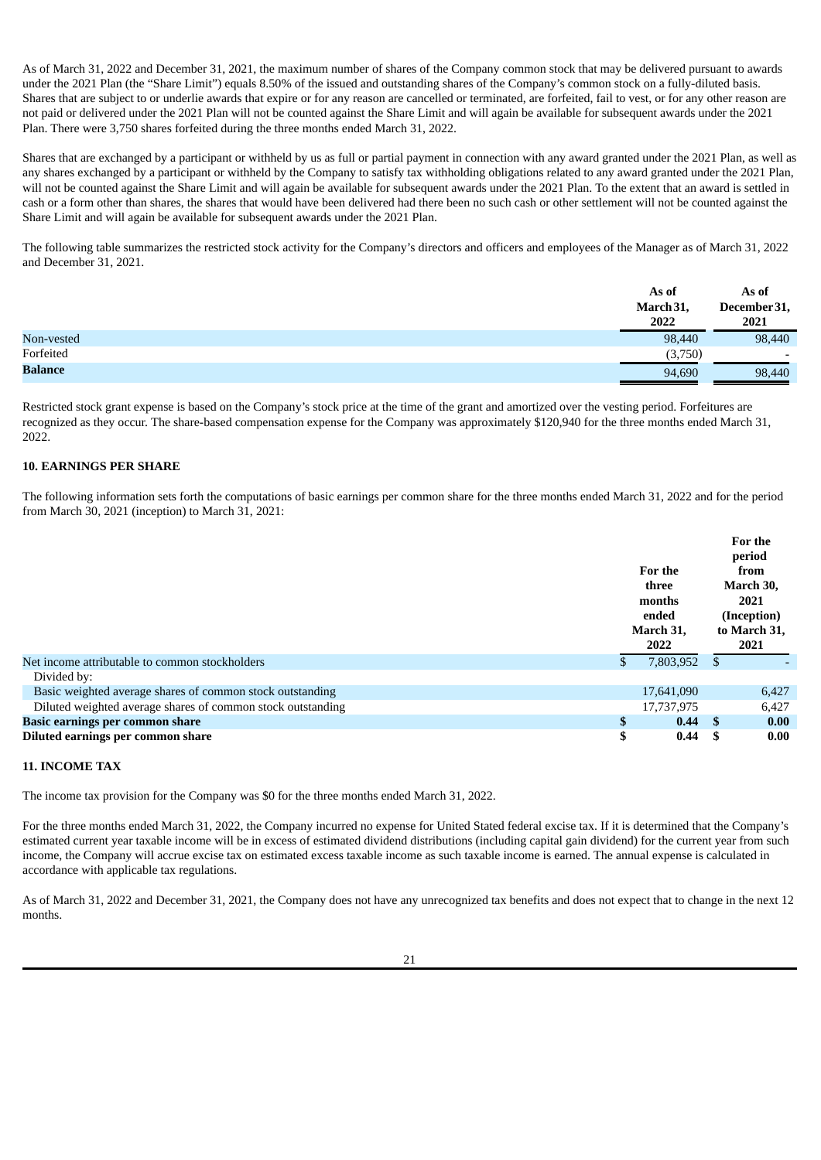As of March 31, 2022 and December 31, 2021, the maximum number of shares of the Company common stock that may be delivered pursuant to awards under the 2021 Plan (the "Share Limit") equals 8.50% of the issued and outstanding shares of the Company's common stock on a fully-diluted basis. Shares that are subject to or underlie awards that expire or for any reason are cancelled or terminated, are forfeited, fail to vest, or for any other reason are not paid or delivered under the 2021 Plan will not be counted against the Share Limit and will again be available for subsequent awards under the 2021 Plan. There were 3,750 shares forfeited during the three months ended March 31, 2022.

Shares that are exchanged by a participant or withheld by us as full or partial payment in connection with any award granted under the 2021 Plan, as well as any shares exchanged by a participant or withheld by the Company to satisfy tax withholding obligations related to any award granted under the 2021 Plan, will not be counted against the Share Limit and will again be available for subsequent awards under the 2021 Plan. To the extent that an award is settled in cash or a form other than shares, the shares that would have been delivered had there been no such cash or other settlement will not be counted against the Share Limit and will again be available for subsequent awards under the 2021 Plan.

The following table summarizes the restricted stock activity for the Company's directors and officers and employees of the Manager as of March 31, 2022 and December 31, 2021.

|                | As of<br>March 31,<br>2022 | As of<br>December 31,<br>2021 |
|----------------|----------------------------|-------------------------------|
| Non-vested     | 98,440                     | 98,440                        |
| Forfeited      | (3,750)                    | $\overline{\phantom{0}}$      |
| <b>Balance</b> | 94,690                     | 98,440                        |

Restricted stock grant expense is based on the Company's stock price at the time of the grant and amortized over the vesting period. Forfeitures are recognized as they occur. The share-based compensation expense for the Company was approximately \$120,940 for the three months ended March 31, 2022.

## **10. EARNINGS PER SHARE**

The following information sets forth the computations of basic earnings per common share for the three months ended March 31, 2022 and for the period from March 30, 2021 (inception) to March 31, 2021:

|                                                             |    | For the<br>three<br>months<br>ended<br>March 31,<br>2022 |      | For the<br>period<br>from<br>March 30,<br>2021<br>(Inception)<br>to March 31,<br>2021 |
|-------------------------------------------------------------|----|----------------------------------------------------------|------|---------------------------------------------------------------------------------------|
| Net income attributable to common stockholders              | S. | 7,803,952                                                | \$.  |                                                                                       |
| Divided by:                                                 |    |                                                          |      |                                                                                       |
| Basic weighted average shares of common stock outstanding   |    | 17,641,090                                               |      | 6,427                                                                                 |
| Diluted weighted average shares of common stock outstanding |    | 17,737,975                                               |      | 6,427                                                                                 |
| <b>Basic earnings per common share</b>                      | \$ | 0.44                                                     | - \$ | 0.00                                                                                  |
| Diluted earnings per common share                           | \$ | 0.44                                                     |      | 0.00                                                                                  |

### **11. INCOME TAX**

The income tax provision for the Company was \$0 for the three months ended March 31, 2022.

For the three months ended March 31, 2022, the Company incurred no expense for United Stated federal excise tax. If it is determined that the Company's estimated current year taxable income will be in excess of estimated dividend distributions (including capital gain dividend) for the current year from such income, the Company will accrue excise tax on estimated excess taxable income as such taxable income is earned. The annual expense is calculated in accordance with applicable tax regulations.

As of March 31, 2022 and December 31, 2021, the Company does not have any unrecognized tax benefits and does not expect that to change in the next 12 months.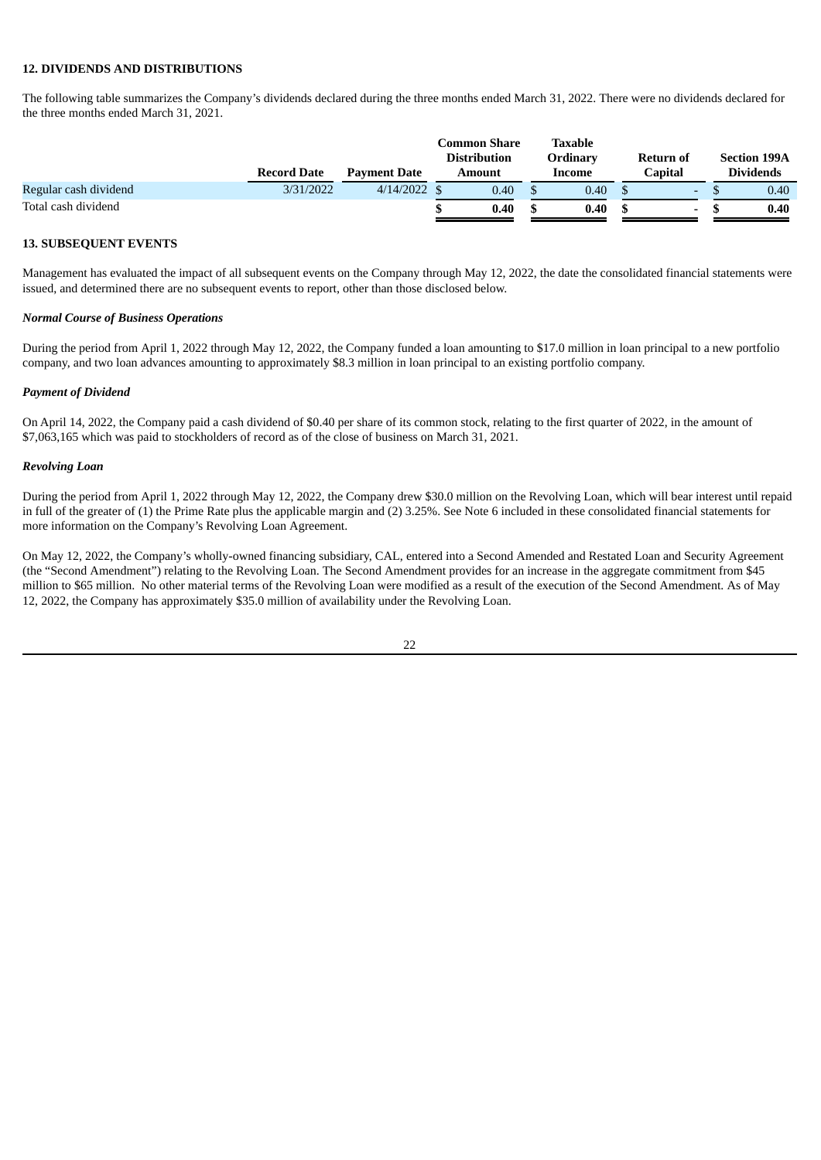## **12. DIVIDENDS AND DISTRIBUTIONS**

The following table summarizes the Company's dividends declared during the three months ended March 31, 2022. There were no dividends declared for the three months ended March 31, 2021.

|                       | <b>Record Date</b> | <b>Payment Date</b> | Common Share<br><b>Distribution</b><br>Amount | Taxable<br>Ordinary<br>Income | Return of<br>Capital     | <b>Section 199A</b><br><b>Dividends</b> |
|-----------------------|--------------------|---------------------|-----------------------------------------------|-------------------------------|--------------------------|-----------------------------------------|
| Regular cash dividend | 3/31/2022          | $4/14/2022$ \$      | 0.40                                          | 0.40                          | $\overline{\phantom{0}}$ | 0.40                                    |
| Total cash dividend   |                    |                     | 0.40                                          | 0.40                          | $\overline{\phantom{0}}$ | 0.40                                    |

## **13. SUBSEQUENT EVENTS**

Management has evaluated the impact of all subsequent events on the Company through May 12, 2022, the date the consolidated financial statements were issued, and determined there are no subsequent events to report, other than those disclosed below.

## *Normal Course of Business Operations*

During the period from April 1, 2022 through May 12, 2022, the Company funded a loan amounting to \$17.0 million in loan principal to a new portfolio company, and two loan advances amounting to approximately \$8.3 million in loan principal to an existing portfolio company.

## *Payment of Dividend*

On April 14, 2022, the Company paid a cash dividend of \$0.40 per share of its common stock, relating to the first quarter of 2022, in the amount of \$7,063,165 which was paid to stockholders of record as of the close of business on March 31, 2021.

## *Revolving Loan*

During the period from April 1, 2022 through May 12, 2022, the Company drew \$30.0 million on the Revolving Loan, which will bear interest until repaid in full of the greater of (1) the Prime Rate plus the applicable margin and (2) 3.25%. See Note 6 included in these consolidated financial statements for more information on the Company's Revolving Loan Agreement.

On May 12, 2022, the Company's wholly-owned financing subsidiary, CAL, entered into a Second Amended and Restated Loan and Security Agreement (the "Second Amendment") relating to the Revolving Loan. The Second Amendment provides for an increase in the aggregate commitment from \$45 million to \$65 million. No other material terms of the Revolving Loan were modified as a result of the execution of the Second Amendment. As of May 12, 2022, the Company has approximately \$35.0 million of availability under the Revolving Loan.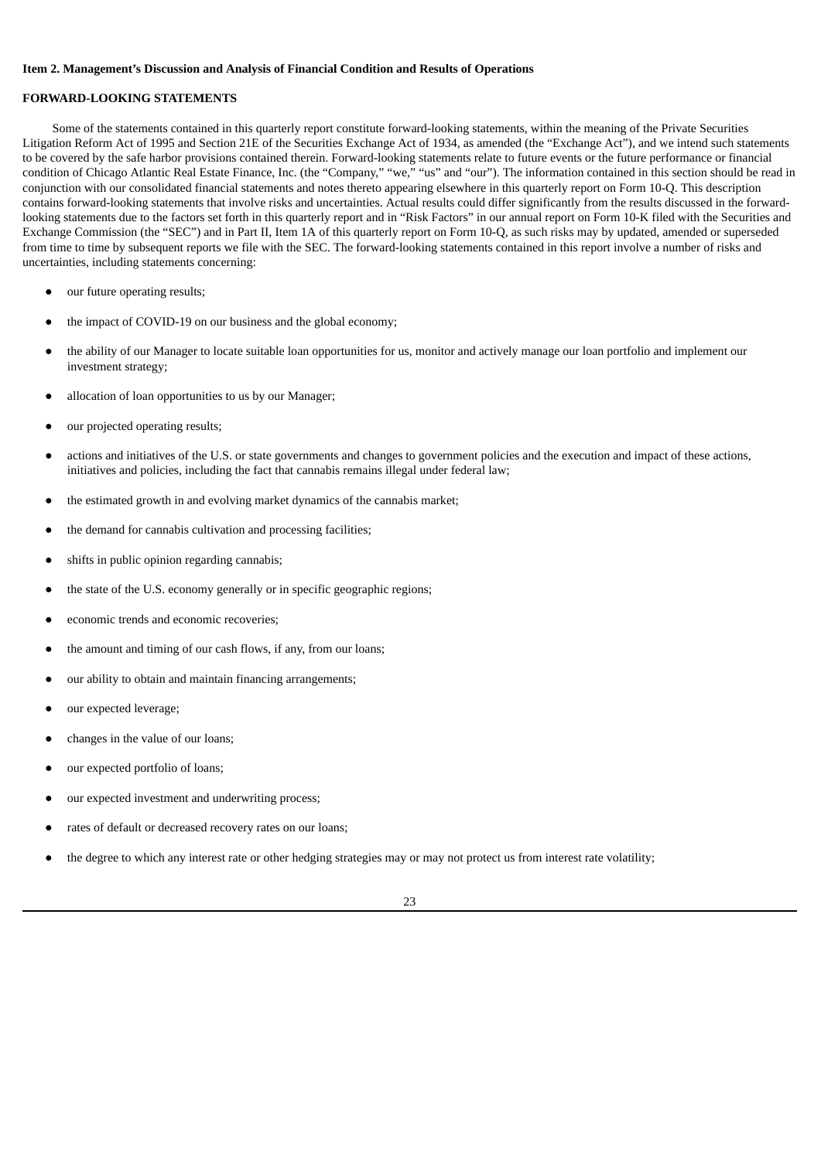## <span id="page-24-0"></span>**Item 2. Management's Discussion and Analysis of Financial Condition and Results of Operations**

## **FORWARD-LOOKING STATEMENTS**

Some of the statements contained in this quarterly report constitute forward-looking statements, within the meaning of the Private Securities Litigation Reform Act of 1995 and Section 21E of the Securities Exchange Act of 1934, as amended (the "Exchange Act"), and we intend such statements to be covered by the safe harbor provisions contained therein. Forward-looking statements relate to future events or the future performance or financial condition of Chicago Atlantic Real Estate Finance, Inc. (the "Company," "we," "us" and "our"). The information contained in this section should be read in conjunction with our consolidated financial statements and notes thereto appearing elsewhere in this quarterly report on Form 10-Q. This description contains forward-looking statements that involve risks and uncertainties. Actual results could differ significantly from the results discussed in the forwardlooking statements due to the factors set forth in this quarterly report and in "Risk Factors" in our annual report on Form 10-K filed with the Securities and Exchange Commission (the "SEC") and in Part II, Item 1A of this quarterly report on Form 10-Q, as such risks may by updated, amended or superseded from time to time by subsequent reports we file with the SEC. The forward-looking statements contained in this report involve a number of risks and uncertainties, including statements concerning:

- our future operating results;
- the impact of COVID-19 on our business and the global economy;
- the ability of our Manager to locate suitable loan opportunities for us, monitor and actively manage our loan portfolio and implement our investment strategy;
- allocation of loan opportunities to us by our Manager;
- our projected operating results;
- actions and initiatives of the U.S. or state governments and changes to government policies and the execution and impact of these actions, initiatives and policies, including the fact that cannabis remains illegal under federal law;
- the estimated growth in and evolving market dynamics of the cannabis market;
- the demand for cannabis cultivation and processing facilities;
- shifts in public opinion regarding cannabis;
- the state of the U.S. economy generally or in specific geographic regions;
- economic trends and economic recoveries;
- the amount and timing of our cash flows, if any, from our loans;
- our ability to obtain and maintain financing arrangements;
- our expected leverage;
- changes in the value of our loans;
- our expected portfolio of loans;
- our expected investment and underwriting process:
- rates of default or decreased recovery rates on our loans;
- the degree to which any interest rate or other hedging strategies may or may not protect us from interest rate volatility;

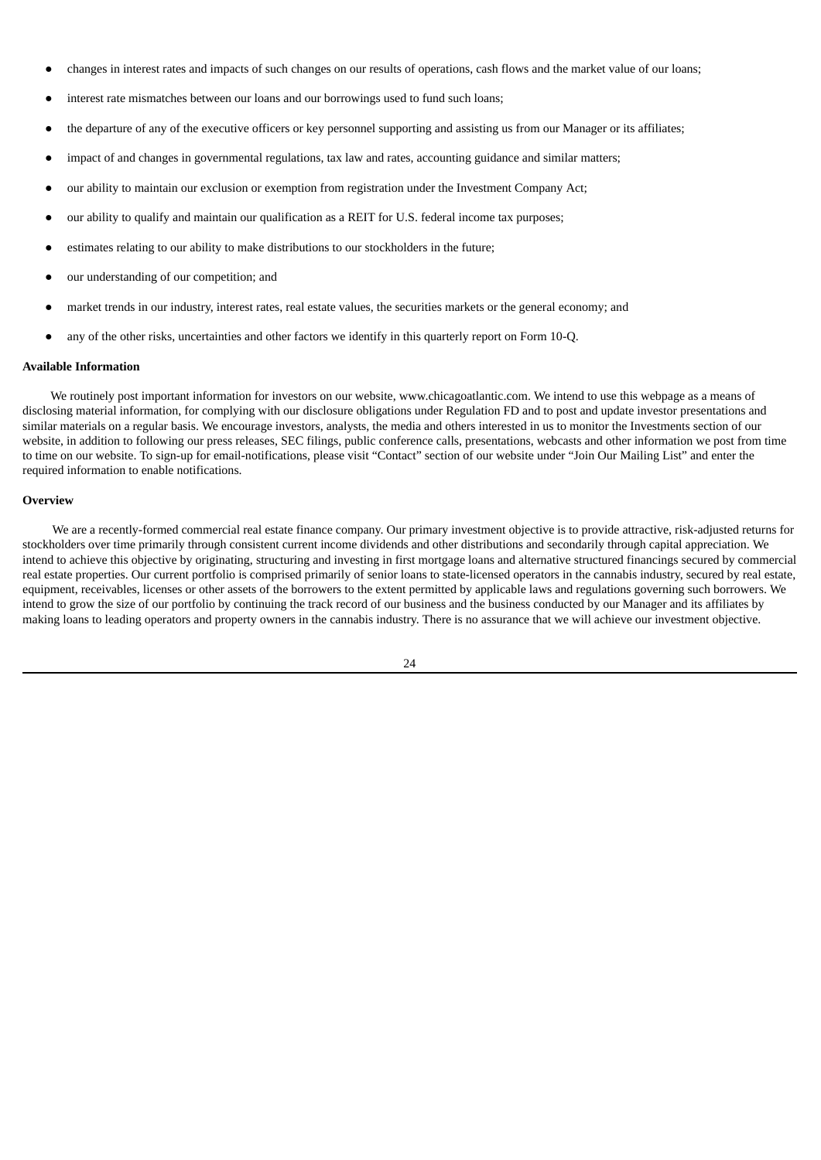- changes in interest rates and impacts of such changes on our results of operations, cash flows and the market value of our loans;
- interest rate mismatches between our loans and our borrowings used to fund such loans;
- the departure of any of the executive officers or key personnel supporting and assisting us from our Manager or its affiliates;
- impact of and changes in governmental regulations, tax law and rates, accounting guidance and similar matters;
- our ability to maintain our exclusion or exemption from registration under the Investment Company Act;
- our ability to qualify and maintain our qualification as a REIT for U.S. federal income tax purposes;
- estimates relating to our ability to make distributions to our stockholders in the future;
- our understanding of our competition; and
- market trends in our industry, interest rates, real estate values, the securities markets or the general economy; and
- any of the other risks, uncertainties and other factors we identify in this quarterly report on Form 10-Q.

#### **Available Information**

We routinely post important information for investors on our website, www.chicagoatlantic.com. We intend to use this webpage as a means of disclosing material information, for complying with our disclosure obligations under Regulation FD and to post and update investor presentations and similar materials on a regular basis. We encourage investors, analysts, the media and others interested in us to monitor the Investments section of our website, in addition to following our press releases, SEC filings, public conference calls, presentations, webcasts and other information we post from time to time on our website. To sign-up for email-notifications, please visit "Contact" section of our website under "Join Our Mailing List" and enter the required information to enable notifications.

#### **Overview**

We are a recently-formed commercial real estate finance company. Our primary investment objective is to provide attractive, risk-adjusted returns for stockholders over time primarily through consistent current income dividends and other distributions and secondarily through capital appreciation. We intend to achieve this objective by originating, structuring and investing in first mortgage loans and alternative structured financings secured by commercial real estate properties. Our current portfolio is comprised primarily of senior loans to state-licensed operators in the cannabis industry, secured by real estate, equipment, receivables, licenses or other assets of the borrowers to the extent permitted by applicable laws and regulations governing such borrowers. We intend to grow the size of our portfolio by continuing the track record of our business and the business conducted by our Manager and its affiliates by making loans to leading operators and property owners in the cannabis industry. There is no assurance that we will achieve our investment objective.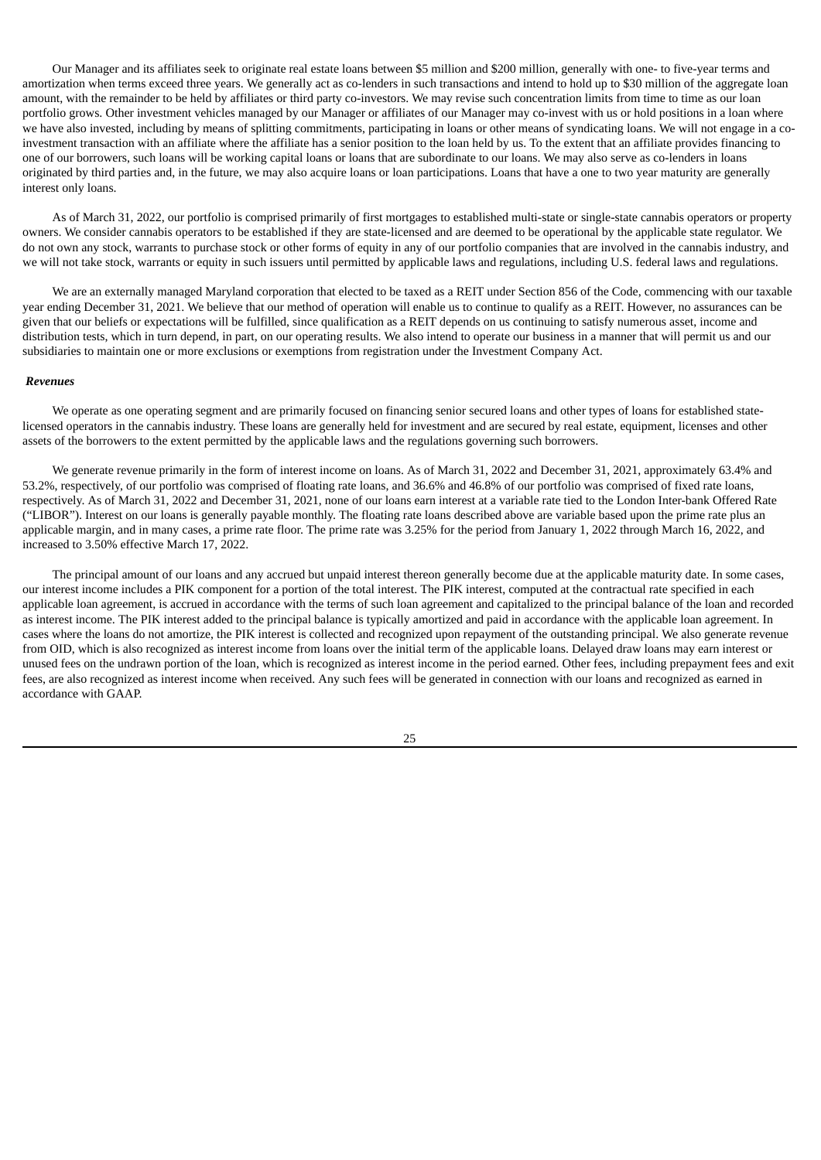Our Manager and its affiliates seek to originate real estate loans between \$5 million and \$200 million, generally with one- to five-year terms and amortization when terms exceed three years. We generally act as co-lenders in such transactions and intend to hold up to \$30 million of the aggregate loan amount, with the remainder to be held by affiliates or third party co-investors. We may revise such concentration limits from time to time as our loan portfolio grows. Other investment vehicles managed by our Manager or affiliates of our Manager may co-invest with us or hold positions in a loan where we have also invested, including by means of splitting commitments, participating in loans or other means of syndicating loans. We will not engage in a coinvestment transaction with an affiliate where the affiliate has a senior position to the loan held by us. To the extent that an affiliate provides financing to one of our borrowers, such loans will be working capital loans or loans that are subordinate to our loans. We may also serve as co-lenders in loans originated by third parties and, in the future, we may also acquire loans or loan participations. Loans that have a one to two year maturity are generally interest only loans.

As of March 31, 2022, our portfolio is comprised primarily of first mortgages to established multi-state or single-state cannabis operators or property owners. We consider cannabis operators to be established if they are state-licensed and are deemed to be operational by the applicable state regulator. We do not own any stock, warrants to purchase stock or other forms of equity in any of our portfolio companies that are involved in the cannabis industry, and we will not take stock, warrants or equity in such issuers until permitted by applicable laws and regulations, including U.S. federal laws and regulations.

We are an externally managed Maryland corporation that elected to be taxed as a REIT under Section 856 of the Code, commencing with our taxable year ending December 31, 2021. We believe that our method of operation will enable us to continue to qualify as a REIT. However, no assurances can be given that our beliefs or expectations will be fulfilled, since qualification as a REIT depends on us continuing to satisfy numerous asset, income and distribution tests, which in turn depend, in part, on our operating results. We also intend to operate our business in a manner that will permit us and our subsidiaries to maintain one or more exclusions or exemptions from registration under the Investment Company Act.

#### *Revenues*

We operate as one operating segment and are primarily focused on financing senior secured loans and other types of loans for established statelicensed operators in the cannabis industry. These loans are generally held for investment and are secured by real estate, equipment, licenses and other assets of the borrowers to the extent permitted by the applicable laws and the regulations governing such borrowers.

We generate revenue primarily in the form of interest income on loans. As of March 31, 2022 and December 31, 2021, approximately 63.4% and 53.2%, respectively, of our portfolio was comprised of floating rate loans, and 36.6% and 46.8% of our portfolio was comprised of fixed rate loans, respectively. As of March 31, 2022 and December 31, 2021, none of our loans earn interest at a variable rate tied to the London Inter-bank Offered Rate ("LIBOR"). Interest on our loans is generally payable monthly. The floating rate loans described above are variable based upon the prime rate plus an applicable margin, and in many cases, a prime rate floor. The prime rate was 3.25% for the period from January 1, 2022 through March 16, 2022, and increased to 3.50% effective March 17, 2022.

The principal amount of our loans and any accrued but unpaid interest thereon generally become due at the applicable maturity date. In some cases, our interest income includes a PIK component for a portion of the total interest. The PIK interest, computed at the contractual rate specified in each applicable loan agreement, is accrued in accordance with the terms of such loan agreement and capitalized to the principal balance of the loan and recorded as interest income. The PIK interest added to the principal balance is typically amortized and paid in accordance with the applicable loan agreement. In cases where the loans do not amortize, the PIK interest is collected and recognized upon repayment of the outstanding principal. We also generate revenue from OID, which is also recognized as interest income from loans over the initial term of the applicable loans. Delayed draw loans may earn interest or unused fees on the undrawn portion of the loan, which is recognized as interest income in the period earned. Other fees, including prepayment fees and exit fees, are also recognized as interest income when received. Any such fees will be generated in connection with our loans and recognized as earned in accordance with GAAP.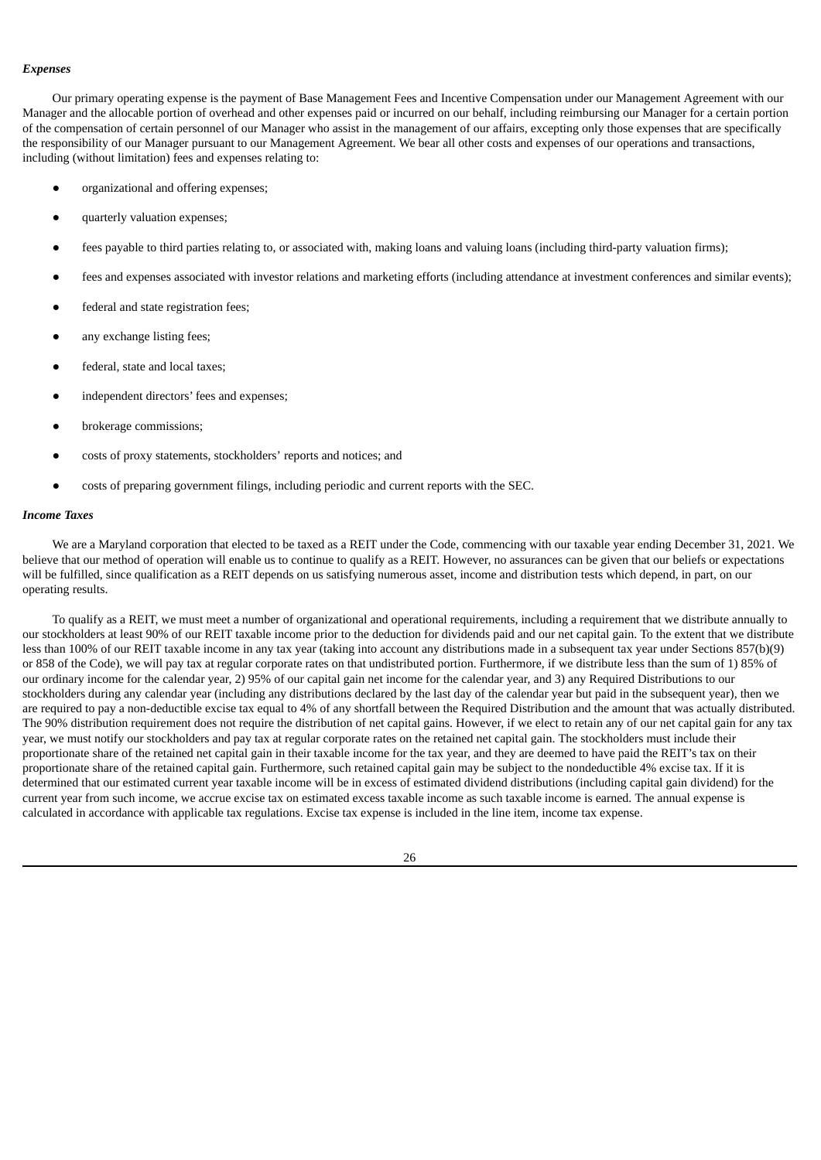## *Expenses*

Our primary operating expense is the payment of Base Management Fees and Incentive Compensation under our Management Agreement with our Manager and the allocable portion of overhead and other expenses paid or incurred on our behalf, including reimbursing our Manager for a certain portion of the compensation of certain personnel of our Manager who assist in the management of our affairs, excepting only those expenses that are specifically the responsibility of our Manager pursuant to our Management Agreement. We bear all other costs and expenses of our operations and transactions, including (without limitation) fees and expenses relating to:

- organizational and offering expenses;
- quarterly valuation expenses;
- fees payable to third parties relating to, or associated with, making loans and valuing loans (including third-party valuation firms);
- fees and expenses associated with investor relations and marketing efforts (including attendance at investment conferences and similar events);
- federal and state registration fees;
- any exchange listing fees;
- federal, state and local taxes;
- independent directors' fees and expenses;
- brokerage commissions;
- costs of proxy statements, stockholders' reports and notices; and
- costs of preparing government filings, including periodic and current reports with the SEC.

#### *Income Taxes*

We are a Maryland corporation that elected to be taxed as a REIT under the Code, commencing with our taxable year ending December 31, 2021. We believe that our method of operation will enable us to continue to qualify as a REIT. However, no assurances can be given that our beliefs or expectations will be fulfilled, since qualification as a REIT depends on us satisfying numerous asset, income and distribution tests which depend, in part, on our operating results.

To qualify as a REIT, we must meet a number of organizational and operational requirements, including a requirement that we distribute annually to our stockholders at least 90% of our REIT taxable income prior to the deduction for dividends paid and our net capital gain. To the extent that we distribute less than 100% of our REIT taxable income in any tax year (taking into account any distributions made in a subsequent tax year under Sections 857(b)(9) or 858 of the Code), we will pay tax at regular corporate rates on that undistributed portion. Furthermore, if we distribute less than the sum of 1) 85% of our ordinary income for the calendar year, 2) 95% of our capital gain net income for the calendar year, and 3) any Required Distributions to our stockholders during any calendar year (including any distributions declared by the last day of the calendar year but paid in the subsequent year), then we are required to pay a non-deductible excise tax equal to 4% of any shortfall between the Required Distribution and the amount that was actually distributed. The 90% distribution requirement does not require the distribution of net capital gains. However, if we elect to retain any of our net capital gain for any tax year, we must notify our stockholders and pay tax at regular corporate rates on the retained net capital gain. The stockholders must include their proportionate share of the retained net capital gain in their taxable income for the tax year, and they are deemed to have paid the REIT's tax on their proportionate share of the retained capital gain. Furthermore, such retained capital gain may be subject to the nondeductible 4% excise tax. If it is determined that our estimated current year taxable income will be in excess of estimated dividend distributions (including capital gain dividend) for the current year from such income, we accrue excise tax on estimated excess taxable income as such taxable income is earned. The annual expense is calculated in accordance with applicable tax regulations. Excise tax expense is included in the line item, income tax expense.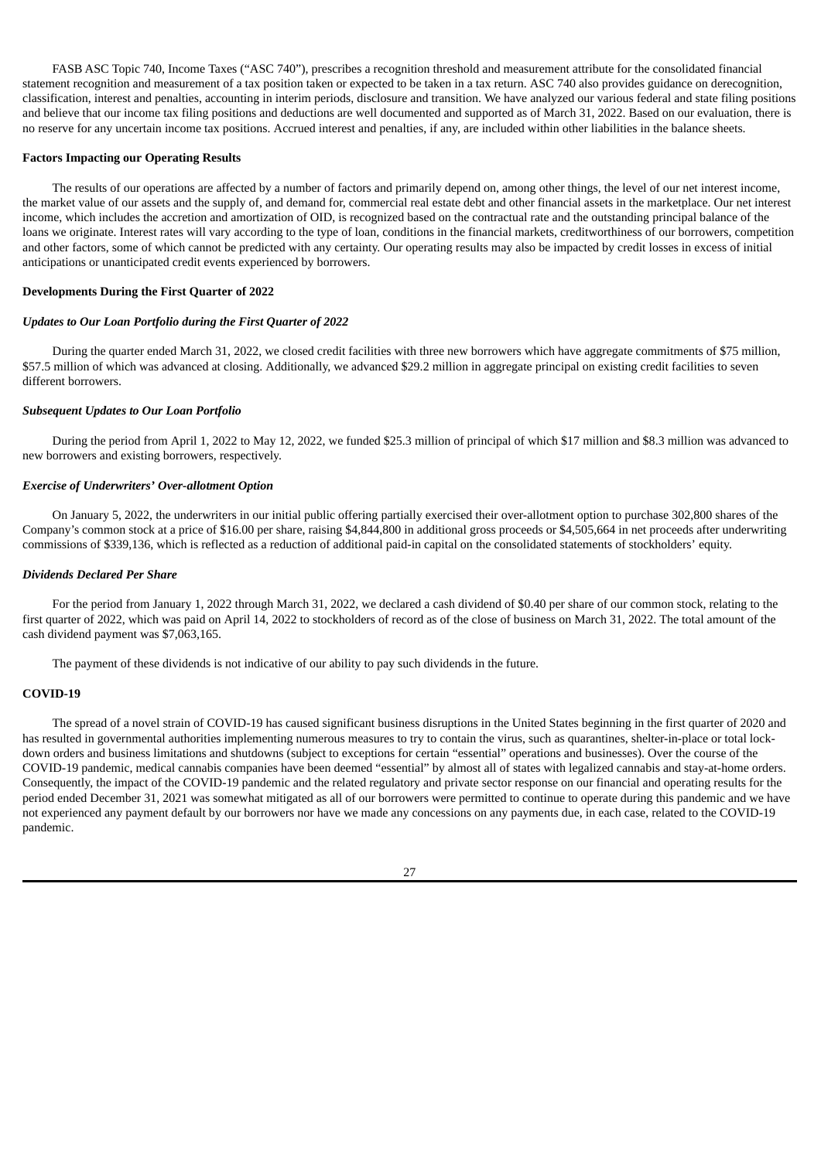FASB ASC Topic 740, Income Taxes ("ASC 740"), prescribes a recognition threshold and measurement attribute for the consolidated financial statement recognition and measurement of a tax position taken or expected to be taken in a tax return. ASC 740 also provides guidance on derecognition, classification, interest and penalties, accounting in interim periods, disclosure and transition. We have analyzed our various federal and state filing positions and believe that our income tax filing positions and deductions are well documented and supported as of March 31, 2022. Based on our evaluation, there is no reserve for any uncertain income tax positions. Accrued interest and penalties, if any, are included within other liabilities in the balance sheets.

### **Factors Impacting our Operating Results**

The results of our operations are affected by a number of factors and primarily depend on, among other things, the level of our net interest income, the market value of our assets and the supply of, and demand for, commercial real estate debt and other financial assets in the marketplace. Our net interest income, which includes the accretion and amortization of OID, is recognized based on the contractual rate and the outstanding principal balance of the loans we originate. Interest rates will vary according to the type of loan, conditions in the financial markets, creditworthiness of our borrowers, competition and other factors, some of which cannot be predicted with any certainty. Our operating results may also be impacted by credit losses in excess of initial anticipations or unanticipated credit events experienced by borrowers.

## **Developments During the First Quarter of 2022**

#### *Updates to Our Loan Portfolio during the First Quarter of 2022*

During the quarter ended March 31, 2022, we closed credit facilities with three new borrowers which have aggregate commitments of \$75 million, \$57.5 million of which was advanced at closing. Additionally, we advanced \$29.2 million in aggregate principal on existing credit facilities to seven different borrowers.

#### *Subsequent Updates to Our Loan Portfolio*

During the period from April 1, 2022 to May 12, 2022, we funded \$25.3 million of principal of which \$17 million and \$8.3 million was advanced to new borrowers and existing borrowers, respectively.

#### *Exercise of Underwriters' Over-allotment Option*

On January 5, 2022, the underwriters in our initial public offering partially exercised their over-allotment option to purchase 302,800 shares of the Company's common stock at a price of \$16.00 per share, raising \$4,844,800 in additional gross proceeds or \$4,505,664 in net proceeds after underwriting commissions of \$339,136, which is reflected as a reduction of additional paid-in capital on the consolidated statements of stockholders' equity.

#### *Dividends Declared Per Share*

For the period from January 1, 2022 through March 31, 2022, we declared a cash dividend of \$0.40 per share of our common stock, relating to the first quarter of 2022, which was paid on April 14, 2022 to stockholders of record as of the close of business on March 31, 2022. The total amount of the cash dividend payment was \$7,063,165.

The payment of these dividends is not indicative of our ability to pay such dividends in the future.

#### **COVID-19**

The spread of a novel strain of COVID-19 has caused significant business disruptions in the United States beginning in the first quarter of 2020 and has resulted in governmental authorities implementing numerous measures to try to contain the virus, such as quarantines, shelter-in-place or total lockdown orders and business limitations and shutdowns (subject to exceptions for certain "essential" operations and businesses). Over the course of the COVID-19 pandemic, medical cannabis companies have been deemed "essential" by almost all of states with legalized cannabis and stay-at-home orders. Consequently, the impact of the COVID-19 pandemic and the related regulatory and private sector response on our financial and operating results for the period ended December 31, 2021 was somewhat mitigated as all of our borrowers were permitted to continue to operate during this pandemic and we have not experienced any payment default by our borrowers nor have we made any concessions on any payments due, in each case, related to the COVID-19 pandemic.

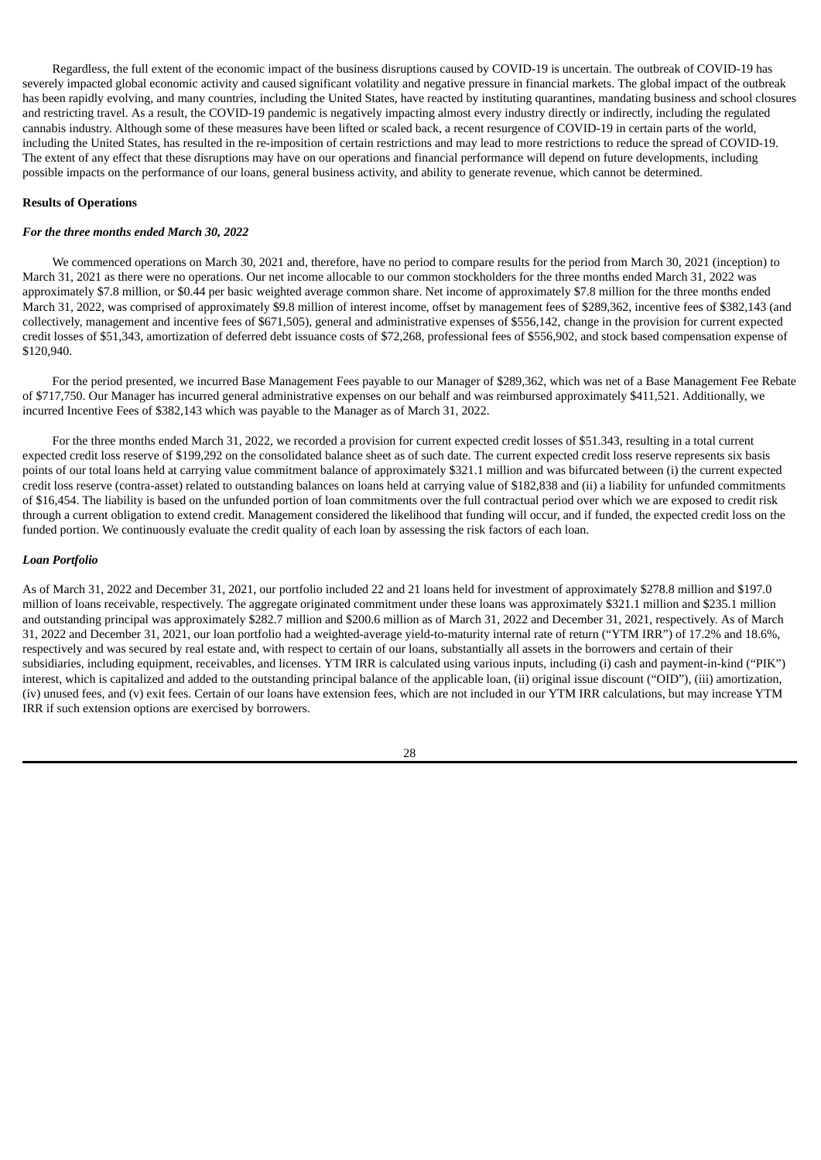Regardless, the full extent of the economic impact of the business disruptions caused by COVID-19 is uncertain. The outbreak of COVID-19 has severely impacted global economic activity and caused significant volatility and negative pressure in financial markets. The global impact of the outbreak has been rapidly evolving, and many countries, including the United States, have reacted by instituting quarantines, mandating business and school closures and restricting travel. As a result, the COVID-19 pandemic is negatively impacting almost every industry directly or indirectly, including the regulated cannabis industry. Although some of these measures have been lifted or scaled back, a recent resurgence of COVID-19 in certain parts of the world, including the United States, has resulted in the re-imposition of certain restrictions and may lead to more restrictions to reduce the spread of COVID-19. The extent of any effect that these disruptions may have on our operations and financial performance will depend on future developments, including possible impacts on the performance of our loans, general business activity, and ability to generate revenue, which cannot be determined.

### **Results of Operations**

## *For the three months ended March 30, 2022*

We commenced operations on March 30, 2021 and, therefore, have no period to compare results for the period from March 30, 2021 (inception) to March 31, 2021 as there were no operations. Our net income allocable to our common stockholders for the three months ended March 31, 2022 was approximately \$7.8 million, or \$0.44 per basic weighted average common share. Net income of approximately \$7.8 million for the three months ended March 31, 2022, was comprised of approximately \$9.8 million of interest income, offset by management fees of \$289,362, incentive fees of \$382,143 (and collectively, management and incentive fees of \$671,505), general and administrative expenses of \$556,142, change in the provision for current expected credit losses of \$51,343, amortization of deferred debt issuance costs of \$72,268, professional fees of \$556,902, and stock based compensation expense of \$120,940.

For the period presented, we incurred Base Management Fees payable to our Manager of \$289,362, which was net of a Base Management Fee Rebate of \$717,750. Our Manager has incurred general administrative expenses on our behalf and was reimbursed approximately \$411,521. Additionally, we incurred Incentive Fees of \$382,143 which was payable to the Manager as of March 31, 2022.

For the three months ended March 31, 2022, we recorded a provision for current expected credit losses of \$51.343, resulting in a total current expected credit loss reserve of \$199,292 on the consolidated balance sheet as of such date. The current expected credit loss reserve represents six basis points of our total loans held at carrying value commitment balance of approximately \$321.1 million and was bifurcated between (i) the current expected credit loss reserve (contra-asset) related to outstanding balances on loans held at carrying value of \$182,838 and (ii) a liability for unfunded commitments of \$16,454. The liability is based on the unfunded portion of loan commitments over the full contractual period over which we are exposed to credit risk through a current obligation to extend credit. Management considered the likelihood that funding will occur, and if funded, the expected credit loss on the funded portion. We continuously evaluate the credit quality of each loan by assessing the risk factors of each loan.

## *Loan Portfolio*

As of March 31, 2022 and December 31, 2021, our portfolio included 22 and 21 loans held for investment of approximately \$278.8 million and \$197.0 million of loans receivable, respectively. The aggregate originated commitment under these loans was approximately \$321.1 million and \$235.1 million and outstanding principal was approximately \$282.7 million and \$200.6 million as of March 31, 2022 and December 31, 2021, respectively. As of March 31, 2022 and December 31, 2021, our loan portfolio had a weighted-average yield-to-maturity internal rate of return ("YTM IRR") of 17.2% and 18.6%, respectively and was secured by real estate and, with respect to certain of our loans, substantially all assets in the borrowers and certain of their subsidiaries, including equipment, receivables, and licenses. YTM IRR is calculated using various inputs, including (i) cash and payment-in-kind ("PIK") interest, which is capitalized and added to the outstanding principal balance of the applicable loan, (ii) original issue discount ("OID"), (iii) amortization, (iv) unused fees, and (v) exit fees. Certain of our loans have extension fees, which are not included in our YTM IRR calculations, but may increase YTM IRR if such extension options are exercised by borrowers.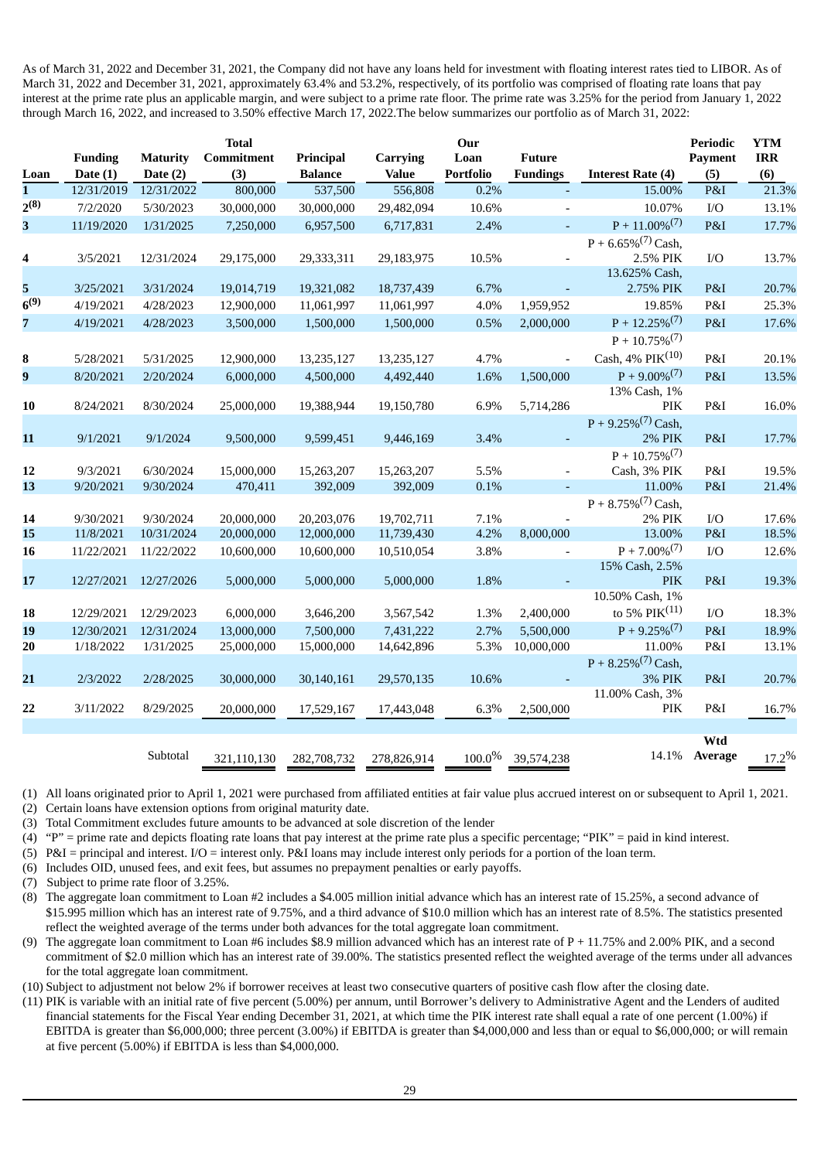As of March 31, 2022 and December 31, 2021, the Company did not have any loans held for investment with floating interest rates tied to LIBOR. As of March 31, 2022 and December 31, 2021, approximately 63.4% and 53.2%, respectively, of its portfolio was comprised of floating rate loans that pay interest at the prime rate plus an applicable margin, and were subject to a prime rate floor. The prime rate was 3.25% for the period from January 1, 2022 through March 16, 2022, and increased to 3.50% effective March 17, 2022.The below summarizes our portfolio as of March 31, 2022:

|                         |                        |                         | <b>Total</b>             |                          |                          | Our              |                          |                                                     | Periodic       | <b>YTM</b>     |
|-------------------------|------------------------|-------------------------|--------------------------|--------------------------|--------------------------|------------------|--------------------------|-----------------------------------------------------|----------------|----------------|
|                         | <b>Funding</b>         | <b>Maturity</b>         | Commitment               | Principal                | <b>Carrying</b>          | Loan             | <b>Future</b>            |                                                     | <b>Payment</b> | <b>IRR</b>     |
| Loan                    | Date $(1)$             | Date $(2)$              | (3)                      | <b>Balance</b>           | <b>Value</b>             | <b>Portfolio</b> | <b>Fundings</b>          | <b>Interest Rate (4)</b>                            | (5)            | (6)            |
| $\overline{1}$          | 12/31/2019             | 12/31/2022              | 800,000                  | 537,500                  | 556,808                  | 0.2%             | $\omega$                 | 15.00%                                              | P&I            | 21.3%          |
| $2^{(8)}$               | 7/2/2020               | 5/30/2023               | 30,000,000               | 30,000,000               | 29,482,094               | 10.6%            |                          | 10.07%                                              | I/O            | 13.1%          |
| $\overline{\mathbf{3}}$ | 11/19/2020             | 1/31/2025               | 7,250,000                | 6,957,500                | 6,717,831                | 2.4%             |                          | $P + 11.00\%^{(7)}$                                 | P&I            | 17.7%          |
| 4                       | 3/5/2021               | 12/31/2024              | 29,175,000               | 29,333,311               | 29,183,975               | 10.5%            | $\overline{a}$           | $P + 6.65\%^{(7)}$ Cash,<br>2.5% PIK                | I/O            | 13.7%          |
| 5                       | 3/25/2021              | 3/31/2024               | 19,014,719               | 19,321,082               | 18,737,439               | 6.7%             |                          | 13.625% Cash,<br>2.75% PIK                          | P&I            | 20.7%          |
| $6^{(9)}$               | 4/19/2021              | 4/28/2023               | 12,900,000               | 11,061,997               | 11,061,997               | 4.0%             | 1,959,952                | 19.85%                                              | P&I            | 25.3%          |
| 7                       | 4/19/2021              | 4/28/2023               | 3,500,000                | 1,500,000                | 1,500,000                | 0.5%             | 2,000,000                | $P + 12.25\%^{(7)}$                                 | P&I            | 17.6%          |
|                         |                        |                         |                          |                          |                          |                  |                          | $P + 10.75\%/7$                                     |                |                |
| 8                       | 5/28/2021              | 5/31/2025               | 12,900,000               | 13,235,127               | 13,235,127               | 4.7%             |                          | Cash, 4% PIK <sup>(10)</sup>                        | P&I            | 20.1%          |
| $\boldsymbol{9}$        | 8/20/2021              | 2/20/2024               | 6,000,000                | 4,500,000                | 4,492,440                | 1.6%             | 1,500,000                | $P + 9.00\%^{(7)}$                                  | P&I            | 13.5%          |
| 10                      | 8/24/2021              | 8/30/2024               | 25,000,000               | 19,388,944               | 19,150,780               | 6.9%             | 5,714,286                | 13% Cash, 1%<br>$\rm{PIK}$                          | P&I            | 16.0%          |
| 11                      | 9/1/2021               | 9/1/2024                | 9,500,000                | 9,599,451                | 9,446,169                | 3.4%             |                          | $P + 9.25\%^{(7)}$ Cash,<br><b>2% PIK</b>           | P&I            | 17.7%          |
|                         |                        |                         |                          |                          |                          |                  |                          | $P + 10.75\%^{(7)}$                                 |                |                |
| 12                      | 9/3/2021               | 6/30/2024               | 15,000,000               | 15,263,207               | 15,263,207               | 5.5%             | $\overline{\phantom{a}}$ | Cash, 3% PIK                                        | P&I            | 19.5%          |
| 13                      | 9/20/2021              | 9/30/2024               | 470,411                  | 392,009                  | 392,009                  | 0.1%             |                          | 11.00%                                              | P&I            | 21.4%          |
| 14<br>15                | 9/30/2021<br>11/8/2021 | 9/30/2024<br>10/31/2024 | 20,000,000<br>20,000,000 | 20,203,076<br>12,000,000 | 19,702,711<br>11,739,430 | 7.1%<br>4.2%     | 8,000,000                | $P + 8.75\%^{(7)}$ Cash,<br><b>2% PIK</b><br>13.00% | I/O<br>P&I     | 17.6%<br>18.5% |
| 16                      | 11/22/2021             | 11/22/2022              | 10,600,000               | 10,600,000               | 10,510,054               | 3.8%             |                          | $P + 7.00\%^{(7)}$                                  | I/O            | 12.6%          |
| 17                      | 12/27/2021             | 12/27/2026              | 5,000,000                | 5,000,000                | 5,000,000                | 1.8%             |                          | 15% Cash, 2.5%<br>PIK                               | P&I            | 19.3%          |
| 18                      | 12/29/2021             | 12/29/2023              | 6,000,000                | 3,646,200                | 3,567,542                | 1.3%             | 2,400,000                | 10.50% Cash, 1%<br>to 5% PIK $^{(11)}$              | I/O            | 18.3%          |
| 19                      | 12/30/2021             | 12/31/2024              | 13,000,000               | 7,500,000                | 7,431,222                | 2.7%             | 5,500,000                | $P + 9.25\%^{(7)}$                                  | P&I            | 18.9%          |
| 20                      | 1/18/2022              | 1/31/2025               | 25,000,000               | 15,000,000               | 14,642,896               | 5.3%             | 10,000,000               | 11.00%                                              | P&I            | 13.1%          |
| 21                      | 2/3/2022               | 2/28/2025               | 30,000,000               | 30,140,161               | 29,570,135               | 10.6%            |                          | $P + 8.25\%^{(7)}$ Cash,<br><b>3% PIK</b>           | P&I            | 20.7%          |
| 22                      | 3/11/2022              | 8/29/2025               | 20,000,000               | 17,529,167               | 17,443,048               | 6.3%             | 2,500,000                | 11.00% Cash, 3%<br>$\rm{PIK}$                       | P&I            | 16.7%          |
|                         |                        |                         |                          |                          |                          |                  |                          |                                                     |                |                |
|                         |                        | Subtotal                | 321,110,130              | 282,708,732              | 278,826,914              | $100.0\%$        | 39,574,238               | 14.1%                                               | Wtd<br>Average | 17.2%          |

(1) All loans originated prior to April 1, 2021 were purchased from affiliated entities at fair value plus accrued interest on or subsequent to April 1, 2021.

(2) Certain loans have extension options from original maturity date.

(3) Total Commitment excludes future amounts to be advanced at sole discretion of the lender

(4) " $P''$  = prime rate and depicts floating rate loans that pay interest at the prime rate plus a specific percentage; "PIK" = paid in kind interest.

(5) P&I = principal and interest. I/O = interest only. P&I loans may include interest only periods for a portion of the loan term.

(6) Includes OID, unused fees, and exit fees, but assumes no prepayment penalties or early payoffs.

(7) Subject to prime rate floor of 3.25%.

(8) The aggregate loan commitment to Loan #2 includes a \$4.005 million initial advance which has an interest rate of 15.25%, a second advance of \$15.995 million which has an interest rate of 9.75%, and a third advance of \$10.0 million which has an interest rate of 8.5%. The statistics presented reflect the weighted average of the terms under both advances for the total aggregate loan commitment.

(9) The aggregate loan commitment to Loan #6 includes \$8.9 million advanced which has an interest rate of P + 11.75% and 2.00% PIK, and a second commitment of \$2.0 million which has an interest rate of 39.00%. The statistics presented reflect the weighted average of the terms under all advances for the total aggregate loan commitment.

(10) Subject to adjustment not below 2% if borrower receives at least two consecutive quarters of positive cash flow after the closing date.

(11) PIK is variable with an initial rate of five percent (5.00%) per annum, until Borrower's delivery to Administrative Agent and the Lenders of audited financial statements for the Fiscal Year ending December 31, 2021, at which time the PIK interest rate shall equal a rate of one percent (1.00%) if EBITDA is greater than \$6,000,000; three percent (3.00%) if EBITDA is greater than \$4,000,000 and less than or equal to \$6,000,000; or will remain at five percent (5.00%) if EBITDA is less than \$4,000,000.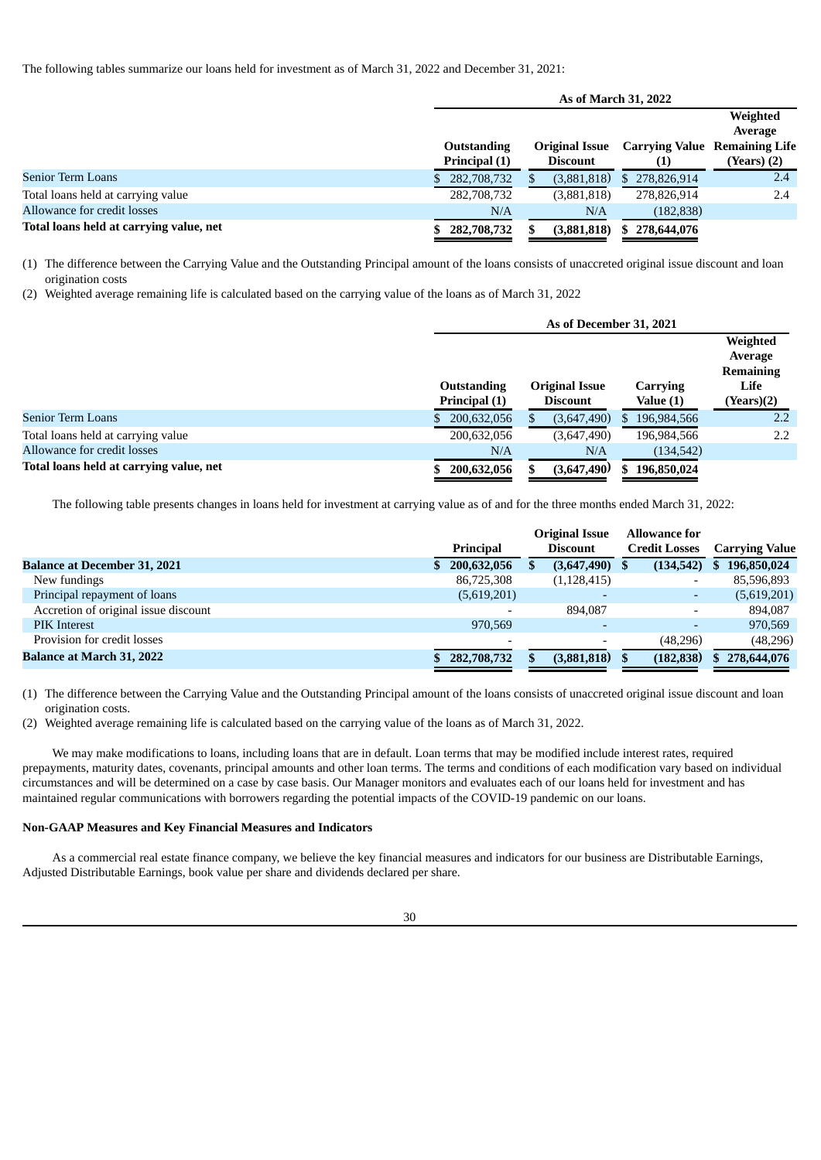The following tables summarize our loans held for investment as of March 31, 2022 and December 31, 2021:

|                                         | As of March 31, 2022 |  |                       |                       |                       |
|-----------------------------------------|----------------------|--|-----------------------|-----------------------|-----------------------|
|                                         |                      |  |                       |                       | Weighted              |
|                                         |                      |  |                       |                       | Average               |
|                                         | <b>Outstanding</b>   |  | <b>Original Issue</b> | <b>Carrying Value</b> | <b>Remaining Life</b> |
|                                         | Principal (1)        |  | <b>Discount</b>       |                       | $(Years)$ $(2)$       |
| Senior Term Loans                       | \$ 282,708,732       |  | (3,881,818)           | \$278,826,914         | 2.4                   |
| Total loans held at carrying value      | 282,708,732          |  | (3,881,818)           | 278,826,914           | 2.4                   |
| Allowance for credit losses             | N/A                  |  | N/A                   | (182, 838)            |                       |
| Total loans held at carrying value, net | 282,708,732          |  | (3,881,818)           | \$278,644,076         |                       |

(1) The difference between the Carrying Value and the Outstanding Principal amount of the loans consists of unaccreted original issue discount and loan origination costs

(2) Weighted average remaining life is calculated based on the carrying value of the loans as of March 31, 2022

|                                         | As of December 31, 2021      |                                          |                              |                                                               |  |  |
|-----------------------------------------|------------------------------|------------------------------------------|------------------------------|---------------------------------------------------------------|--|--|
|                                         | Outstanding<br>Principal (1) | <b>Original Issue</b><br><b>Discount</b> | <b>Carrying</b><br>Value (1) | Weighted<br>Average<br><b>Remaining</b><br>Life<br>(Years)(2) |  |  |
| Senior Term Loans                       | 200,632,056                  | (3,647,490)                              | 196,984,566                  | 2.2                                                           |  |  |
| Total loans held at carrying value      | 200,632,056                  | (3,647,490)                              | 196,984,566                  | 2.2                                                           |  |  |
| Allowance for credit losses             | N/A                          | N/A                                      | (134, 542)                   |                                                               |  |  |
| Total loans held at carrying value, net | 200,632,056                  | (3,647,490)                              | 196,850,024                  |                                                               |  |  |

The following table presents changes in loans held for investment at carrying value as of and for the three months ended March 31, 2022:

|                                      |             |   | <b>Original Issue</b>    |  | <b>Allowance for</b>     |   |                       |
|--------------------------------------|-------------|---|--------------------------|--|--------------------------|---|-----------------------|
|                                      | Principal   |   | <b>Discount</b>          |  | <b>Credit Losses</b>     |   | <b>Carrying Value</b> |
| <b>Balance at December 31, 2021</b>  | 200,632,056 | æ | (3,647,490)              |  | (134, 542)               | D | 196,850,024           |
| New fundings                         | 86,725,308  |   | (1, 128, 415)            |  | -                        |   | 85,596,893            |
| Principal repayment of loans         | (5,619,201) |   |                          |  |                          |   | (5,619,201)           |
| Accretion of original issue discount |             |   | 894.087                  |  | $\overline{\phantom{0}}$ |   | 894,087               |
| <b>PIK</b> Interest                  | 970,569     |   | $\overline{\phantom{0}}$ |  |                          |   | 970,569               |
| Provision for credit losses          |             |   | $\overline{\phantom{a}}$ |  | (48,296)                 |   | (48, 296)             |
| <b>Balance at March 31, 2022</b>     | 282,708,732 |   | (3,881,818)              |  | (182, 838)               |   | 278,644,076           |

(1) The difference between the Carrying Value and the Outstanding Principal amount of the loans consists of unaccreted original issue discount and loan origination costs.

(2) Weighted average remaining life is calculated based on the carrying value of the loans as of March 31, 2022.

We may make modifications to loans, including loans that are in default. Loan terms that may be modified include interest rates, required prepayments, maturity dates, covenants, principal amounts and other loan terms. The terms and conditions of each modification vary based on individual circumstances and will be determined on a case by case basis. Our Manager monitors and evaluates each of our loans held for investment and has maintained regular communications with borrowers regarding the potential impacts of the COVID-19 pandemic on our loans.

## **Non-GAAP Measures and Key Financial Measures and Indicators**

As a commercial real estate finance company, we believe the key financial measures and indicators for our business are Distributable Earnings, Adjusted Distributable Earnings, book value per share and dividends declared per share.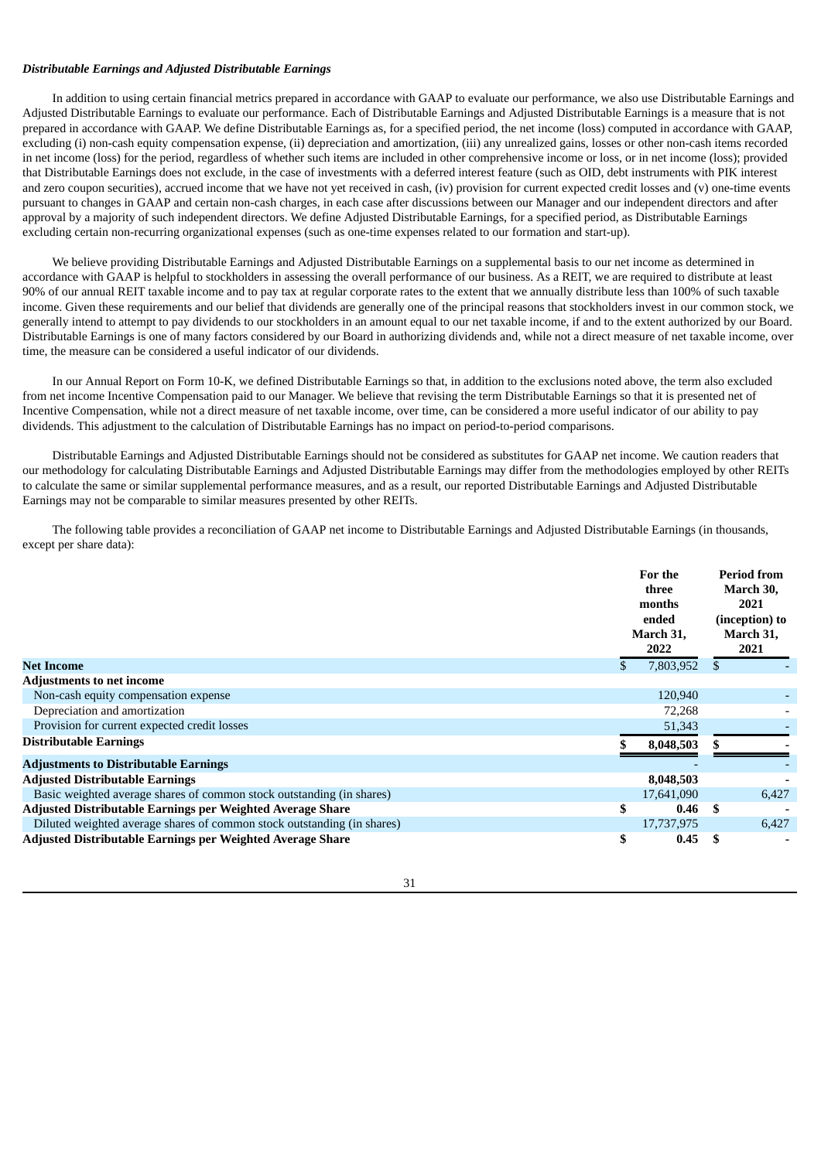## *Distributable Earnings and Adjusted Distributable Earnings*

In addition to using certain financial metrics prepared in accordance with GAAP to evaluate our performance, we also use Distributable Earnings and Adjusted Distributable Earnings to evaluate our performance. Each of Distributable Earnings and Adjusted Distributable Earnings is a measure that is not prepared in accordance with GAAP. We define Distributable Earnings as, for a specified period, the net income (loss) computed in accordance with GAAP, excluding (i) non-cash equity compensation expense, (ii) depreciation and amortization, (iii) any unrealized gains, losses or other non-cash items recorded in net income (loss) for the period, regardless of whether such items are included in other comprehensive income or loss, or in net income (loss); provided that Distributable Earnings does not exclude, in the case of investments with a deferred interest feature (such as OID, debt instruments with PIK interest and zero coupon securities), accrued income that we have not yet received in cash, (iv) provision for current expected credit losses and (v) one-time events pursuant to changes in GAAP and certain non-cash charges, in each case after discussions between our Manager and our independent directors and after approval by a majority of such independent directors. We define Adjusted Distributable Earnings, for a specified period, as Distributable Earnings excluding certain non-recurring organizational expenses (such as one-time expenses related to our formation and start-up).

We believe providing Distributable Earnings and Adjusted Distributable Earnings on a supplemental basis to our net income as determined in accordance with GAAP is helpful to stockholders in assessing the overall performance of our business. As a REIT, we are required to distribute at least 90% of our annual REIT taxable income and to pay tax at regular corporate rates to the extent that we annually distribute less than 100% of such taxable income. Given these requirements and our belief that dividends are generally one of the principal reasons that stockholders invest in our common stock, we generally intend to attempt to pay dividends to our stockholders in an amount equal to our net taxable income, if and to the extent authorized by our Board. Distributable Earnings is one of many factors considered by our Board in authorizing dividends and, while not a direct measure of net taxable income, over time, the measure can be considered a useful indicator of our dividends.

In our Annual Report on Form 10-K, we defined Distributable Earnings so that, in addition to the exclusions noted above, the term also excluded from net income Incentive Compensation paid to our Manager. We believe that revising the term Distributable Earnings so that it is presented net of Incentive Compensation, while not a direct measure of net taxable income, over time, can be considered a more useful indicator of our ability to pay dividends. This adjustment to the calculation of Distributable Earnings has no impact on period-to-period comparisons.

Distributable Earnings and Adjusted Distributable Earnings should not be considered as substitutes for GAAP net income. We caution readers that our methodology for calculating Distributable Earnings and Adjusted Distributable Earnings may differ from the methodologies employed by other REITs to calculate the same or similar supplemental performance measures, and as a result, our reported Distributable Earnings and Adjusted Distributable Earnings may not be comparable to similar measures presented by other REITs.

The following table provides a reconciliation of GAAP net income to Distributable Earnings and Adjusted Distributable Earnings (in thousands, except per share data):

|                                                                         |    | For the<br>three<br>months<br>ended<br>March 31,<br>2022 |     | <b>Period from</b><br>March 30,<br>2021<br>(inception) to<br>March 31,<br>2021 |
|-------------------------------------------------------------------------|----|----------------------------------------------------------|-----|--------------------------------------------------------------------------------|
| <b>Net Income</b>                                                       | S. | 7,803,952                                                | \$. |                                                                                |
| <b>Adjustments to net income</b>                                        |    |                                                          |     |                                                                                |
| Non-cash equity compensation expense                                    |    | 120,940                                                  |     |                                                                                |
| Depreciation and amortization                                           |    | 72,268                                                   |     |                                                                                |
| Provision for current expected credit losses                            |    | 51,343                                                   |     |                                                                                |
| <b>Distributable Earnings</b>                                           |    | 8,048,503                                                |     |                                                                                |
| <b>Adjustments to Distributable Earnings</b>                            |    |                                                          |     |                                                                                |
| <b>Adjusted Distributable Earnings</b>                                  |    | 8,048,503                                                |     |                                                                                |
| Basic weighted average shares of common stock outstanding (in shares)   |    | 17,641,090                                               |     | 6,427                                                                          |
| Adjusted Distributable Earnings per Weighted Average Share              | \$ | 0.46                                                     | \$. |                                                                                |
| Diluted weighted average shares of common stock outstanding (in shares) |    | 17,737,975                                               |     | 6,427                                                                          |
| Adjusted Distributable Earnings per Weighted Average Share              | \$ | 0.45                                                     | \$. |                                                                                |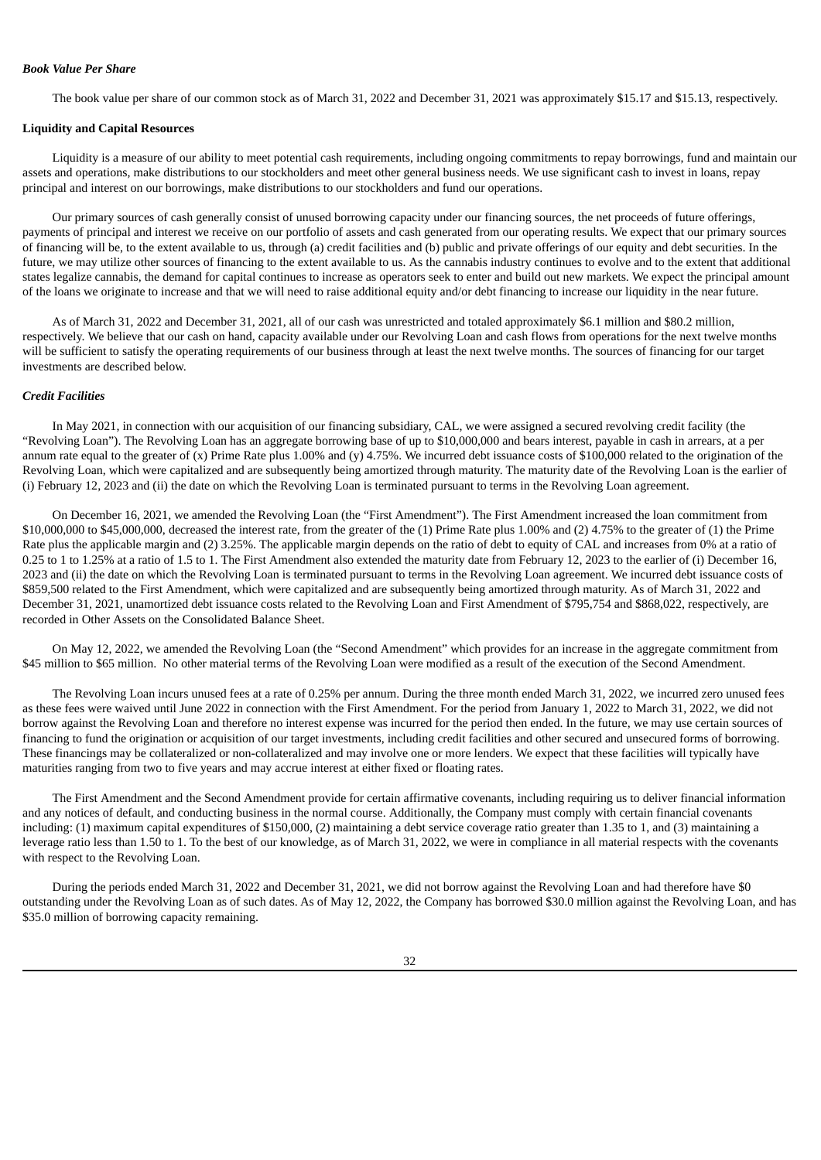### *Book Value Per Share*

The book value per share of our common stock as of March 31, 2022 and December 31, 2021 was approximately \$15.17 and \$15.13, respectively.

#### **Liquidity and Capital Resources**

Liquidity is a measure of our ability to meet potential cash requirements, including ongoing commitments to repay borrowings, fund and maintain our assets and operations, make distributions to our stockholders and meet other general business needs. We use significant cash to invest in loans, repay principal and interest on our borrowings, make distributions to our stockholders and fund our operations.

Our primary sources of cash generally consist of unused borrowing capacity under our financing sources, the net proceeds of future offerings, payments of principal and interest we receive on our portfolio of assets and cash generated from our operating results. We expect that our primary sources of financing will be, to the extent available to us, through (a) credit facilities and (b) public and private offerings of our equity and debt securities. In the future, we may utilize other sources of financing to the extent available to us. As the cannabis industry continues to evolve and to the extent that additional states legalize cannabis, the demand for capital continues to increase as operators seek to enter and build out new markets. We expect the principal amount of the loans we originate to increase and that we will need to raise additional equity and/or debt financing to increase our liquidity in the near future.

As of March 31, 2022 and December 31, 2021, all of our cash was unrestricted and totaled approximately \$6.1 million and \$80.2 million, respectively. We believe that our cash on hand, capacity available under our Revolving Loan and cash flows from operations for the next twelve months will be sufficient to satisfy the operating requirements of our business through at least the next twelve months. The sources of financing for our target investments are described below.

### *Credit Facilities*

In May 2021, in connection with our acquisition of our financing subsidiary, CAL, we were assigned a secured revolving credit facility (the "Revolving Loan"). The Revolving Loan has an aggregate borrowing base of up to \$10,000,000 and bears interest, payable in cash in arrears, at a per annum rate equal to the greater of  $(x)$  Prime Rate plus 1.00% and  $(y)$  4.75%. We incurred debt issuance costs of \$100,000 related to the origination of the Revolving Loan, which were capitalized and are subsequently being amortized through maturity. The maturity date of the Revolving Loan is the earlier of (i) February 12, 2023 and (ii) the date on which the Revolving Loan is terminated pursuant to terms in the Revolving Loan agreement.

On December 16, 2021, we amended the Revolving Loan (the "First Amendment"). The First Amendment increased the loan commitment from \$10,000,000 to \$45,000,000, decreased the interest rate, from the greater of the (1) Prime Rate plus 1.00% and (2) 4.75% to the greater of (1) the Prime Rate plus the applicable margin and (2) 3.25%. The applicable margin depends on the ratio of debt to equity of CAL and increases from 0% at a ratio of 0.25 to 1 to 1.25% at a ratio of 1.5 to 1. The First Amendment also extended the maturity date from February 12, 2023 to the earlier of (i) December 16, 2023 and (ii) the date on which the Revolving Loan is terminated pursuant to terms in the Revolving Loan agreement. We incurred debt issuance costs of \$859,500 related to the First Amendment, which were capitalized and are subsequently being amortized through maturity. As of March 31, 2022 and December 31, 2021, unamortized debt issuance costs related to the Revolving Loan and First Amendment of \$795,754 and \$868,022, respectively, are recorded in Other Assets on the Consolidated Balance Sheet.

On May 12, 2022, we amended the Revolving Loan (the "Second Amendment" which provides for an increase in the aggregate commitment from \$45 million to \$65 million. No other material terms of the Revolving Loan were modified as a result of the execution of the Second Amendment.

The Revolving Loan incurs unused fees at a rate of 0.25% per annum. During the three month ended March 31, 2022, we incurred zero unused fees as these fees were waived until June 2022 in connection with the First Amendment. For the period from January 1, 2022 to March 31, 2022, we did not borrow against the Revolving Loan and therefore no interest expense was incurred for the period then ended. In the future, we may use certain sources of financing to fund the origination or acquisition of our target investments, including credit facilities and other secured and unsecured forms of borrowing. These financings may be collateralized or non-collateralized and may involve one or more lenders. We expect that these facilities will typically have maturities ranging from two to five years and may accrue interest at either fixed or floating rates.

The First Amendment and the Second Amendment provide for certain affirmative covenants, including requiring us to deliver financial information and any notices of default, and conducting business in the normal course. Additionally, the Company must comply with certain financial covenants including: (1) maximum capital expenditures of \$150,000, (2) maintaining a debt service coverage ratio greater than 1.35 to 1, and (3) maintaining a leverage ratio less than 1.50 to 1. To the best of our knowledge, as of March 31, 2022, we were in compliance in all material respects with the covenants with respect to the Revolving Loan.

During the periods ended March 31, 2022 and December 31, 2021, we did not borrow against the Revolving Loan and had therefore have \$0 outstanding under the Revolving Loan as of such dates. As of May 12, 2022, the Company has borrowed \$30.0 million against the Revolving Loan, and has \$35.0 million of borrowing capacity remaining.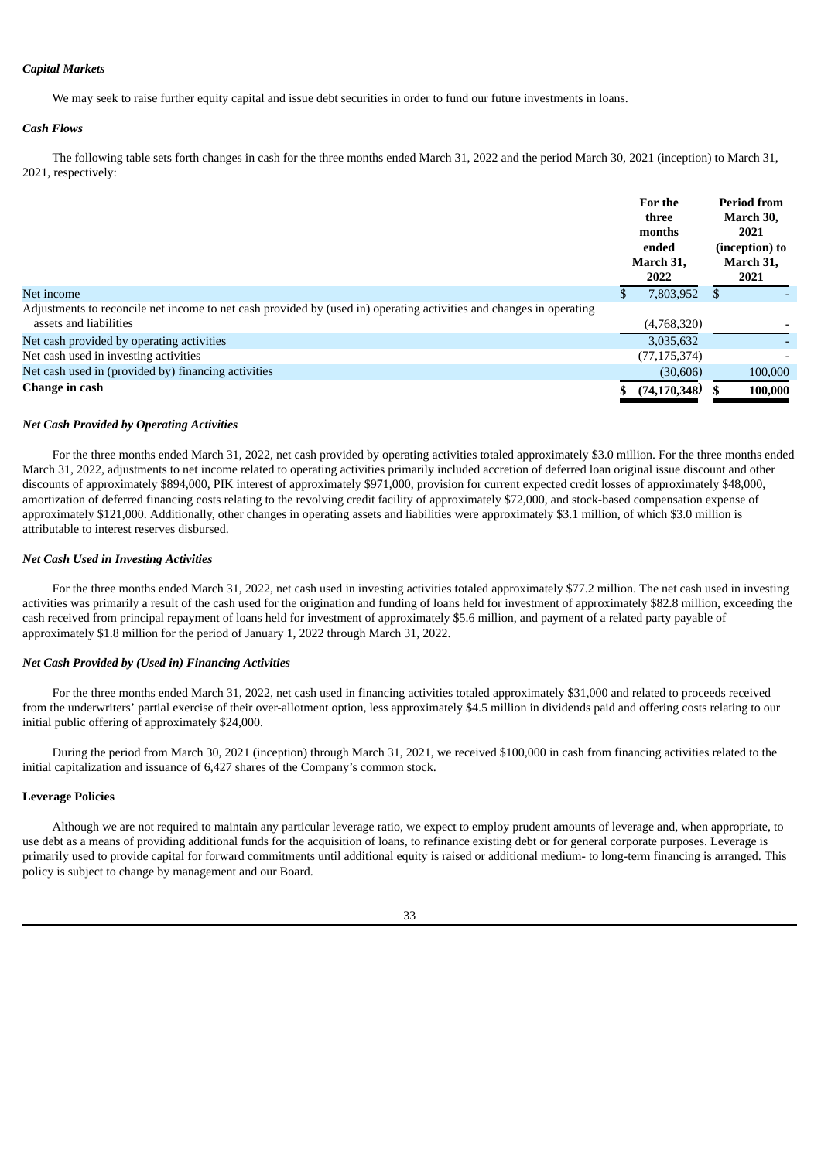## *Capital Markets*

We may seek to raise further equity capital and issue debt securities in order to fund our future investments in loans.

## *Cash Flows*

The following table sets forth changes in cash for the three months ended March 31, 2022 and the period March 30, 2021 (inception) to March 31, 2021, respectively:

|                                                                                                                     |     | For the<br>three<br>months<br>ended<br>March 31,<br>2022 |     | <b>Period from</b><br>March 30,<br>2021<br>(inception) to<br>March 31,<br>2021 |
|---------------------------------------------------------------------------------------------------------------------|-----|----------------------------------------------------------|-----|--------------------------------------------------------------------------------|
| Net income                                                                                                          | \$. | 7,803,952                                                | \$. |                                                                                |
| Adjustments to reconcile net income to net cash provided by (used in) operating activities and changes in operating |     |                                                          |     |                                                                                |
| assets and liabilities                                                                                              |     | (4,768,320)                                              |     |                                                                                |
| Net cash provided by operating activities                                                                           |     | 3,035,632                                                |     |                                                                                |
| Net cash used in investing activities                                                                               |     | (77, 175, 374)                                           |     |                                                                                |
| Net cash used in (provided by) financing activities                                                                 |     | (30,606)                                                 |     | 100,000                                                                        |
| Change in cash                                                                                                      |     | (74, 170, 348)                                           |     | 100,000                                                                        |

## *Net Cash Provided by Operating Activities*

For the three months ended March 31, 2022, net cash provided by operating activities totaled approximately \$3.0 million. For the three months ended March 31, 2022, adjustments to net income related to operating activities primarily included accretion of deferred loan original issue discount and other discounts of approximately \$894,000, PIK interest of approximately \$971,000, provision for current expected credit losses of approximately \$48,000, amortization of deferred financing costs relating to the revolving credit facility of approximately \$72,000, and stock-based compensation expense of approximately \$121,000. Additionally, other changes in operating assets and liabilities were approximately \$3.1 million, of which \$3.0 million is attributable to interest reserves disbursed.

## *Net Cash Used in Investing Activities*

For the three months ended March 31, 2022, net cash used in investing activities totaled approximately \$77.2 million. The net cash used in investing activities was primarily a result of the cash used for the origination and funding of loans held for investment of approximately \$82.8 million, exceeding the cash received from principal repayment of loans held for investment of approximately \$5.6 million, and payment of a related party payable of approximately \$1.8 million for the period of January 1, 2022 through March 31, 2022.

#### *Net Cash Provided by (Used in) Financing Activities*

For the three months ended March 31, 2022, net cash used in financing activities totaled approximately \$31,000 and related to proceeds received from the underwriters' partial exercise of their over-allotment option, less approximately \$4.5 million in dividends paid and offering costs relating to our initial public offering of approximately \$24,000.

During the period from March 30, 2021 (inception) through March 31, 2021, we received \$100,000 in cash from financing activities related to the initial capitalization and issuance of 6,427 shares of the Company's common stock.

## **Leverage Policies**

Although we are not required to maintain any particular leverage ratio, we expect to employ prudent amounts of leverage and, when appropriate, to use debt as a means of providing additional funds for the acquisition of loans, to refinance existing debt or for general corporate purposes. Leverage is primarily used to provide capital for forward commitments until additional equity is raised or additional medium- to long-term financing is arranged. This policy is subject to change by management and our Board.

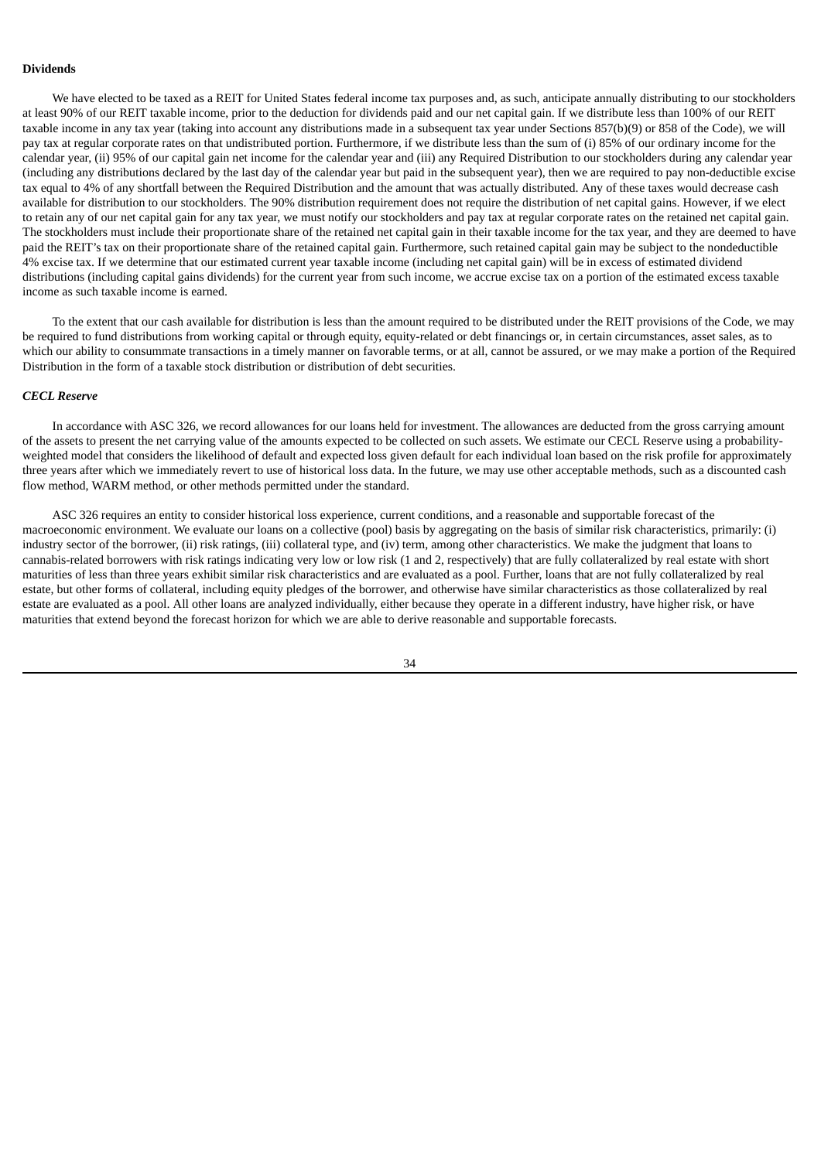#### **Dividends**

We have elected to be taxed as a REIT for United States federal income tax purposes and, as such, anticipate annually distributing to our stockholders at least 90% of our REIT taxable income, prior to the deduction for dividends paid and our net capital gain. If we distribute less than 100% of our REIT taxable income in any tax year (taking into account any distributions made in a subsequent tax year under Sections 857(b)(9) or 858 of the Code), we will pay tax at regular corporate rates on that undistributed portion. Furthermore, if we distribute less than the sum of (i) 85% of our ordinary income for the calendar year, (ii) 95% of our capital gain net income for the calendar year and (iii) any Required Distribution to our stockholders during any calendar year (including any distributions declared by the last day of the calendar year but paid in the subsequent year), then we are required to pay non-deductible excise tax equal to 4% of any shortfall between the Required Distribution and the amount that was actually distributed. Any of these taxes would decrease cash available for distribution to our stockholders. The 90% distribution requirement does not require the distribution of net capital gains. However, if we elect to retain any of our net capital gain for any tax year, we must notify our stockholders and pay tax at regular corporate rates on the retained net capital gain. The stockholders must include their proportionate share of the retained net capital gain in their taxable income for the tax year, and they are deemed to have paid the REIT's tax on their proportionate share of the retained capital gain. Furthermore, such retained capital gain may be subject to the nondeductible 4% excise tax. If we determine that our estimated current year taxable income (including net capital gain) will be in excess of estimated dividend distributions (including capital gains dividends) for the current year from such income, we accrue excise tax on a portion of the estimated excess taxable income as such taxable income is earned.

To the extent that our cash available for distribution is less than the amount required to be distributed under the REIT provisions of the Code, we may be required to fund distributions from working capital or through equity, equity-related or debt financings or, in certain circumstances, asset sales, as to which our ability to consummate transactions in a timely manner on favorable terms, or at all, cannot be assured, or we may make a portion of the Required Distribution in the form of a taxable stock distribution or distribution of debt securities.

#### *CECL Reserve*

In accordance with ASC 326, we record allowances for our loans held for investment. The allowances are deducted from the gross carrying amount of the assets to present the net carrying value of the amounts expected to be collected on such assets. We estimate our CECL Reserve using a probabilityweighted model that considers the likelihood of default and expected loss given default for each individual loan based on the risk profile for approximately three years after which we immediately revert to use of historical loss data. In the future, we may use other acceptable methods, such as a discounted cash flow method, WARM method, or other methods permitted under the standard.

ASC 326 requires an entity to consider historical loss experience, current conditions, and a reasonable and supportable forecast of the macroeconomic environment. We evaluate our loans on a collective (pool) basis by aggregating on the basis of similar risk characteristics, primarily: (i) industry sector of the borrower, (ii) risk ratings, (iii) collateral type, and (iv) term, among other characteristics. We make the judgment that loans to cannabis-related borrowers with risk ratings indicating very low or low risk (1 and 2, respectively) that are fully collateralized by real estate with short maturities of less than three years exhibit similar risk characteristics and are evaluated as a pool. Further, loans that are not fully collateralized by real estate, but other forms of collateral, including equity pledges of the borrower, and otherwise have similar characteristics as those collateralized by real estate are evaluated as a pool. All other loans are analyzed individually, either because they operate in a different industry, have higher risk, or have maturities that extend beyond the forecast horizon for which we are able to derive reasonable and supportable forecasts.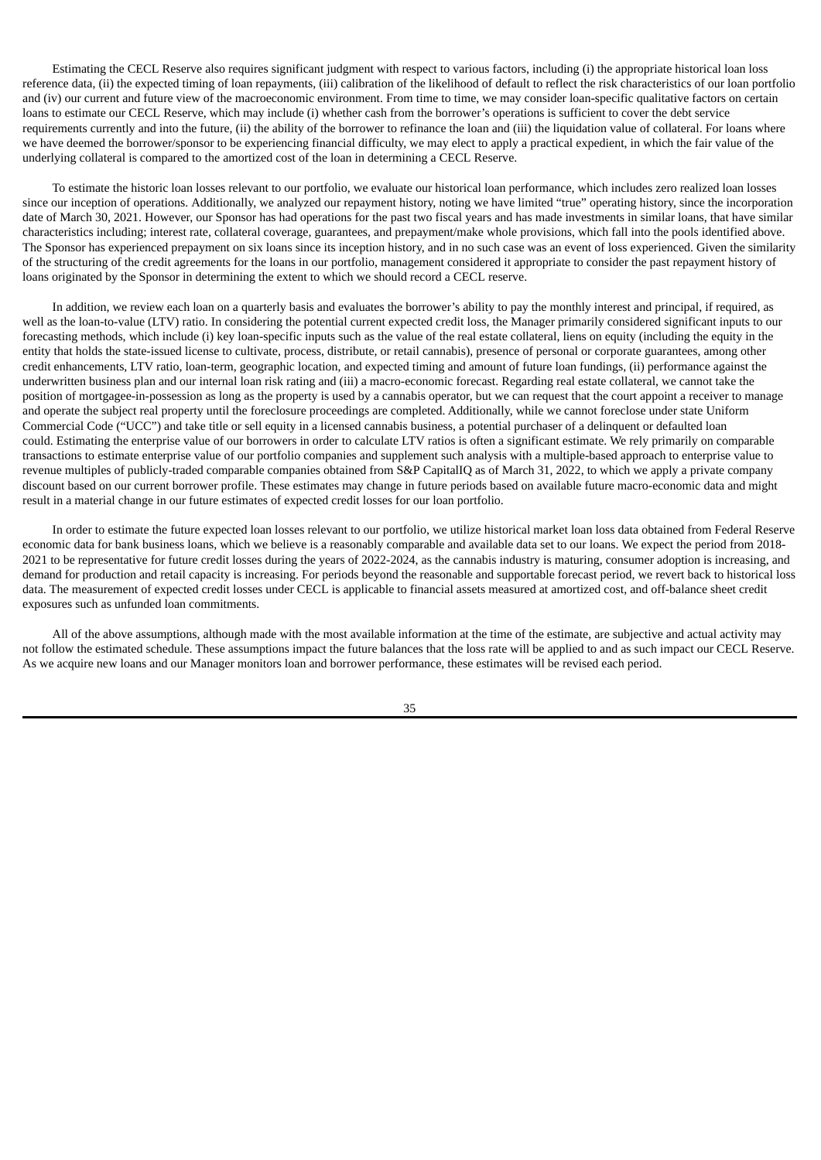Estimating the CECL Reserve also requires significant judgment with respect to various factors, including (i) the appropriate historical loan loss reference data, (ii) the expected timing of loan repayments, (iii) calibration of the likelihood of default to reflect the risk characteristics of our loan portfolio and (iv) our current and future view of the macroeconomic environment. From time to time, we may consider loan-specific qualitative factors on certain loans to estimate our CECL Reserve, which may include (i) whether cash from the borrower's operations is sufficient to cover the debt service requirements currently and into the future, (ii) the ability of the borrower to refinance the loan and (iii) the liquidation value of collateral. For loans where we have deemed the borrower/sponsor to be experiencing financial difficulty, we may elect to apply a practical expedient, in which the fair value of the underlying collateral is compared to the amortized cost of the loan in determining a CECL Reserve.

To estimate the historic loan losses relevant to our portfolio, we evaluate our historical loan performance, which includes zero realized loan losses since our inception of operations. Additionally, we analyzed our repayment history, noting we have limited "true" operating history, since the incorporation date of March 30, 2021. However, our Sponsor has had operations for the past two fiscal years and has made investments in similar loans, that have similar characteristics including; interest rate, collateral coverage, guarantees, and prepayment/make whole provisions, which fall into the pools identified above. The Sponsor has experienced prepayment on six loans since its inception history, and in no such case was an event of loss experienced. Given the similarity of the structuring of the credit agreements for the loans in our portfolio, management considered it appropriate to consider the past repayment history of loans originated by the Sponsor in determining the extent to which we should record a CECL reserve.

In addition, we review each loan on a quarterly basis and evaluates the borrower's ability to pay the monthly interest and principal, if required, as well as the loan-to-value (LTV) ratio. In considering the potential current expected credit loss, the Manager primarily considered significant inputs to our forecasting methods, which include (i) key loan-specific inputs such as the value of the real estate collateral, liens on equity (including the equity in the entity that holds the state-issued license to cultivate, process, distribute, or retail cannabis), presence of personal or corporate guarantees, among other credit enhancements, LTV ratio, loan-term, geographic location, and expected timing and amount of future loan fundings, (ii) performance against the underwritten business plan and our internal loan risk rating and (iii) a macro-economic forecast. Regarding real estate collateral, we cannot take the position of mortgagee-in-possession as long as the property is used by a cannabis operator, but we can request that the court appoint a receiver to manage and operate the subject real property until the foreclosure proceedings are completed. Additionally, while we cannot foreclose under state Uniform Commercial Code ("UCC") and take title or sell equity in a licensed cannabis business, a potential purchaser of a delinquent or defaulted loan could. Estimating the enterprise value of our borrowers in order to calculate LTV ratios is often a significant estimate. We rely primarily on comparable transactions to estimate enterprise value of our portfolio companies and supplement such analysis with a multiple-based approach to enterprise value to revenue multiples of publicly-traded comparable companies obtained from S&P CapitalIQ as of March 31, 2022, to which we apply a private company discount based on our current borrower profile. These estimates may change in future periods based on available future macro-economic data and might result in a material change in our future estimates of expected credit losses for our loan portfolio.

In order to estimate the future expected loan losses relevant to our portfolio, we utilize historical market loan loss data obtained from Federal Reserve economic data for bank business loans, which we believe is a reasonably comparable and available data set to our loans. We expect the period from 2018- 2021 to be representative for future credit losses during the years of 2022-2024, as the cannabis industry is maturing, consumer adoption is increasing, and demand for production and retail capacity is increasing. For periods beyond the reasonable and supportable forecast period, we revert back to historical loss data. The measurement of expected credit losses under CECL is applicable to financial assets measured at amortized cost, and off-balance sheet credit exposures such as unfunded loan commitments.

All of the above assumptions, although made with the most available information at the time of the estimate, are subjective and actual activity may not follow the estimated schedule. These assumptions impact the future balances that the loss rate will be applied to and as such impact our CECL Reserve. As we acquire new loans and our Manager monitors loan and borrower performance, these estimates will be revised each period.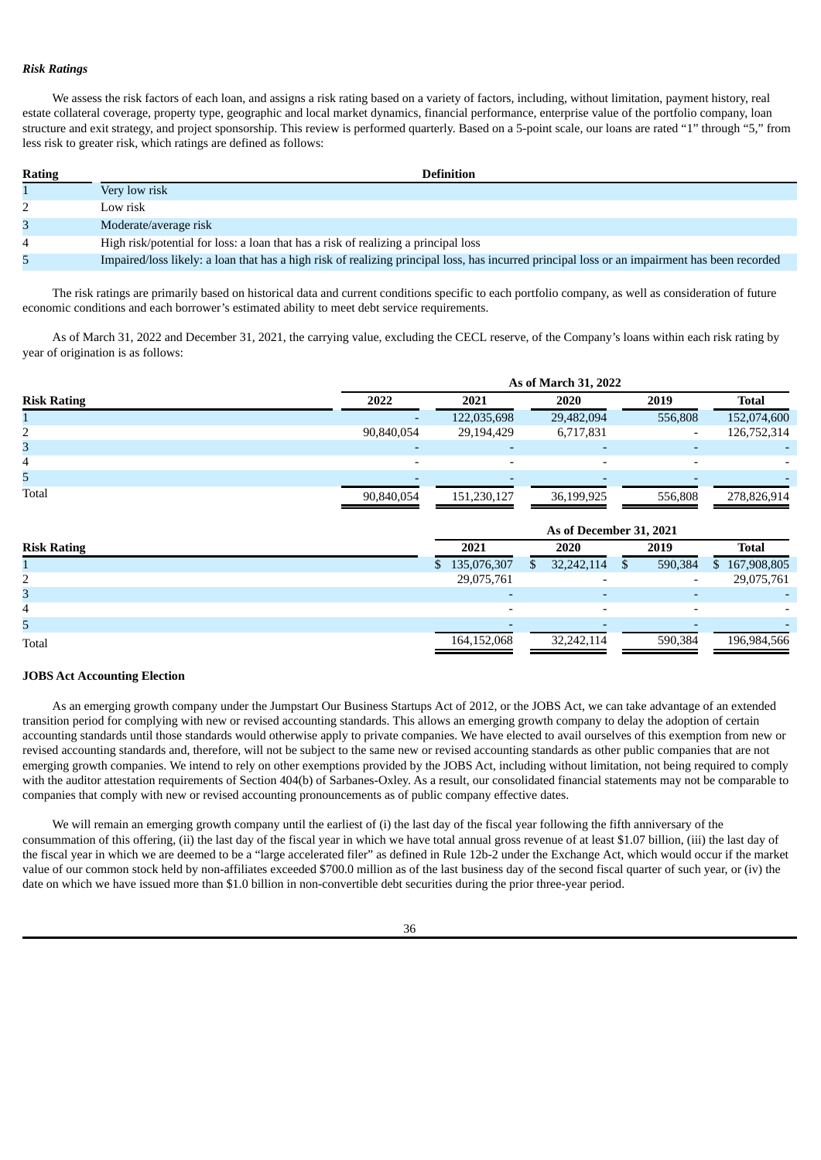## *Risk Ratings*

We assess the risk factors of each loan, and assigns a risk rating based on a variety of factors, including, without limitation, payment history, real estate collateral coverage, property type, geographic and local market dynamics, financial performance, enterprise value of the portfolio company, loan structure and exit strategy, and project sponsorship. This review is performed quarterly. Based on a 5-point scale, our loans are rated "1" through "5," from less risk to greater risk, which ratings are defined as follows:

| <b>Rating</b> | <b>Definition</b>                                                                                                                             |
|---------------|-----------------------------------------------------------------------------------------------------------------------------------------------|
|               | Very low risk                                                                                                                                 |
|               | Low risk                                                                                                                                      |
| 3             | Moderate/average risk                                                                                                                         |
| 4             | High risk/potential for loss: a loan that has a risk of realizing a principal loss                                                            |
| כ             | Impaired/loss likely: a loan that has a high risk of realizing principal loss, has incurred principal loss or an impairment has been recorded |

The risk ratings are primarily based on historical data and current conditions specific to each portfolio company, as well as consideration of future economic conditions and each borrower's estimated ability to meet debt service requirements.

As of March 31, 2022 and December 31, 2021, the carrying value, excluding the CECL reserve, of the Company's loans within each risk rating by year of origination is as follows:

|                    | As of March 31, 2022     |                          |                          |                          |                   |  |  |  |  |  |
|--------------------|--------------------------|--------------------------|--------------------------|--------------------------|-------------------|--|--|--|--|--|
| <b>Risk Rating</b> | 2022                     | 2021                     | 2020                     | 2019                     | <b>Total</b>      |  |  |  |  |  |
|                    | $\sim$                   | 122,035,698              | 29,482,094               | 556,808                  | 152,074,600       |  |  |  |  |  |
| 2                  | 90,840,054               | 29,194,429               | 6,717,831                | $\overline{\phantom{a}}$ | 126,752,314       |  |  |  |  |  |
| 3                  | $\overline{\phantom{a}}$ | $\overline{\phantom{0}}$ | $\overline{\phantom{a}}$ | $\overline{\phantom{a}}$ | ۰.                |  |  |  |  |  |
| 4                  | $\overline{\phantom{a}}$ | $\overline{\phantom{0}}$ | $\overline{\phantom{0}}$ | $\overline{\phantom{0}}$ |                   |  |  |  |  |  |
| 5                  |                          |                          |                          |                          |                   |  |  |  |  |  |
| Total              | 90,840,054               | 151,230,127              | 36,199,925               | 556,808                  | 278,826,914       |  |  |  |  |  |
|                    |                          | As of December 31, 2021  |                          |                          |                   |  |  |  |  |  |
| <b>Risk Rating</b> |                          | 2021                     | 2020                     | 2019                     | <b>Total</b>      |  |  |  |  |  |
|                    |                          | 135,076,307<br>\$        | 32,242,114               | 590,384<br>\$            | 167,908,805<br>\$ |  |  |  |  |  |
| C.                 |                          | 29 075 761               |                          |                          | 29 075 761        |  |  |  |  |  |

| n<br>∽ | 29,075,761               | $\overline{\phantom{a}}$ | $\overline{\phantom{0}}$ | 29,075,761  |
|--------|--------------------------|--------------------------|--------------------------|-------------|
| 3      | -                        | $\overline{\phantom{a}}$ |                          |             |
| 4      | $\overline{\phantom{0}}$ | $\overline{\phantom{0}}$ | $\overline{\phantom{0}}$ |             |
| C      | -                        | $\overline{\phantom{0}}$ | $\overline{\phantom{a}}$ |             |
| Total  | 164,152,068              | 32,242,114               | 590,384                  | 196,984,566 |

#### **JOBS Act Accounting Election**

As an emerging growth company under the Jumpstart Our Business Startups Act of 2012, or the JOBS Act, we can take advantage of an extended transition period for complying with new or revised accounting standards. This allows an emerging growth company to delay the adoption of certain accounting standards until those standards would otherwise apply to private companies. We have elected to avail ourselves of this exemption from new or revised accounting standards and, therefore, will not be subject to the same new or revised accounting standards as other public companies that are not emerging growth companies. We intend to rely on other exemptions provided by the JOBS Act, including without limitation, not being required to comply with the auditor attestation requirements of Section 404(b) of Sarbanes-Oxley. As a result, our consolidated financial statements may not be comparable to companies that comply with new or revised accounting pronouncements as of public company effective dates.

We will remain an emerging growth company until the earliest of (i) the last day of the fiscal year following the fifth anniversary of the consummation of this offering, (ii) the last day of the fiscal year in which we have total annual gross revenue of at least \$1.07 billion, (iii) the last day of the fiscal year in which we are deemed to be a "large accelerated filer" as defined in Rule 12b-2 under the Exchange Act, which would occur if the market value of our common stock held by non-affiliates exceeded \$700.0 million as of the last business day of the second fiscal quarter of such year, or (iv) the date on which we have issued more than \$1.0 billion in non-convertible debt securities during the prior three-year period.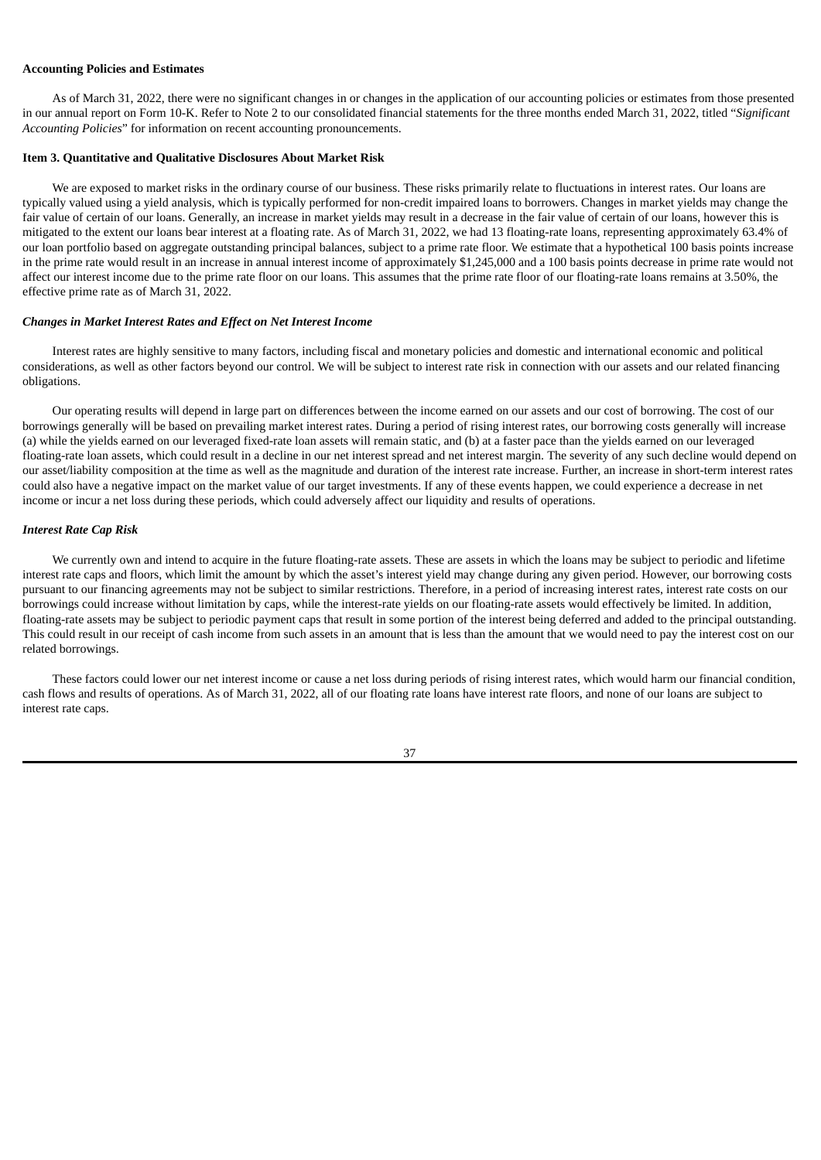### **Accounting Policies and Estimates**

As of March 31, 2022, there were no significant changes in or changes in the application of our accounting policies or estimates from those presented in our annual report on Form 10-K. Refer to Note 2 to our consolidated financial statements for the three months ended March 31, 2022, titled "*Significant Accounting Policies*" for information on recent accounting pronouncements.

#### <span id="page-38-0"></span>**Item 3. Quantitative and Qualitative Disclosures About Market Risk**

We are exposed to market risks in the ordinary course of our business. These risks primarily relate to fluctuations in interest rates. Our loans are typically valued using a yield analysis, which is typically performed for non-credit impaired loans to borrowers. Changes in market yields may change the fair value of certain of our loans. Generally, an increase in market yields may result in a decrease in the fair value of certain of our loans, however this is mitigated to the extent our loans bear interest at a floating rate. As of March 31, 2022, we had 13 floating-rate loans, representing approximately 63.4% of our loan portfolio based on aggregate outstanding principal balances, subject to a prime rate floor. We estimate that a hypothetical 100 basis points increase in the prime rate would result in an increase in annual interest income of approximately \$1,245,000 and a 100 basis points decrease in prime rate would not affect our interest income due to the prime rate floor on our loans. This assumes that the prime rate floor of our floating-rate loans remains at 3.50%, the effective prime rate as of March 31, 2022.

#### *Changes in Market Interest Rates and Effect on Net Interest Income*

Interest rates are highly sensitive to many factors, including fiscal and monetary policies and domestic and international economic and political considerations, as well as other factors beyond our control. We will be subject to interest rate risk in connection with our assets and our related financing obligations.

Our operating results will depend in large part on differences between the income earned on our assets and our cost of borrowing. The cost of our borrowings generally will be based on prevailing market interest rates. During a period of rising interest rates, our borrowing costs generally will increase (a) while the yields earned on our leveraged fixed-rate loan assets will remain static, and (b) at a faster pace than the yields earned on our leveraged floating-rate loan assets, which could result in a decline in our net interest spread and net interest margin. The severity of any such decline would depend on our asset/liability composition at the time as well as the magnitude and duration of the interest rate increase. Further, an increase in short-term interest rates could also have a negative impact on the market value of our target investments. If any of these events happen, we could experience a decrease in net income or incur a net loss during these periods, which could adversely affect our liquidity and results of operations.

#### *Interest Rate Cap Risk*

We currently own and intend to acquire in the future floating-rate assets. These are assets in which the loans may be subject to periodic and lifetime interest rate caps and floors, which limit the amount by which the asset's interest yield may change during any given period. However, our borrowing costs pursuant to our financing agreements may not be subject to similar restrictions. Therefore, in a period of increasing interest rates, interest rate costs on our borrowings could increase without limitation by caps, while the interest-rate yields on our floating-rate assets would effectively be limited. In addition, floating-rate assets may be subject to periodic payment caps that result in some portion of the interest being deferred and added to the principal outstanding. This could result in our receipt of cash income from such assets in an amount that is less than the amount that we would need to pay the interest cost on our related borrowings.

These factors could lower our net interest income or cause a net loss during periods of rising interest rates, which would harm our financial condition, cash flows and results of operations. As of March 31, 2022, all of our floating rate loans have interest rate floors, and none of our loans are subject to interest rate caps.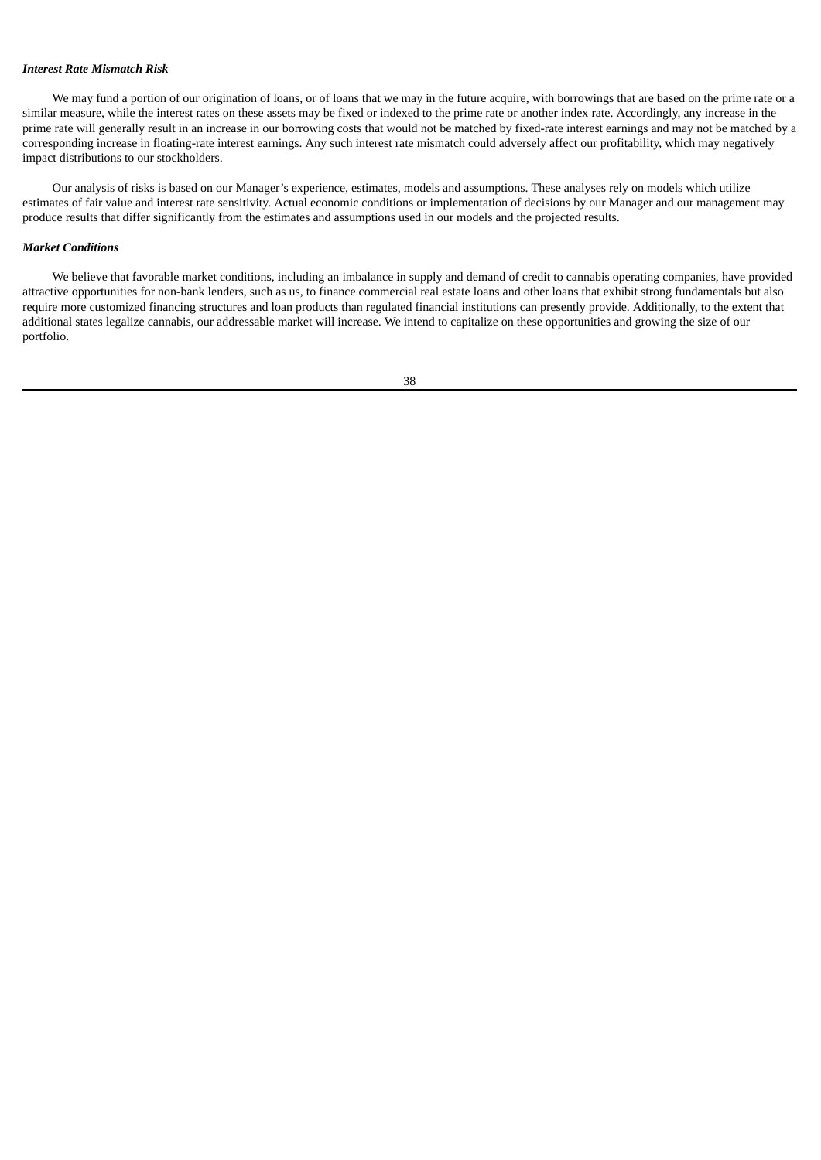## *Interest Rate Mismatch Risk*

We may fund a portion of our origination of loans, or of loans that we may in the future acquire, with borrowings that are based on the prime rate or a similar measure, while the interest rates on these assets may be fixed or indexed to the prime rate or another index rate. Accordingly, any increase in the prime rate will generally result in an increase in our borrowing costs that would not be matched by fixed-rate interest earnings and may not be matched by a corresponding increase in floating-rate interest earnings. Any such interest rate mismatch could adversely affect our profitability, which may negatively impact distributions to our stockholders.

Our analysis of risks is based on our Manager's experience, estimates, models and assumptions. These analyses rely on models which utilize estimates of fair value and interest rate sensitivity. Actual economic conditions or implementation of decisions by our Manager and our management may produce results that differ significantly from the estimates and assumptions used in our models and the projected results.

## *Market Conditions*

We believe that favorable market conditions, including an imbalance in supply and demand of credit to cannabis operating companies, have provided attractive opportunities for non-bank lenders, such as us, to finance commercial real estate loans and other loans that exhibit strong fundamentals but also require more customized financing structures and loan products than regulated financial institutions can presently provide. Additionally, to the extent that additional states legalize cannabis, our addressable market will increase. We intend to capitalize on these opportunities and growing the size of our portfolio.

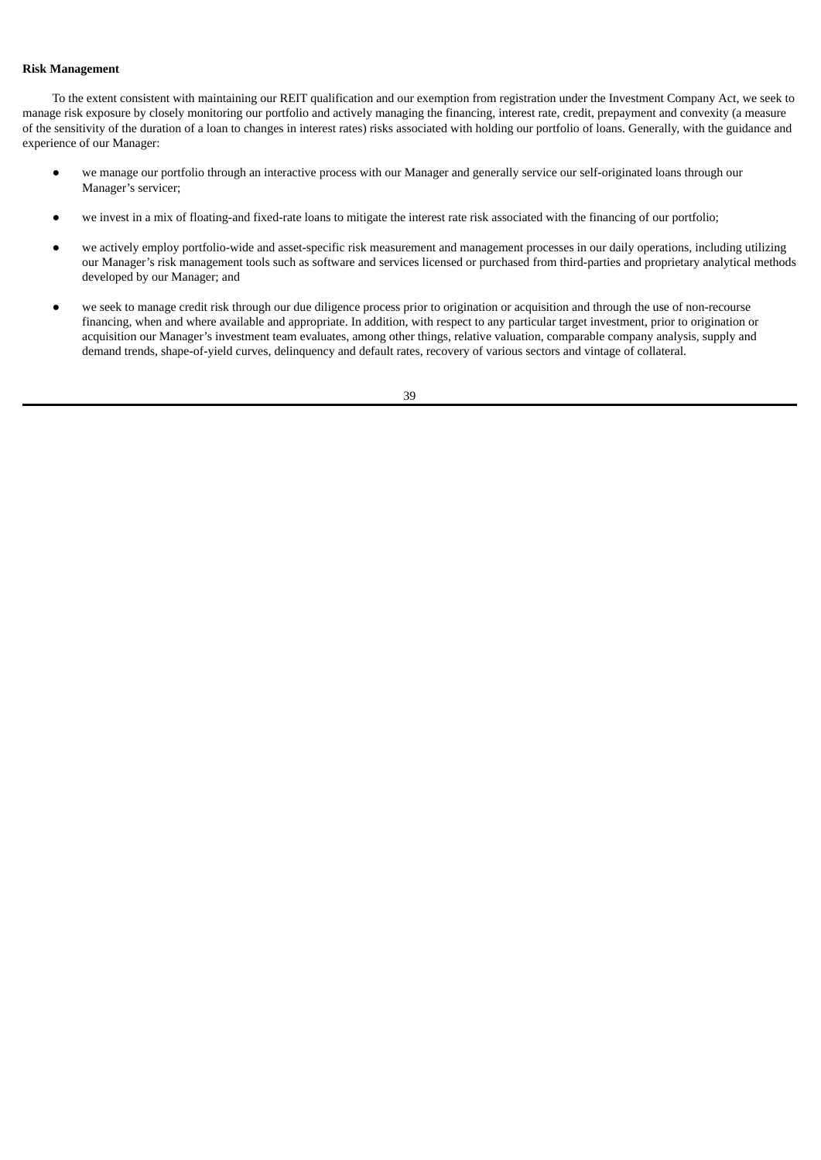## **Risk Management**

To the extent consistent with maintaining our REIT qualification and our exemption from registration under the Investment Company Act, we seek to manage risk exposure by closely monitoring our portfolio and actively managing the financing, interest rate, credit, prepayment and convexity (a measure of the sensitivity of the duration of a loan to changes in interest rates) risks associated with holding our portfolio of loans. Generally, with the guidance and experience of our Manager:

- we manage our portfolio through an interactive process with our Manager and generally service our self-originated loans through our Manager's servicer;
- we invest in a mix of floating-and fixed-rate loans to mitigate the interest rate risk associated with the financing of our portfolio;
- we actively employ portfolio-wide and asset-specific risk measurement and management processes in our daily operations, including utilizing our Manager's risk management tools such as software and services licensed or purchased from third-parties and proprietary analytical methods developed by our Manager; and
- we seek to manage credit risk through our due diligence process prior to origination or acquisition and through the use of non-recourse financing, when and where available and appropriate. In addition, with respect to any particular target investment, prior to origination or acquisition our Manager's investment team evaluates, among other things, relative valuation, comparable company analysis, supply and demand trends, shape-of-yield curves, delinquency and default rates, recovery of various sectors and vintage of collateral.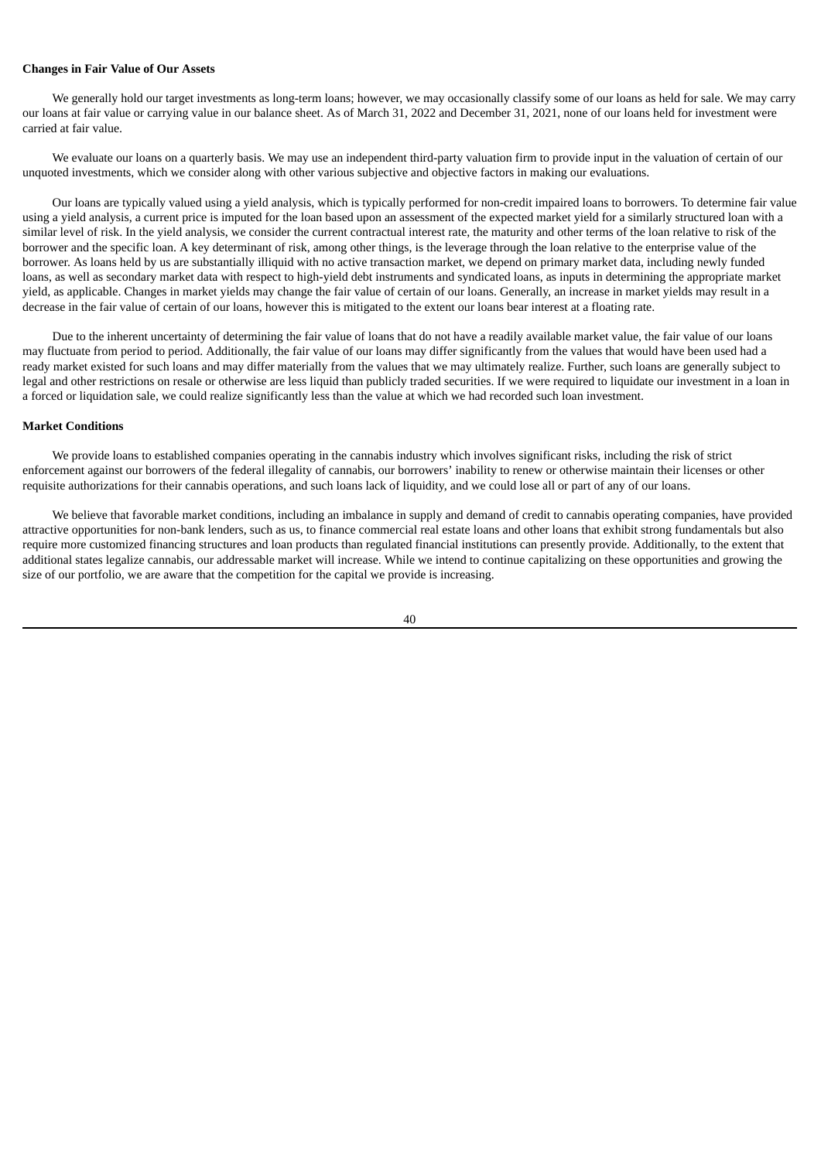### **Changes in Fair Value of Our Assets**

We generally hold our target investments as long-term loans; however, we may occasionally classify some of our loans as held for sale. We may carry our loans at fair value or carrying value in our balance sheet. As of March 31, 2022 and December 31, 2021, none of our loans held for investment were carried at fair value.

We evaluate our loans on a quarterly basis. We may use an independent third-party valuation firm to provide input in the valuation of certain of our unquoted investments, which we consider along with other various subjective and objective factors in making our evaluations.

Our loans are typically valued using a yield analysis, which is typically performed for non-credit impaired loans to borrowers. To determine fair value using a yield analysis, a current price is imputed for the loan based upon an assessment of the expected market yield for a similarly structured loan with a similar level of risk. In the yield analysis, we consider the current contractual interest rate, the maturity and other terms of the loan relative to risk of the borrower and the specific loan. A key determinant of risk, among other things, is the leverage through the loan relative to the enterprise value of the borrower. As loans held by us are substantially illiquid with no active transaction market, we depend on primary market data, including newly funded loans, as well as secondary market data with respect to high-yield debt instruments and syndicated loans, as inputs in determining the appropriate market yield, as applicable. Changes in market yields may change the fair value of certain of our loans. Generally, an increase in market yields may result in a decrease in the fair value of certain of our loans, however this is mitigated to the extent our loans bear interest at a floating rate.

Due to the inherent uncertainty of determining the fair value of loans that do not have a readily available market value, the fair value of our loans may fluctuate from period to period. Additionally, the fair value of our loans may differ significantly from the values that would have been used had a ready market existed for such loans and may differ materially from the values that we may ultimately realize. Further, such loans are generally subject to legal and other restrictions on resale or otherwise are less liquid than publicly traded securities. If we were required to liquidate our investment in a loan in a forced or liquidation sale, we could realize significantly less than the value at which we had recorded such loan investment.

#### **Market Conditions**

We provide loans to established companies operating in the cannabis industry which involves significant risks, including the risk of strict enforcement against our borrowers of the federal illegality of cannabis, our borrowers' inability to renew or otherwise maintain their licenses or other requisite authorizations for their cannabis operations, and such loans lack of liquidity, and we could lose all or part of any of our loans.

We believe that favorable market conditions, including an imbalance in supply and demand of credit to cannabis operating companies, have provided attractive opportunities for non-bank lenders, such as us, to finance commercial real estate loans and other loans that exhibit strong fundamentals but also require more customized financing structures and loan products than regulated financial institutions can presently provide. Additionally, to the extent that additional states legalize cannabis, our addressable market will increase. While we intend to continue capitalizing on these opportunities and growing the size of our portfolio, we are aware that the competition for the capital we provide is increasing.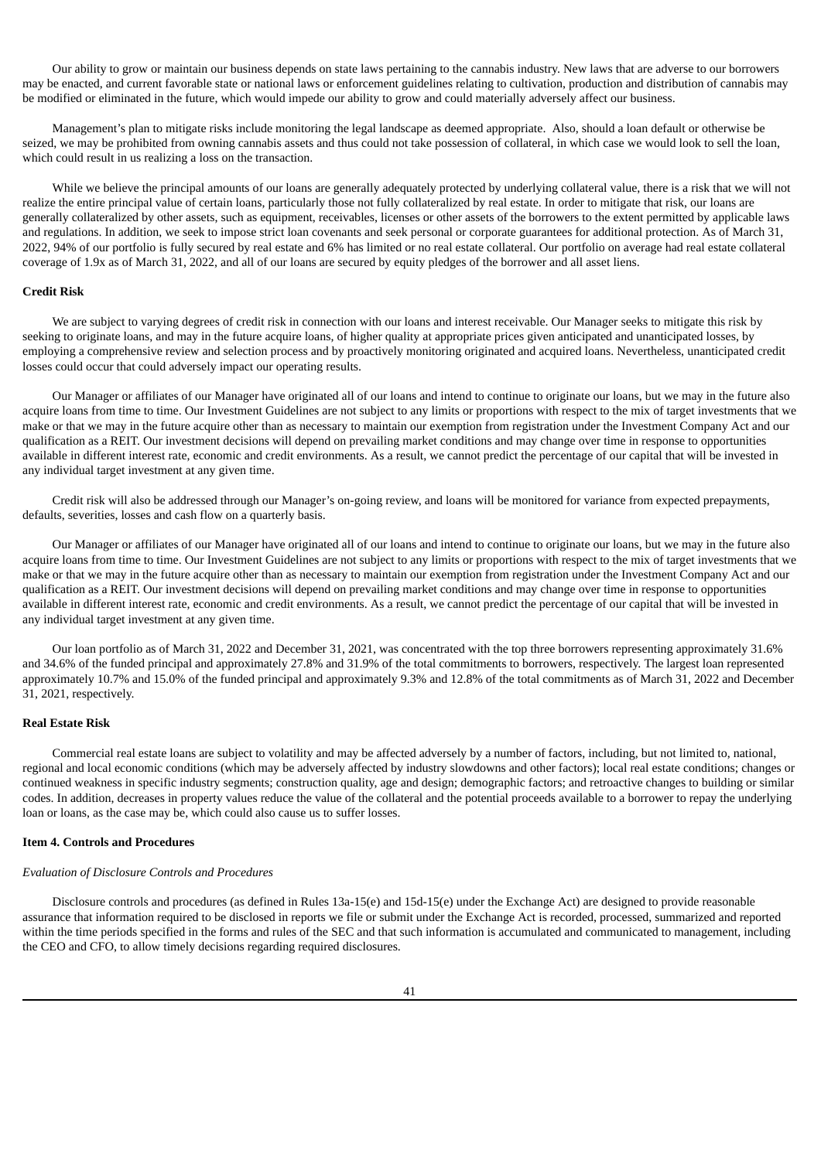Our ability to grow or maintain our business depends on state laws pertaining to the cannabis industry. New laws that are adverse to our borrowers may be enacted, and current favorable state or national laws or enforcement guidelines relating to cultivation, production and distribution of cannabis may be modified or eliminated in the future, which would impede our ability to grow and could materially adversely affect our business.

Management's plan to mitigate risks include monitoring the legal landscape as deemed appropriate. Also, should a loan default or otherwise be seized, we may be prohibited from owning cannabis assets and thus could not take possession of collateral, in which case we would look to sell the loan, which could result in us realizing a loss on the transaction.

While we believe the principal amounts of our loans are generally adequately protected by underlying collateral value, there is a risk that we will not realize the entire principal value of certain loans, particularly those not fully collateralized by real estate. In order to mitigate that risk, our loans are generally collateralized by other assets, such as equipment, receivables, licenses or other assets of the borrowers to the extent permitted by applicable laws and regulations. In addition, we seek to impose strict loan covenants and seek personal or corporate guarantees for additional protection. As of March 31, 2022, 94% of our portfolio is fully secured by real estate and 6% has limited or no real estate collateral. Our portfolio on average had real estate collateral coverage of 1.9x as of March 31, 2022, and all of our loans are secured by equity pledges of the borrower and all asset liens.

#### **Credit Risk**

We are subject to varying degrees of credit risk in connection with our loans and interest receivable. Our Manager seeks to mitigate this risk by seeking to originate loans, and may in the future acquire loans, of higher quality at appropriate prices given anticipated and unanticipated losses, by employing a comprehensive review and selection process and by proactively monitoring originated and acquired loans. Nevertheless, unanticipated credit losses could occur that could adversely impact our operating results.

Our Manager or affiliates of our Manager have originated all of our loans and intend to continue to originate our loans, but we may in the future also acquire loans from time to time. Our Investment Guidelines are not subject to any limits or proportions with respect to the mix of target investments that we make or that we may in the future acquire other than as necessary to maintain our exemption from registration under the Investment Company Act and our qualification as a REIT. Our investment decisions will depend on prevailing market conditions and may change over time in response to opportunities available in different interest rate, economic and credit environments. As a result, we cannot predict the percentage of our capital that will be invested in any individual target investment at any given time.

Credit risk will also be addressed through our Manager's on-going review, and loans will be monitored for variance from expected prepayments, defaults, severities, losses and cash flow on a quarterly basis.

Our Manager or affiliates of our Manager have originated all of our loans and intend to continue to originate our loans, but we may in the future also acquire loans from time to time. Our Investment Guidelines are not subject to any limits or proportions with respect to the mix of target investments that we make or that we may in the future acquire other than as necessary to maintain our exemption from registration under the Investment Company Act and our qualification as a REIT. Our investment decisions will depend on prevailing market conditions and may change over time in response to opportunities available in different interest rate, economic and credit environments. As a result, we cannot predict the percentage of our capital that will be invested in any individual target investment at any given time.

Our loan portfolio as of March 31, 2022 and December 31, 2021, was concentrated with the top three borrowers representing approximately 31.6% and 34.6% of the funded principal and approximately 27.8% and 31.9% of the total commitments to borrowers, respectively. The largest loan represented approximately 10.7% and 15.0% of the funded principal and approximately 9.3% and 12.8% of the total commitments as of March 31, 2022 and December 31, 2021, respectively.

## **Real Estate Risk**

Commercial real estate loans are subject to volatility and may be affected adversely by a number of factors, including, but not limited to, national, regional and local economic conditions (which may be adversely affected by industry slowdowns and other factors); local real estate conditions; changes or continued weakness in specific industry segments; construction quality, age and design; demographic factors; and retroactive changes to building or similar codes. In addition, decreases in property values reduce the value of the collateral and the potential proceeds available to a borrower to repay the underlying loan or loans, as the case may be, which could also cause us to suffer losses.

#### <span id="page-42-0"></span>**Item 4. Controls and Procedures**

#### *Evaluation of Disclosure Controls and Procedures*

Disclosure controls and procedures (as defined in Rules 13a-15(e) and 15d-15(e) under the Exchange Act) are designed to provide reasonable assurance that information required to be disclosed in reports we file or submit under the Exchange Act is recorded, processed, summarized and reported within the time periods specified in the forms and rules of the SEC and that such information is accumulated and communicated to management, including the CEO and CFO, to allow timely decisions regarding required disclosures.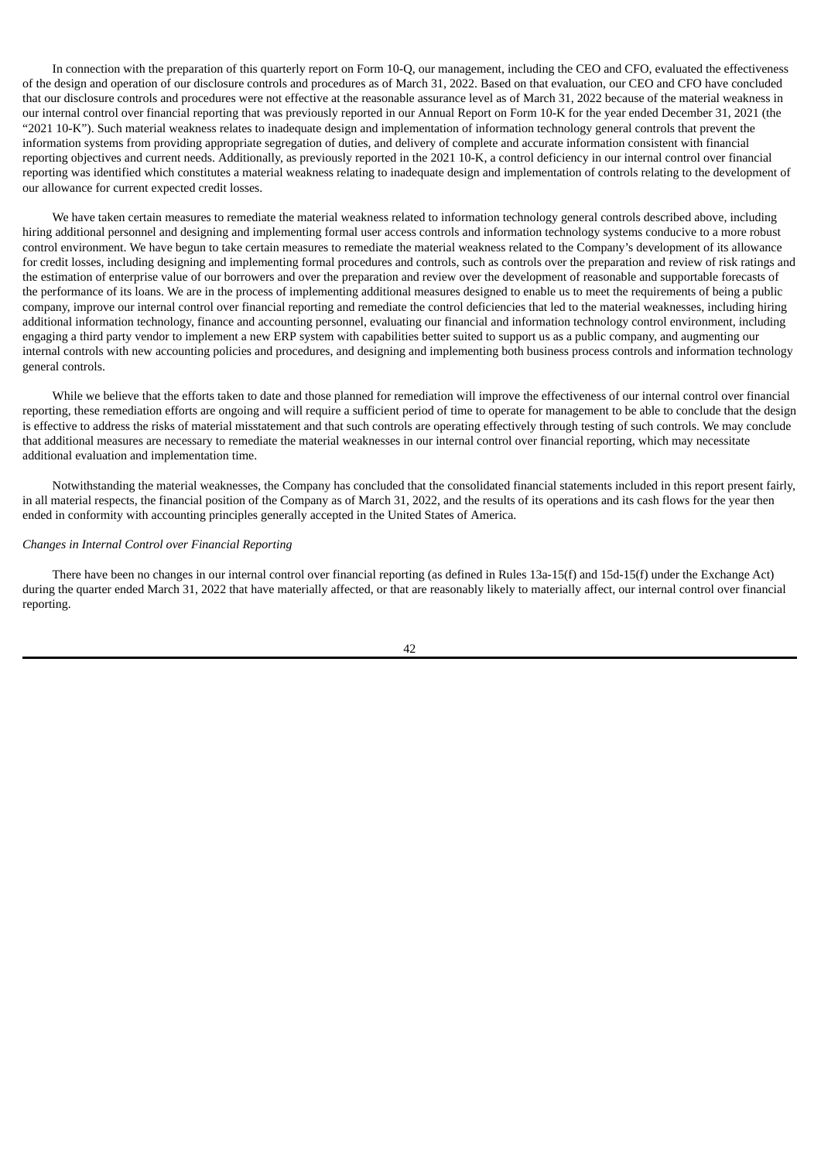In connection with the preparation of this quarterly report on Form 10-Q, our management, including the CEO and CFO, evaluated the effectiveness of the design and operation of our disclosure controls and procedures as of March 31, 2022. Based on that evaluation, our CEO and CFO have concluded that our disclosure controls and procedures were not effective at the reasonable assurance level as of March 31, 2022 because of the material weakness in our internal control over financial reporting that was previously reported in our Annual Report on Form 10-K for the year ended December 31, 2021 (the "2021 10-K"). Such material weakness relates to inadequate design and implementation of information technology general controls that prevent the information systems from providing appropriate segregation of duties, and delivery of complete and accurate information consistent with financial reporting objectives and current needs. Additionally, as previously reported in the 2021 10-K, a control deficiency in our internal control over financial reporting was identified which constitutes a material weakness relating to inadequate design and implementation of controls relating to the development of our allowance for current expected credit losses.

We have taken certain measures to remediate the material weakness related to information technology general controls described above, including hiring additional personnel and designing and implementing formal user access controls and information technology systems conducive to a more robust control environment. We have begun to take certain measures to remediate the material weakness related to the Company's development of its allowance for credit losses, including designing and implementing formal procedures and controls, such as controls over the preparation and review of risk ratings and the estimation of enterprise value of our borrowers and over the preparation and review over the development of reasonable and supportable forecasts of the performance of its loans. We are in the process of implementing additional measures designed to enable us to meet the requirements of being a public company, improve our internal control over financial reporting and remediate the control deficiencies that led to the material weaknesses, including hiring additional information technology, finance and accounting personnel, evaluating our financial and information technology control environment, including engaging a third party vendor to implement a new ERP system with capabilities better suited to support us as a public company, and augmenting our internal controls with new accounting policies and procedures, and designing and implementing both business process controls and information technology general controls.

While we believe that the efforts taken to date and those planned for remediation will improve the effectiveness of our internal control over financial reporting, these remediation efforts are ongoing and will require a sufficient period of time to operate for management to be able to conclude that the design is effective to address the risks of material misstatement and that such controls are operating effectively through testing of such controls. We may conclude that additional measures are necessary to remediate the material weaknesses in our internal control over financial reporting, which may necessitate additional evaluation and implementation time.

Notwithstanding the material weaknesses, the Company has concluded that the consolidated financial statements included in this report present fairly, in all material respects, the financial position of the Company as of March 31, 2022, and the results of its operations and its cash flows for the year then ended in conformity with accounting principles generally accepted in the United States of America.

#### *Changes in Internal Control over Financial Reporting*

There have been no changes in our internal control over financial reporting (as defined in Rules 13a-15(f) and 15d-15(f) under the Exchange Act) during the quarter ended March 31, 2022 that have materially affected, or that are reasonably likely to materially affect, our internal control over financial reporting.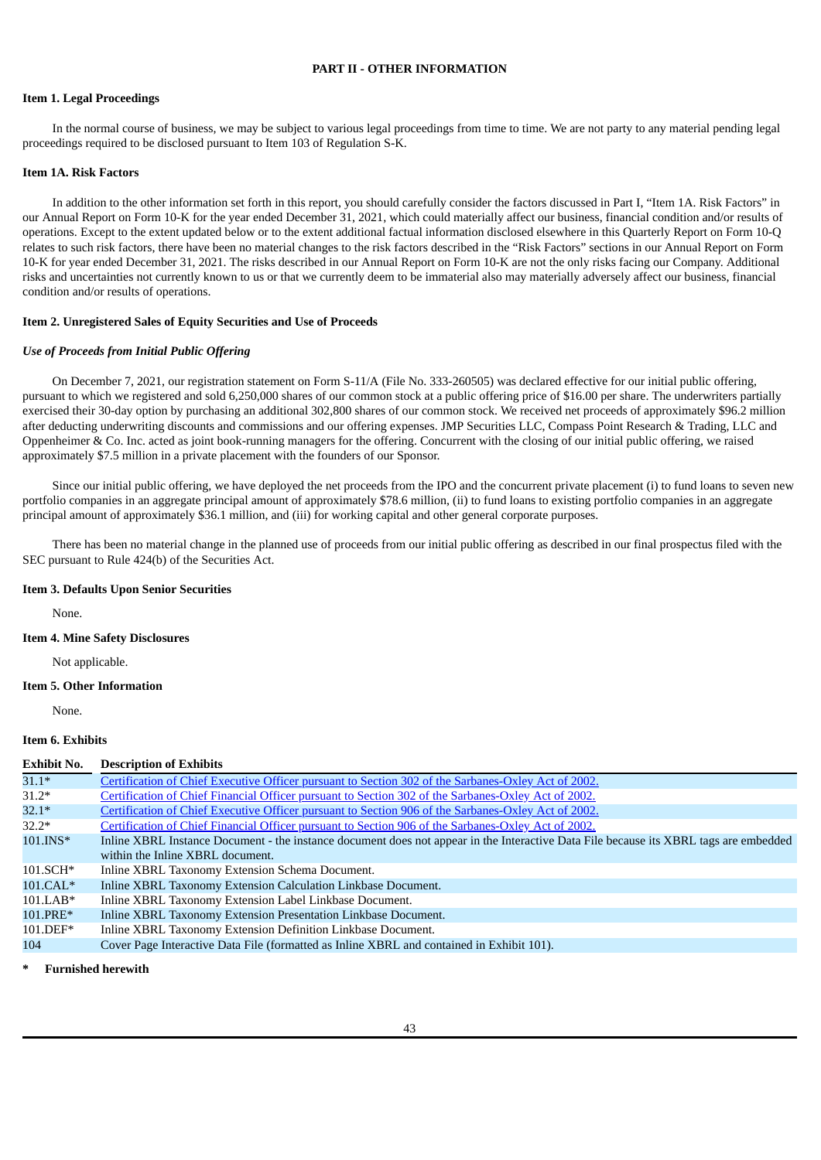### **PART II - OTHER INFORMATION**

#### <span id="page-44-1"></span><span id="page-44-0"></span>**Item 1. Legal Proceedings**

In the normal course of business, we may be subject to various legal proceedings from time to time. We are not party to any material pending legal proceedings required to be disclosed pursuant to Item 103 of Regulation S-K.

#### <span id="page-44-2"></span>**Item 1A. Risk Factors**

In addition to the other information set forth in this report, you should carefully consider the factors discussed in Part I, "Item 1A. Risk Factors" in our Annual Report on Form 10-K for the year ended December 31, 2021, which could materially affect our business, financial condition and/or results of operations. Except to the extent updated below or to the extent additional factual information disclosed elsewhere in this Quarterly Report on Form 10-Q relates to such risk factors, there have been no material changes to the risk factors described in the "Risk Factors" sections in our Annual Report on Form 10-K for year ended December 31, 2021. The risks described in our Annual Report on Form 10-K are not the only risks facing our Company. Additional risks and uncertainties not currently known to us or that we currently deem to be immaterial also may materially adversely affect our business, financial condition and/or results of operations.

#### <span id="page-44-3"></span>**Item 2. Unregistered Sales of Equity Securities and Use of Proceeds**

#### *Use of Proceeds from Initial Public Offering*

On December 7, 2021, our registration statement on Form S-11/A (File No. 333-260505) was declared effective for our initial public offering, pursuant to which we registered and sold 6,250,000 shares of our common stock at a public offering price of \$16.00 per share. The underwriters partially exercised their 30-day option by purchasing an additional 302,800 shares of our common stock. We received net proceeds of approximately \$96.2 million after deducting underwriting discounts and commissions and our offering expenses. JMP Securities LLC, Compass Point Research & Trading, LLC and Oppenheimer & Co. Inc. acted as joint book-running managers for the offering. Concurrent with the closing of our initial public offering, we raised approximately \$7.5 million in a private placement with the founders of our Sponsor.

Since our initial public offering, we have deployed the net proceeds from the IPO and the concurrent private placement (i) to fund loans to seven new portfolio companies in an aggregate principal amount of approximately \$78.6 million, (ii) to fund loans to existing portfolio companies in an aggregate principal amount of approximately \$36.1 million, and (iii) for working capital and other general corporate purposes.

There has been no material change in the planned use of proceeds from our initial public offering as described in our final prospectus filed with the SEC pursuant to Rule 424(b) of the Securities Act.

#### <span id="page-44-4"></span>**Item 3. Defaults Upon Senior Securities**

None.

## <span id="page-44-5"></span>**Item 4. Mine Safety Disclosures**

Not applicable.

## <span id="page-44-6"></span>**Item 5. Other Information**

None.

#### <span id="page-44-7"></span>**Item 6. Exhibits**

### **Exhibit No. Description of Exhibits**

|            | b cockiption of minimores                                                                                                             |
|------------|---------------------------------------------------------------------------------------------------------------------------------------|
| $31.1*$    | Certification of Chief Executive Officer pursuant to Section 302 of the Sarbanes-Oxley Act of 2002.                                   |
| $31.2*$    | Certification of Chief Financial Officer pursuant to Section 302 of the Sarbanes-Oxley Act of 2002.                                   |
| $32.1*$    | Certification of Chief Executive Officer pursuant to Section 906 of the Sarbanes-Oxley Act of 2002.                                   |
| $32.2*$    | Certification of Chief Financial Officer pursuant to Section 906 of the Sarbanes-Oxley Act of 2002.                                   |
| $101.INS*$ | Inline XBRL Instance Document - the instance document does not appear in the Interactive Data File because its XBRL tags are embedded |
|            | within the Inline XBRL document.                                                                                                      |
| 101.SCH*   | Inline XBRL Taxonomy Extension Schema Document.                                                                                       |
| $101.CAL*$ | Inline XBRL Taxonomy Extension Calculation Linkbase Document.                                                                         |
| $101.LAB*$ | Inline XBRL Taxonomy Extension Label Linkbase Document.                                                                               |
| 101.PRE*   | Inline XBRL Taxonomy Extension Presentation Linkbase Document.                                                                        |
| 101.DEF*   | Inline XBRL Taxonomy Extension Definition Linkbase Document.                                                                          |
| 104        | Cover Page Interactive Data File (formatted as Inline XBRL and contained in Exhibit 101).                                             |
|            |                                                                                                                                       |

#### **\* Furnished herewith**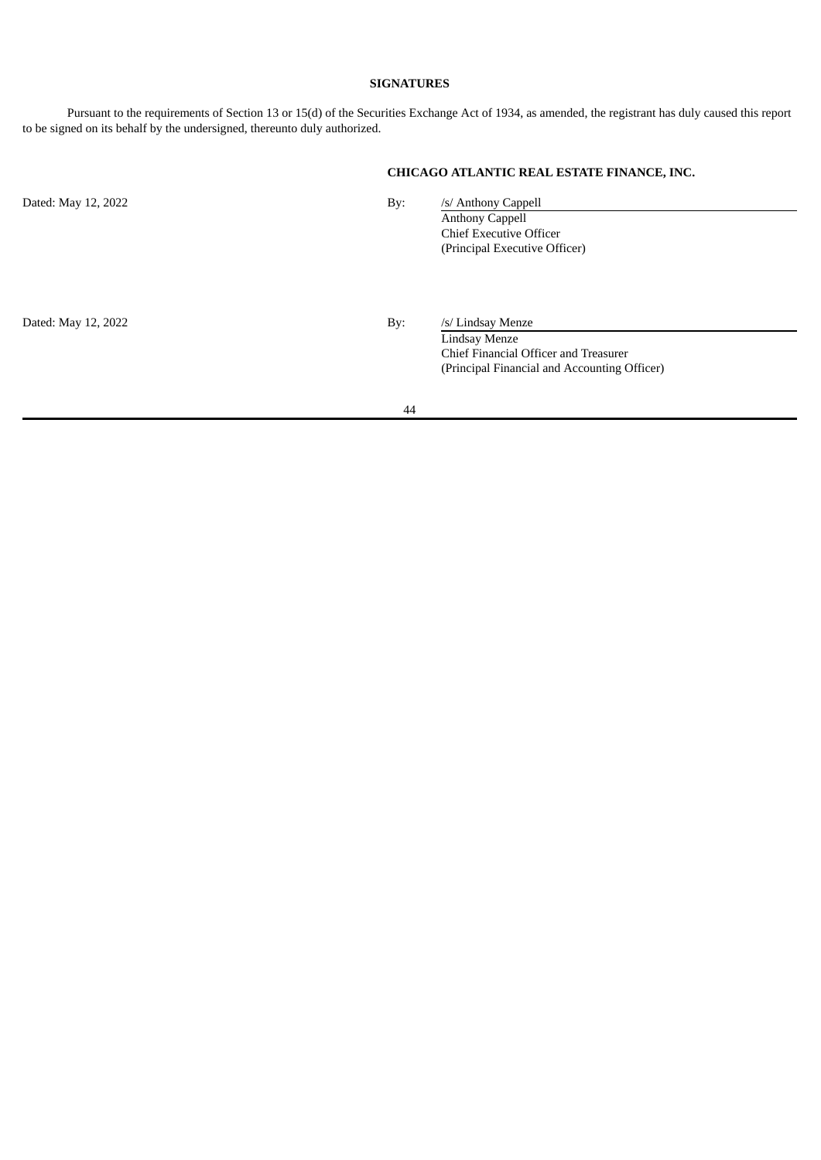# **SIGNATURES**

Pursuant to the requirements of Section 13 or 15(d) of the Securities Exchange Act of 1934, as amended, the registrant has duly caused this report to be signed on its behalf by the undersigned, thereunto duly authorized.

# **CHICAGO ATLANTIC REAL ESTATE FINANCE, INC.**

| Dated: May 12, 2022 | By: | /s/ Anthony Cappell<br><b>Anthony Cappell</b><br><b>Chief Executive Officer</b><br>(Principal Executive Officer)                   |
|---------------------|-----|------------------------------------------------------------------------------------------------------------------------------------|
| Dated: May 12, 2022 | By: | /s/ Lindsay Menze<br><b>Lindsay Menze</b><br>Chief Financial Officer and Treasurer<br>(Principal Financial and Accounting Officer) |
|                     | 44  |                                                                                                                                    |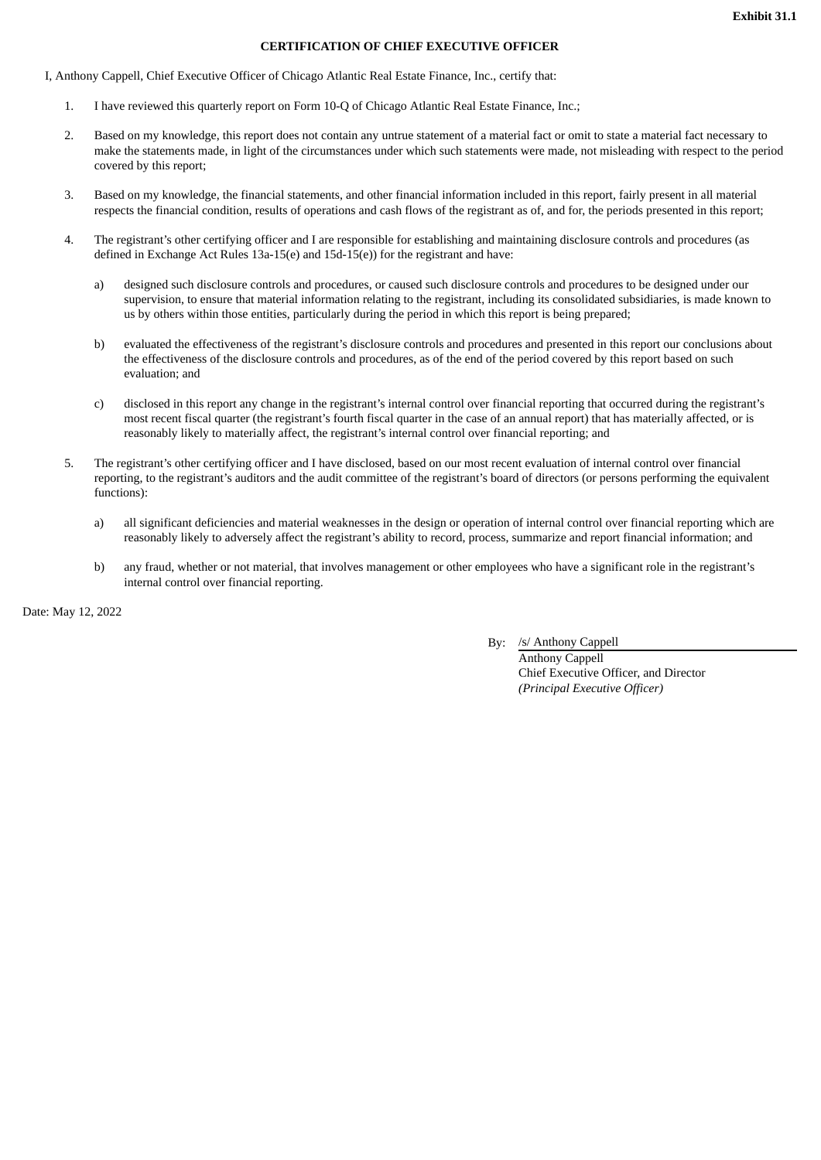## **CERTIFICATION OF CHIEF EXECUTIVE OFFICER**

<span id="page-46-0"></span>I, Anthony Cappell, Chief Executive Officer of Chicago Atlantic Real Estate Finance, Inc., certify that:

- 1. I have reviewed this quarterly report on Form 10-Q of Chicago Atlantic Real Estate Finance, Inc.;
- 2. Based on my knowledge, this report does not contain any untrue statement of a material fact or omit to state a material fact necessary to make the statements made, in light of the circumstances under which such statements were made, not misleading with respect to the period covered by this report;
- 3. Based on my knowledge, the financial statements, and other financial information included in this report, fairly present in all material respects the financial condition, results of operations and cash flows of the registrant as of, and for, the periods presented in this report;
- 4. The registrant's other certifying officer and I are responsible for establishing and maintaining disclosure controls and procedures (as defined in Exchange Act Rules 13a-15(e) and 15d-15(e)) for the registrant and have:
	- a) designed such disclosure controls and procedures, or caused such disclosure controls and procedures to be designed under our supervision, to ensure that material information relating to the registrant, including its consolidated subsidiaries, is made known to us by others within those entities, particularly during the period in which this report is being prepared;
	- b) evaluated the effectiveness of the registrant's disclosure controls and procedures and presented in this report our conclusions about the effectiveness of the disclosure controls and procedures, as of the end of the period covered by this report based on such evaluation; and
	- c) disclosed in this report any change in the registrant's internal control over financial reporting that occurred during the registrant's most recent fiscal quarter (the registrant's fourth fiscal quarter in the case of an annual report) that has materially affected, or is reasonably likely to materially affect, the registrant's internal control over financial reporting; and
- 5. The registrant's other certifying officer and I have disclosed, based on our most recent evaluation of internal control over financial reporting, to the registrant's auditors and the audit committee of the registrant's board of directors (or persons performing the equivalent functions):
	- a) all significant deficiencies and material weaknesses in the design or operation of internal control over financial reporting which are reasonably likely to adversely affect the registrant's ability to record, process, summarize and report financial information; and
	- b) any fraud, whether or not material, that involves management or other employees who have a significant role in the registrant's internal control over financial reporting.

Date: May 12, 2022

## By: /s/ Anthony Cappell

Anthony Cappell Chief Executive Officer, and Director *(Principal Executive Officer)*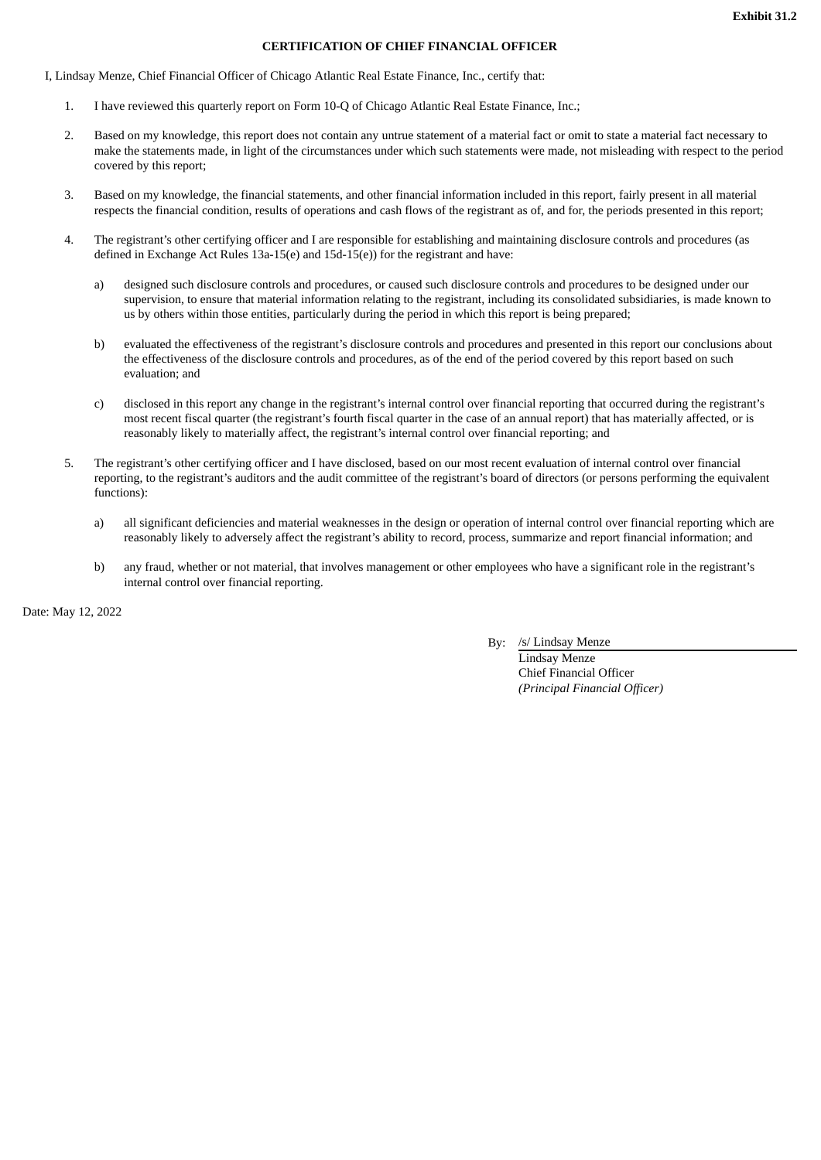## **CERTIFICATION OF CHIEF FINANCIAL OFFICER**

<span id="page-47-0"></span>I, Lindsay Menze, Chief Financial Officer of Chicago Atlantic Real Estate Finance, Inc., certify that:

- 1. I have reviewed this quarterly report on Form 10-Q of Chicago Atlantic Real Estate Finance, Inc.;
- 2. Based on my knowledge, this report does not contain any untrue statement of a material fact or omit to state a material fact necessary to make the statements made, in light of the circumstances under which such statements were made, not misleading with respect to the period covered by this report;
- 3. Based on my knowledge, the financial statements, and other financial information included in this report, fairly present in all material respects the financial condition, results of operations and cash flows of the registrant as of, and for, the periods presented in this report;
- 4. The registrant's other certifying officer and I are responsible for establishing and maintaining disclosure controls and procedures (as defined in Exchange Act Rules 13a-15(e) and 15d-15(e)) for the registrant and have:
	- a) designed such disclosure controls and procedures, or caused such disclosure controls and procedures to be designed under our supervision, to ensure that material information relating to the registrant, including its consolidated subsidiaries, is made known to us by others within those entities, particularly during the period in which this report is being prepared;
	- b) evaluated the effectiveness of the registrant's disclosure controls and procedures and presented in this report our conclusions about the effectiveness of the disclosure controls and procedures, as of the end of the period covered by this report based on such evaluation; and
	- c) disclosed in this report any change in the registrant's internal control over financial reporting that occurred during the registrant's most recent fiscal quarter (the registrant's fourth fiscal quarter in the case of an annual report) that has materially affected, or is reasonably likely to materially affect, the registrant's internal control over financial reporting; and
- 5. The registrant's other certifying officer and I have disclosed, based on our most recent evaluation of internal control over financial reporting, to the registrant's auditors and the audit committee of the registrant's board of directors (or persons performing the equivalent functions):
	- a) all significant deficiencies and material weaknesses in the design or operation of internal control over financial reporting which are reasonably likely to adversely affect the registrant's ability to record, process, summarize and report financial information; and
	- b) any fraud, whether or not material, that involves management or other employees who have a significant role in the registrant's internal control over financial reporting.

Date: May 12, 2022

By: /s/ Lindsay Menze

Lindsay Menze Chief Financial Officer *(Principal Financial Officer)*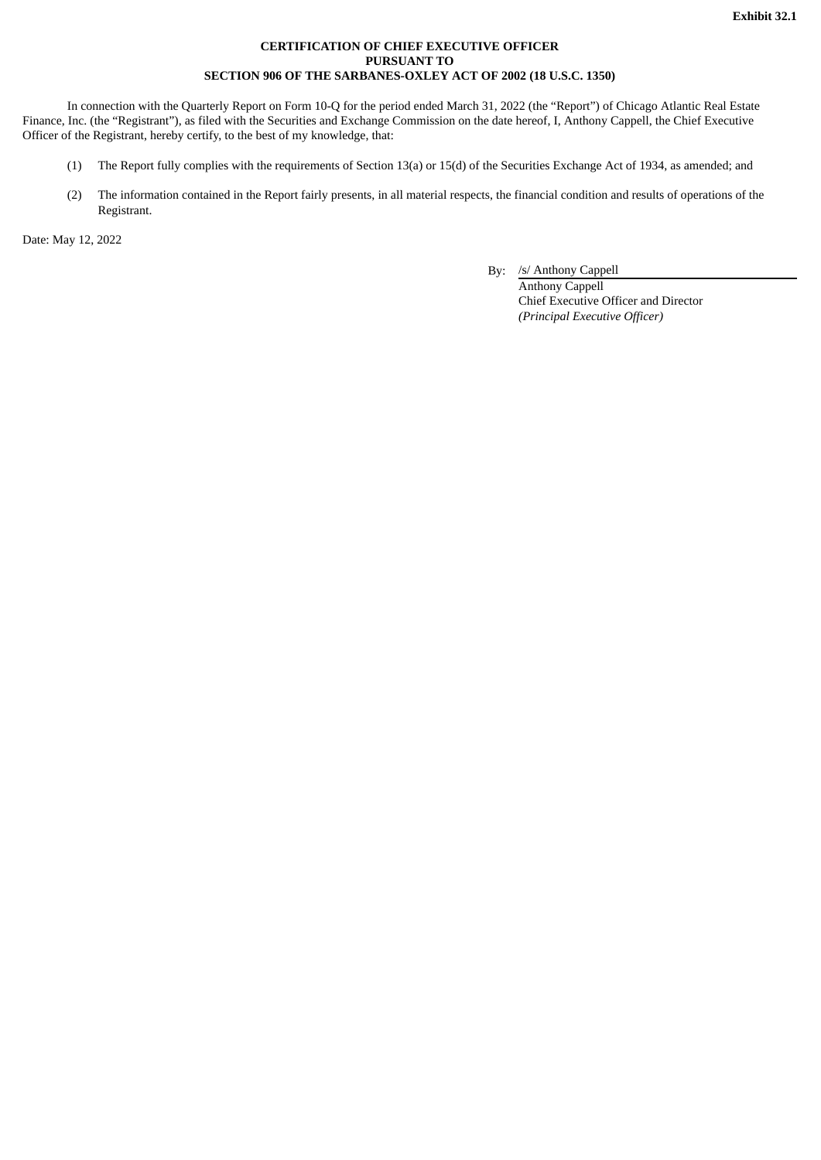## **CERTIFICATION OF CHIEF EXECUTIVE OFFICER PURSUANT TO SECTION 906 OF THE SARBANES-OXLEY ACT OF 2002 (18 U.S.C. 1350)**

<span id="page-48-0"></span>In connection with the Quarterly Report on Form 10-Q for the period ended March 31, 2022 (the "Report") of Chicago Atlantic Real Estate Finance, Inc. (the "Registrant"), as filed with the Securities and Exchange Commission on the date hereof, I, Anthony Cappell, the Chief Executive Officer of the Registrant, hereby certify, to the best of my knowledge, that:

- (1) The Report fully complies with the requirements of Section 13(a) or 15(d) of the Securities Exchange Act of 1934, as amended; and
- (2) The information contained in the Report fairly presents, in all material respects, the financial condition and results of operations of the Registrant.

Date: May 12, 2022

By: /s/ Anthony Cappell

Anthony Cappell Chief Executive Officer and Director *(Principal Executive Officer)*